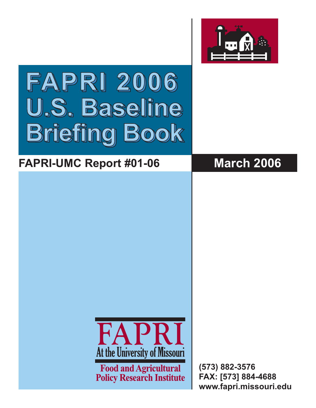

# **FAPRI 2006 FAPRI 2006 FAPRI 2006 U.S. Baseline U.S. Baseline U.S.Baselin Briefing Book Briefing Book Briefing Book**

## **FAPRI-UMC Report #01-06 March 2006**



**Food and Agricultural Policy Research Institute**  **(573) 882-3576 FAX: [573] 884-4688 www.fapri.missouri.edu**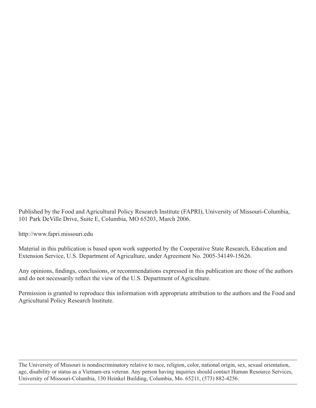Published by the Food and Agricultural Policy Research Institute (FAPRI), University of Missouri-Columbia, 101 Park DeVille Drive, Suite E, Columbia, MO 65203, March 2006.

http://www.fapri.missouri.edu

Material in this publication is based upon work supported by the Cooperative State Research, Education and Extension Service, U.S. Department of Agriculture, under Agreement No. 2005-34149-15626.

Any opinions, findings, conclusions, or recommendations expressed in this publication are those of the authors and do not necessarily reflect the view of the U.S. Department of Agriculture.

Permission is granted to reproduce this information with appropriate attribution to the authors and the Food and Agricultural Policy Research Institute.

The University of Missouri is nondiscriminatory relative to race, religion, color, national origin, sex, sexual orientation, age, disability or status as a Vietnam-era veteran. Any person having inquiries should contact Human Resource Services, University of Missouri-Columbia, 130 Heinkel Building, Columbia, Mo. 65211, (573) 882-4256.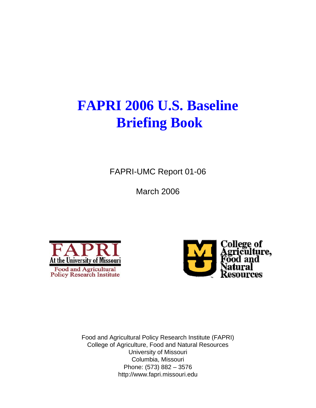## **FAPRI 2006 U.S. Baseline Briefing Book**

FAPRI-UMC Report 01-06

March 2006





Food and Agricultural Policy Research Institute (FAPRI) College of Agriculture, Food and Natural Resources University of Missouri Columbia, Missouri Phone: (573) 882 – 3576 http://www.fapri.missouri.edu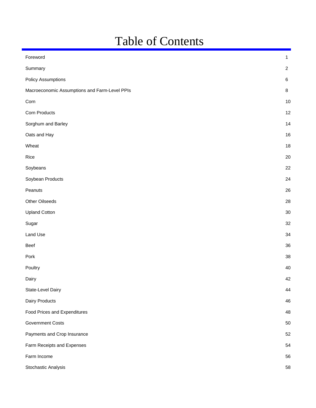## Table of Contents

| Foreword                                      | $\mathbf{1}$   |
|-----------------------------------------------|----------------|
| Summary                                       | $\overline{c}$ |
| <b>Policy Assumptions</b>                     | $\,6\,$        |
| Macroeconomic Assumptions and Farm-Level PPIs | $\bf 8$        |
| Corn                                          | 10             |
| Corn Products                                 | 12             |
| Sorghum and Barley                            | 14             |
| Oats and Hay                                  | 16             |
| Wheat                                         | 18             |
| Rice                                          | 20             |
| Soybeans                                      | 22             |
| Soybean Products                              | 24             |
| Peanuts                                       | 26             |
| Other Oilseeds                                | 28             |
| <b>Upland Cotton</b>                          | 30             |
| Sugar                                         | 32             |
| Land Use                                      | 34             |
| Beef                                          | 36             |
| Pork                                          | 38             |
| Poultry                                       | 40             |
| Dairy                                         | 42             |
| State-Level Dairy                             | 44             |
| Dairy Products                                | 46             |
| Food Prices and Expenditures                  | 48             |
| <b>Government Costs</b>                       | 50             |
| Payments and Crop Insurance                   | 52             |
| Farm Receipts and Expenses                    | 54             |
| Farm Income                                   | 56             |
| Stochastic Analysis                           | 58             |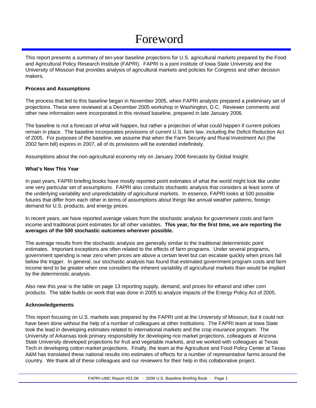## Foreword

This report presents a summary of ten-year baseline projections for U.S. agricultural markets prepared by the Food and Agricultural Policy Research Institute (FAPRI). FAPRI is a joint institute of Iowa State University and the University of Missouri that provides analysis of agricultural markets and policies for Congress and other decision makers.

#### **Process and Assumptions**

The process that led to this baseline began in November 2005, when FAPRI analysts prepared a preliminary set of projections. These were reviewed at a December 2005 workshop in Washington, D.C. Reviewer comments and other new information were incorporated in this revised baseline, prepared in late January 2006.

The baseline is not a forecast of what will happen, but rather a projection of what could happen if current policies remain in place. The baseline incorporates provisions of current U.S. farm law, including the Deficit Reduction Act of 2005. For purposes of the baseline, we assume that when the Farm Security and Rural Investment Act (the 2002 farm bill) expires in 2007, all of its provisions will be extended indefinitely.

Assumptions about the non-agricultural economy rely on January 2006 forecasts by Global Insight.

#### **What's New This Year**

In past years, FAPRI briefing books have mostly reported point estimates of what the world might look like under one very particular set of assumptions. FAPRI also conducts stochastic analysis that considers at least some of the underlying variability and unpredictability of agricultural markets. In essence, FAPRI looks at 500 possible futures that differ from each other in terms of assumptions about things like annual weather patterns, foreign demand for U.S. products, and energy prices.

In recent years, we have reported average values from the stochastic analysis for government costs and farm income and traditional point estimates for all other variables. **This year, for the first time, we are reporting the averages of the 500 stochastic outcomes wherever possible.** 

The average results from the stochastic analysis are generally similar to the traditional deterministic point estimates. Important exceptions are often related to the effects of farm programs. Under several programs, government spending is near zero when prices are above a certain level but can escalate quickly when prices fall below the trigger. In general, our stochastic analysis has found that estimated government program costs and farm income tend to be greater when one considers the inherent variability of agricultural markets than would be implied by the deterministic analysis.

Also new this year is the table on page 13 reporting supply, demand, and prices for ethanol and other corn products. The table builds on work that was done in 2005 to analyze impacts of the Energy Policy Act of 2005.

#### **Acknowledgements**

This report focusing on U.S. markets was prepared by the FAPRI unit at the University of Missouri, but it could not have been done without the help of a number of colleagues at other institutions. The FAPRI team at Iowa State took the lead in developing estimates related to international markets and the crop insurance program. The University of Arkansas took primary responsibility for developing rice market projections, colleagues at Arizona State University developed projections for fruit and vegetable markets, and we worked with colleagues at Texas Tech in developing cotton market projections. Finally, the team at the Agriculture and Food Policy Center at Texas A&M has translated these national results into estimates of effects for a number of representative farms around the country. We thank all of these colleagues and our reviewers for their help in this collaborative project.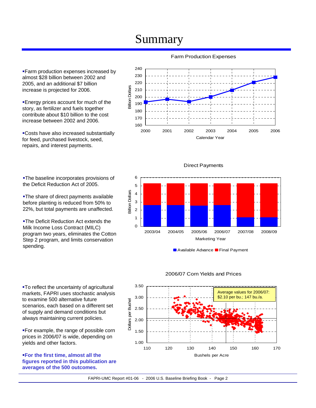**Farm production expenses increased by** almost \$28 billion between 2002 and 2005, and an additional \$7 billion increase is projected for 2006.

Energy prices account for much of the story, as fertilizer and fuels together contribute about \$10 billion to the cost increase between 2002 and 2006.

Costs have also increased substantially for feed, purchased livestock, seed, repairs, and interest payments.

The baseline incorporates provisions of the Deficit Reduction Act of 2005.

**-The share of direct payments available** before planting is reduced from 50% to 22%, but total payments are unaffected.

**-The Deficit Reduction Act extends the** Milk Income Loss Contract (MILC) program two years, eliminates the Cotton Step 2 program, and limits conservation spending.

To reflect the uncertainty of agricultural markets, FAPRI uses stochastic analysis to examine 500 alternative future scenarios, each based on a different set of supply and demand conditions but always maintaining current policies.

For example, the range of possible corn prices in 2006/07 is wide, depending on yields and other factors.

**For the first time, almost all the figures reported in this publication are averages of the 500 outcomes.**

### Farm Production Expenses





Direct Payments



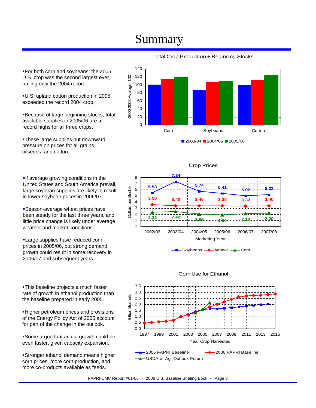For both corn and soybeans, the 2005 U.S. crop was the second largest ever, trailing only the 2004 record.

U.S. upland cotton production in 2005 exceeded the record 2004 crop.

Because of large beginning stocks, total available supplies in 2005/06 are at record highs for all three crops.

**-These large supplies put downward** pressure on prices for all grains, oilseeds, and cotton.

**If average growing conditions in the** United States and South America prevail, large soybean supplies are likely to result in lower soybean prices in 2006/07.

Season-average wheat prices have been steady for the last three years, and little price change is likely under average weather and market conditions.

**-Large supplies have reduced corn** prices in 2005/06, but strong demand growth could result in some recovery in 2006/07 and subsequent years.

**-This baseline projects a much faster** rate of growth in ethanol production than the baseline prepared in early 2005.

Higher petroleum prices and provisions of the Energy Policy Act of 2005 account for part of the change in the outlook.

Some argue that actual growth could be even faster, given capacity expansion.

Stronger ethanol demand means higher corn prices, more corn production, and more co-products available as feeds.



### Total Crop Production + Beginning Stocks

Crop Prices





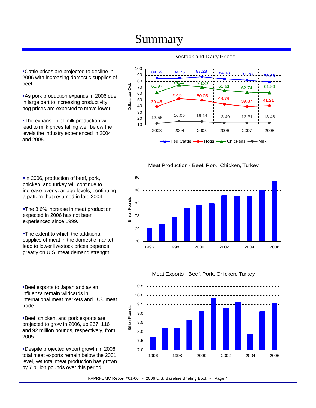Cattle prices are projected to decline in 2006 with increasing domestic supplies of beef.

As pork production expands in 2006 due in large part to increasing productivity, hog prices are expected to move lower.

**-The expansion of milk production will** lead to milk prices falling well below the levels the industry experienced in 2004 and 2005.

### Livestock and Dairy Prices



#### Meat Production - Beef, Pork, Chicken, Turkey

90 86 **Billion Pounds** Billion Pounds 82 78 74 70 1996 1998 2000 2002 2004 2006

chicken, and turkey will continue to increase over year-ago levels, continuing a pattern that resumed in late 2004.

**-The 3.6% increase in meat production** expected in 2006 has not been experienced since 1999.

In 2006, production of beef, pork,

**-The extent to which the additional** supplies of meat in the domestic market lead to lower livestock prices depends greatly on U.S. meat demand strength.

Beef exports to Japan and avian influenza remain wildcards in international meat markets and U.S. meat trade.

Beef, chicken, and pork exports are projected to grow in 2006, up 267, 116 and 92 million pounds, respectively, from 2005.

Despite projected export growth in 2006, total meat exports remain below the 2001 level, yet total meat production has grown by 7 billion pounds over this period.

#### Meat Exports - Beef, Pork, Chicken, Turkey

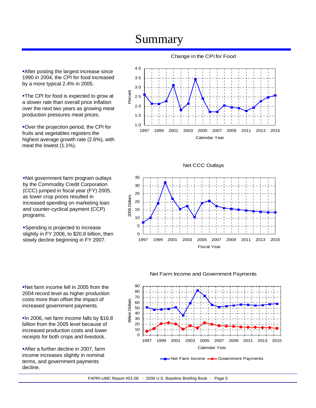**After posting the largest increase since** 1990 in 2004, the CPI for food increased by a more typical 2.4% in 2005.

The CPI for food is expected to grow at a slower rate than overall price inflation over the next two years as growing meat production pressures meat prices.

Over the projection period, the CPI for fruits and vegetables registers the highest average growth rate (2.6%), with meat the lowest (1.1%).

Net government farm program outlays by the Commodity Credit Corporation (CCC) jumped in fiscal year (FY) 2005, as lower crop prices resulted in increased spending on marketing loan and counter-cyclical payment (CCP) programs.

Spending is projected to increase slightly in FY 2006, to \$20.8 billion, then slowly decline beginning in FY 2007.

Net farm income fell in 2005 from the 2004 record level as higher production costs more than offset the impact of increased government payments.

**In 2006, net farm income falls by \$16.8** billion from the 2005 level because of increased production costs and lower receipts for both crops and livestock.

After a further decline in 2007, farm income increases slightly in nominal terms, and government payments decline.

Change in the CPI for Food



35 30 25 2005 Dollars 2005 Dollars 20 15 10 5 0 1997 1999 2001 2003 2005 2007 2009 2011 2013 2015 Fiscal Year

Net CCC Outlays



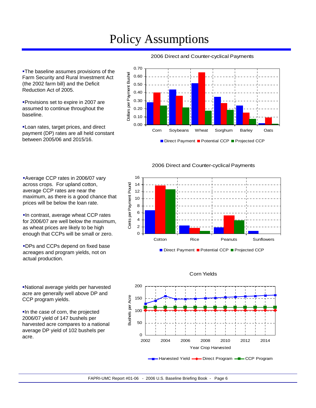## Policy Assumptions

**-The baseline assumes provisions of the** Farm Security and Rural Investment Act (the 2002 farm bill) and the Deficit Reduction Act of 2005. 0.40 0.50 0.60

**Provisions set to expire in 2007 are** assumed to continue throughout the baseline.

Loan rates, target prices, and direct payment (DP) rates are all held constant between 2005/06 and 2015/16.

Average CCP rates in 2006/07 vary across crops. For upland cotton, average CCP rates are near the

prices will be below the loan rate.

maximum, as there is a good chance that

**In contrast, average wheat CCP rates** for 2006/07 are well below the maximum, as wheat prices are likely to be high enough that CCPs will be small or zero.

DPs and CCPs depend on fixed base acreages and program yields, not on

actual production.



### 2006 Direct and Counter-cyclical Payments

2006 Direct and Counter-cyclical Payments

16 Cents per Payment Pound 14 Cents per Payment Pound 12 10 8 6 4 2 0 Cotton **Rice Peanuts** Sunflowers

Direct Payment Potential CCP Projected CCP



#### Corn Yields

National average yields per harvested

acre are generally well above DP and CCP program yields.

In the case of corn, the projected 2006/07 yield of 147 bushels per harvested acre compares to a national average DP yield of 102 bushels per acre.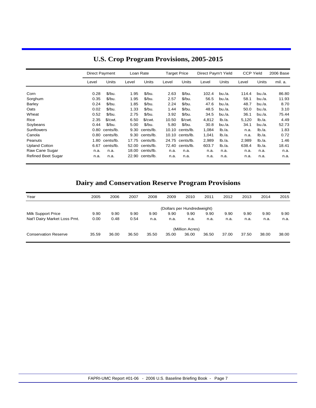|                           | <b>Direct Payment</b> |                  |       | Loan Rate       |       | <b>Target Price</b> | Direct Paym't Yield |        | <b>CCP Yield</b> |        | 2006 Base |
|---------------------------|-----------------------|------------------|-------|-----------------|-------|---------------------|---------------------|--------|------------------|--------|-----------|
|                           | Level                 | Units            | Level | Units           | Level | Units               | Level               | Units  | Level            | Units  | mil. a.   |
| Corn                      | 0.28                  | $$$ /bu.         | 1.95  | $$$ /bu.        | 2.63  | \$/bu.              | 102.4               | bu/a.  | 114.4            | bu/a.  | 86.80     |
|                           |                       |                  |       |                 |       |                     |                     |        |                  |        |           |
| Sorghum                   | 0.35                  | $$$ /bu.         | 1.95  | \$/bu.          | 2.57  | \$/bu.              | 56.5                | bu./a. | 58.1             | bu./a. | 11.93     |
| Barley                    | 0.24                  | $$$ /bu.         | 1.85  | \$/bu.          | 2.24  | $$$ /bu.            | 47.6                | bu./a. | 48.7             | bu./a. | 8.70      |
| Oats                      | 0.02                  | \$/bu.           | 1.33  | \$/bu.          | 1.44  | $$$ /bu.            | 48.5                | bu./a. | 50.0             | bu./a. | 3.10      |
| Wheat                     | 0.52                  | $$$ /bu.         | 2.75  | \$/bu.          | 3.92  | $$$ /bu.            | 34.5                | bu./a. | 36.1             | bu./a. | 75.44     |
| Rice                      | 2.35                  | \$/cut.          | 6.50  | $$/cut$ .       | 10.50 | $$/cut$ .           | 4.812               | lb/a.  | 5,120            | Ib/a.  | 4.49      |
| Soybeans                  | 0.44                  | $$$ /bu.         | 5.00  | \$/bu.          | 5.80  | \$/bu.              | 30.8                | bu./a. | 34.1             | bu./a. | 52.73     |
| Sunflowers                |                       | 0.80 cents/lb.   | 9.30  | cents/lb.       | 10.10 | cents/lb.           | 1.084               | Ib/a.  | n.a.             | Ib/a.  | 1.83      |
| Canola                    |                       | $0.80$ cents/lb. |       | 9.30 cents/lb.  |       | $10.10$ cents/lb.   | 1.041               | lb/a.  | n.a.             | Ib/a.  | 0.72      |
| Peanuts                   |                       | 1.80 cents/lb.   |       | 17.75 cents/lb. | 24.75 | cents/lb.           | 2,989               | lb/a.  | 2,989            | lb/a.  | 1.46      |
| <b>Upland Cotton</b>      | 6.67                  | cents/lb.        |       | 52.00 cents/lb. | 72.40 | cents/lb.           | 603.7               | lb/a.  | 638.4            | lb/a.  | 18.41     |
| Raw Cane Sugar            | n.a.                  | n.a.             |       | 18.00 cents/lb. | n.a.  | n.a.                | n.a.                | n.a.   | n.a.             | n.a.   | n.a.      |
| <b>Refined Beet Sugar</b> | n.a.                  | n.a.             |       | 22.90 cents/lb. | n.a.  | n.a.                | n.a.                | n.a.   | n.a.             | n.a.   | n.a.      |

### **U.S. Crop Program Provisions, 2005-2015**

### **Dairy and Conservation Reserve Program Provisions**

| Year                         | 2005  | 2006  | 2007  | 2008  | 2009                        | 2010            | 2011  | 2012  | 2013  | 2014  | 2015  |
|------------------------------|-------|-------|-------|-------|-----------------------------|-----------------|-------|-------|-------|-------|-------|
|                              |       |       |       |       | (Dollars per Hundredweight) |                 |       |       |       |       |       |
| <b>Milk Support Price</b>    | 9.90  | 9.90  | 9.90  | 9.90  | 9.90                        | 9.90            | 9.90  | 9.90  | 9.90  | 9.90  | 9.90  |
| Nat'l Dairy Market Loss Pmt. | 0.00  | 0.48  | 0.54  | n.a.  | n.a.                        | n.a.            | n.a.  | n.a.  | n.a.  | n.a.  | n.a.  |
|                              |       |       |       |       |                             | (Million Acres) |       |       |       |       |       |
| <b>Conservation Reserve</b>  | 35.59 | 36.00 | 36.50 | 35.50 | 35.00                       | 36.00           | 36.50 | 37.00 | 37.50 | 38.00 | 38.00 |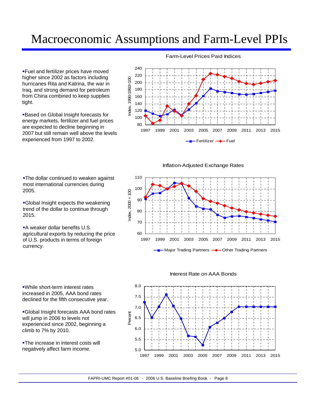## Macroeconomic Assumptions and Farm-Level PPIs

Fuel and fertilizer prices have moved higher since 2002 as factors including hurricanes Rita and Katrina, the war in Iraq, and strong demand for petroleum from China combined to keep supplies tight.

Based on Global Insight forecasts for energy markets, fertilizer and fuel prices are expected to decline beginning in 2007 but still remain well above the levels experienced from 1997 to 2002.

#### Farm-Level Prices Paid Indices



Inflation-Adjusted Exchange Rates



**-The dollar continued to weaken against** most international currencies during 2005.

Global Insight expects the weakening trend of the dollar to continue through 2015.

**A weaker dollar benefits U.S.** agricultural exports by reducing the price of U.S. products in terms of foreign currency.

While short-term interest rates increased in 2005, AAA bond rates declined for the fifth consecutive year.

Global Insight forecasts AAA bond rates will jump in 2006 to levels not experienced since 2002, beginning a climb to 7% by 2010.

**-The increase in interest costs will** negatively affect farm income.

Interest Rate on AAA Bonds

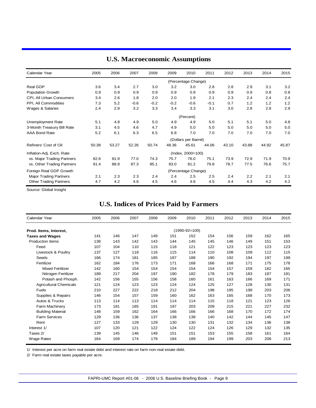| Calendar Year                 | 2005  | 2006  | 2007   | 2008   | 2009   | 2010                 | 2011   | 2012  | 2013  | 2014  | 2015  |
|-------------------------------|-------|-------|--------|--------|--------|----------------------|--------|-------|-------|-------|-------|
|                               |       |       |        |        |        | (Percentage Change)  |        |       |       |       |       |
| Real GDP                      | 3.6   | 3.4   | 2.7    | 3.0    | 3.2    | 3.0                  | 2.8    | 2.8   | 2.9   | 3.1   | 3.2   |
| <b>Population Growth</b>      | 0.9   | 0.9   | 0.9    | 0.9    | 0.9    | 0.9                  | 0.9    | 0.9   | 0.9   | 0.8   | 0.8   |
| CPI, All Urban Consumers      | 3.4   | 2.6   | 1.8    | 2.0    | 2.0    | 1.9                  | 2.1    | 2.3   | 2.4   | 2.4   | 2.4   |
| PPI, All Commodities          | 7.3   | 5.2   | $-0.6$ | $-0.2$ | $-0.2$ | $-0.6$               | $-0.1$ | 0.7   | 1.2   | 1.2   | 1.2   |
| Wages & Salaries              | 2.4   | 2.9   | 3.2    | 3.3    | 3.4    | 3.3                  | 3.1    | 3.0   | 2.8   | 2.8   | 2.9   |
|                               |       |       |        |        |        | (Percent)            |        |       |       |       |       |
| Unemployment Rate             | 5.1   | 4.8   | 4.9    | 5.0    | 4.9    | 4.9                  | 5.0    | 5.1   | 5.1   | 5.0   | 4.8   |
| 3-Month Treasury Bill Rate    | 3.1   | 4.5   | 4.6    | 4.7    | 4.9    | 5.0                  | 5.0    | 5.0   | 5.0   | 5.0   | 5.0   |
| AAA Bond Rate                 | 5.2   | 6.1   | 6.3    | 6.5    | 6.8    | 7.0                  | 7.0    | 7.0   | 7.0   | 7.0   | 7.0   |
|                               |       |       |        |        |        | (Dollars per Barrel) |        |       |       |       |       |
| Refiners' Cost of Oil         | 50.38 | 53.27 | 52.26  | 50.74  | 48.36  | 45.61                | 44.06  | 43.10 | 43.88 | 44.92 | 45.87 |
| Inflation-Adj. Exch. Rate     |       |       |        |        |        | (Index, 2000=100)    |        |       |       |       |       |
| vs. Major Trading Partners    | 82.6  | 81.9  | 77.0   | 74.3   | 75.7   | 76.0                 | 75.1   | 73.9  | 72.9  | 71.9  | 70.9  |
| vs. Other Trading Partners    | 91.4  | 88.9  | 87.3   | 85.1   | 83.0   | 81.2                 | 79.8   | 78.7  | 77.5  | 76.6  | 75.7  |
| Foreign Real GDP Growth       |       |       |        |        |        | (Percentage Change)  |        |       |       |       |       |
| <b>Major Trading Partners</b> | 2.1   | 2.3   | 2.3    | 2.4    | 2.4    | 2.5                  | 2.5    | 2.4   | 2.2   | 2.1   | 2.1   |
| <b>Other Trading Partners</b> | 4.7   | 4.2   | 4.6    | 4.5    | 4.6    | 4.6                  | 4.5    | 4.4   | 4.3   | 4.2   | 4.2   |

### **U.S. Macroeconomic Assumptions**

Source: Global Insight

### **U.S. Indices of Prices Paid by Farmers**

| Calendar Year                 | 2005 | 2006 | 2007 | 2008 | 2009 | 2010            | 2011 | 2012 | 2013 | 2014 | 2015 |
|-------------------------------|------|------|------|------|------|-----------------|------|------|------|------|------|
| Prod. Items, Interest,        |      |      |      |      |      | $(1990-92=100)$ |      |      |      |      |      |
| <b>Taxes and Wages</b>        | 141  | 146  | 147  | 149  | 151  | 152             | 154  | 156  | 159  | 162  | 165  |
| <b>Production Items</b>       | 138  | 143  | 142  | 143  | 144  | 145             | 145  | 146  | 149  | 151  | 153  |
| Feed                          | 107  | 104  | 110  | 115  | 118  | 121             | 122  | 123  | 123  | 123  | 123  |
| Livestock & Poultry           | 137  | 127  | 118  | 116  | 115  | 114             | 110  | 108  | 109  | 112  | 115  |
| Seeds                         | 166  | 174  | 181  | 185  | 187  | 188             | 190  | 192  | 194  | 197  | 199  |
| Fertilizer                    | 162  | 184  | 176  | 173  | 171  | 168             | 166  | 168  | 171  | 175  | 178  |
| <b>Mixed Fertilizer</b>       | 142  | 160  | 154  | 154  | 154  | 154             | 154  | 157  | 159  | 162  | 165  |
| Nitrogen Fertilizer           | 189  | 217  | 204  | 197  | 190  | 182             | 178  | 179  | 183  | 187  | 191  |
| Potash and Phosph.            | 142  | 156  | 155  | 156  | 158  | 160             | 161  | 163  | 166  | 169  | 171  |
| <b>Agricultural Chemicals</b> | 121  | 124  | 123  | 123  | 124  | 124             | 125  | 127  | 128  | 130  | 131  |
| <b>Fuels</b>                  | 210  | 227  | 222  | 218  | 212  | 204             | 198  | 195  | 199  | 203  | 206  |
| Supplies & Repairs            | 146  | 154  | 157  | 159  | 160  | 162             | 163  | 165  | 168  | 170  | 173  |
| Autos & Trucks                | 113  | 114  | 113  | 114  | 114  | 114             | 115  | 118  | 121  | 123  | 126  |
| Farm Machinery                | 173  | 181  | 185  | 191  | 197  | 203             | 209  | 215  | 221  | 227  | 232  |
| <b>Building Material</b>      | 148  | 159  | 162  | 164  | 166  | 166             | 166  | 168  | 170  | 172  | 174  |
| <b>Farm Services</b>          | 129  | 136  | 136  | 137  | 138  | 138             | 140  | 142  | 144  | 145  | 147  |
| Rent                          | 127  | 133  | 129  | 129  | 130  | 130             | 131  | 132  | 134  | 136  | 138  |
| Interest 1/                   | 107  | 120  | 121  | 122  | 124  | 122             | 124  | 126  | 129  | 132  | 135  |
| Taxes 2/                      | 139  | 145  | 146  | 149  | 151  | 151             | 153  | 155  | 158  | 161  | 164  |
| Wage Rates                    | 164  | 169  | 174  | 179  | 184  | 189             | 194  | 199  | 203  | 208  | 213  |

1/ Interest per acre on farm real estate debt and interest rate on farm non-real estate debt.

2/ Farm real estate taxes payable per acre.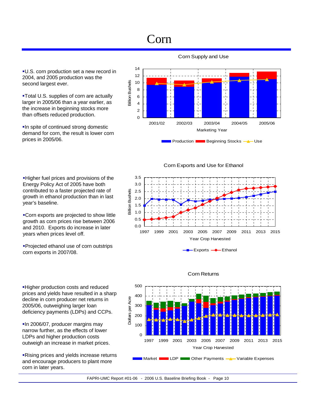## Corn

U.S. corn production set a new record in 2004, and 2005 production was the second largest ever.

Total U.S. supplies of corn are actually larger in 2005/06 than a year earlier, as the increase in beginning stocks more than offsets reduced production.

**In spite of continued strong domestic** demand for corn, the result is lower corn prices in 2005/06.

Higher fuel prices and provisions of the Energy Policy Act of 2005 have both contributed to a faster projected rate of growth in ethanol production than in last year's baseline.

Corn exports are projected to show little growth as corn prices rise between 2006 and 2010. Exports do increase in later years when prices level off.

Projected ethanol use of corn outstrips corn exports in 2007/08.

Higher production costs and reduced prices and yields have resulted in a sharp decline in corn producer net returns in 2005/06, outweighing larger loan deficiency payments (LDPs) and CCPs.

In 2006/07, producer margins may narrow further, as the effects of lower LDPs and higher production costs outweigh an increase in market prices.

Rising prices and yields increase returns and encourage producers to plant more corn in later years.

Corn Supply and Use



Corn Exports and Use for Ethanol





#### Corn Returns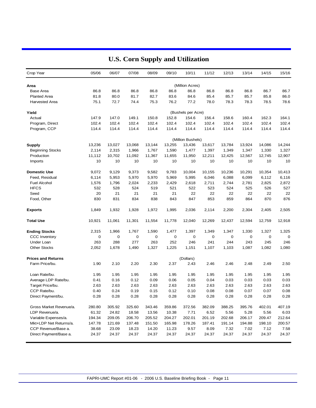| Crop Year                 | 05/06  | 06/07  | 07/08  | 08/09  | 09/10  | 10/11              | 11/12  | 12/13  | 13/14  | 14/15       | 15/16       |
|---------------------------|--------|--------|--------|--------|--------|--------------------|--------|--------|--------|-------------|-------------|
| Area                      |        |        |        |        |        | (Million Acres)    |        |        |        |             |             |
| <b>Base Area</b>          | 86.8   | 86.8   | 86.8   | 86.8   | 86.8   | 86.8               | 86.8   | 86.8   | 86.8   | 86.7        | 86.7        |
| <b>Planted Area</b>       | 81.8   | 80.0   | 81.7   | 82.7   | 83.6   | 84.6               | 85.4   | 85.7   | 85.7   | 85.8        | 86.0        |
| <b>Harvested Area</b>     | 75.1   | 72.7   | 74.4   | 75.3   | 76.2   | 77.2               | 78.0   | 78.3   | 78.3   | 78.5        | 78.6        |
| Yield                     |        |        |        |        |        | (Bushels per Acre) |        |        |        |             |             |
| Actual                    | 147.9  | 147.0  | 149.1  | 150.8  | 152.8  | 154.6              | 156.4  | 158.6  | 160.4  | 162.3       | 164.1       |
| Program, Direct           | 102.4  | 102.4  | 102.4  | 102.4  | 102.4  | 102.4              | 102.4  | 102.4  | 102.4  | 102.4       | 102.4       |
| Program, CCP              | 114.4  | 114.4  | 114.4  | 114.4  | 114.4  | 114.4              | 114.4  | 114.4  | 114.4  | 114.4       | 114.4       |
|                           |        |        |        |        |        | (Million Bushels)  |        |        |        |             |             |
| <b>Supply</b>             | 13,236 | 13,027 | 13,068 | 13,144 | 13,255 | 13,436             | 13,617 | 13,784 | 13,924 | 14,086      | 14,244      |
| <b>Beginning Stocks</b>   | 2,114  | 2,315  | 1,966  | 1,767  | 1,590  | 1,477              | 1,397  | 1,349  | 1,347  | 1,330       | 1,327       |
| Production                | 11,112 | 10,702 | 11,092 | 11,367 | 11,655 | 11,950             | 12,211 | 12,425 | 12,567 | 12,745      | 12,907      |
| Imports                   | 10     | 10     | 10     | 10     | 10     | 10                 | 10     | 10     | 10     | 10          | 10          |
| <b>Domestic Use</b>       | 9,072  | 9,129  | 9,373  | 9,582  | 9,783  | 10,004             | 10,155 | 10,236 | 10,291 | 10,354      | 10,413      |
| Feed, Residual            | 6,114  | 5,953  | 5,970  | 5,970  | 5,969  | 5,995              | 6,046  | 6,088  | 6,099  | 6,112       | 6,116       |
| <b>Fuel Alcohol</b>       | 1,576  | 1,796  | 2,024  | 2,233  | 2,429  | 2,618              | 2,711  | 2,744  | 2,781  | 2,825       | 2,872       |
| <b>HFCS</b>               | 532    | 528    | 524    | 519    | 521    | 522                | 523    | 524    | 525    | 526         | 527         |
| Seed                      | 20     | 21     | 21     | 21     | 21     | 22                 | 22     | 22     | 22     | 22          | 22          |
| Food, Other               | 830    | 831    | 834    | 838    | 843    | 847                | 853    | 859    | 864    | 870         | 876         |
| <b>Exports</b>            | 1,849  | 1,932  | 1,928  | 1,972  | 1,995  | 2,036              | 2,114  | 2,200  | 2,304  | 2,405       | 2,505       |
| <b>Total Use</b>          | 10,921 | 11,061 | 11,301 | 11,554 | 11,778 | 12,040             | 12,269 | 12,437 | 12,594 | 12,759      | 12,918      |
| <b>Ending Stocks</b>      | 2,315  | 1,966  | 1,767  | 1,590  | 1,477  | 1,397              | 1,349  | 1,347  | 1,330  | 1,327       | 1,325       |
| <b>CCC Inventory</b>      | 0      | 0      | 0      | 0      | 0      | 0                  | 0      | 0      | 0      | $\mathbf 0$ | $\mathbf 0$ |
| Under Loan                | 263    | 288    | 277    | 263    | 252    | 246                | 241    | 244    | 243    | 245         | 246         |
| <b>Other Stocks</b>       | 2,052  | 1,678  | 1,490  | 1,327  | 1,225  | 1,151              | 1,107  | 1,103  | 1,087  | 1,082       | 1,080       |
| <b>Prices and Returns</b> |        |        |        |        |        | (Dollars)          |        |        |        |             |             |
| Farm Price/bu.            | 1.90   | 2.10   | 2.20   | 2.30   | 2.37   | 2.43               | 2.46   | 2.46   | 2.48   | 2.49        | 2.50        |
| Loan Rate/bu.             | 1.95   | 1.95   | 1.95   | 1.95   | 1.95   | 1.95               | 1.95   | 1.95   | 1.95   | 1.95        | 1.95        |
| Average LDP Rate/bu.      | 0.41   | 0.16   | 0.12   | 0.09   | 0.06   | 0.05               | 0.04   | 0.03   | 0.03   | 0.03        | 0.03        |
| Target Price/bu.          | 2.63   | 2.63   | 2.63   | 2.63   | 2.63   | 2.63               | 2.63   | 2.63   | 2.63   | 2.63        | 2.63        |
| CCP Rate/bu.              | 0.40   | 0.24   | 0.19   | 0.15   | 0.12   | 0.10               | 0.08   | 0.08   | 0.07   | 0.07        | 0.08        |
| Direct Payment/bu.        | 0.28   | 0.28   | 0.28   | 0.28   | 0.28   | 0.28               | 0.28   | 0.28   | 0.28   | 0.28        | 0.28        |
| Gross Market Revenue/a.   | 280.80 | 305.92 | 325.60 | 343.46 | 359.86 | 372.56             | 382.09 | 388.25 | 395.76 | 402.01      | 407.19      |
| LDP Revenue/a.            | 61.32  | 24.82  | 18.58  | 13.56  | 10.38  | 7.71               | 6.52   | 5.56   | 5.28   | 5.56        | 6.03        |
| Variable Expenses/a.      | 194.34 | 209.05 | 206.70 | 205.52 | 204.27 | 202.01             | 201.19 | 202.68 | 206.17 | 209.47      | 212.64      |
| Mkt+LDP Net Returns/a.    | 147.78 | 121.69 | 137.48 | 151.50 | 165.98 | 178.26             | 187.41 | 191.14 | 194.88 | 198.10      | 200.57      |
| CCP Revenue/Base a.       | 38.68  | 23.09  | 18.23  | 14.20  | 11.23  | 9.57               | 8.09   | 7.32   | 7.02   | 7.12        | 7.58        |
| Direct Payment/Base a.    | 24.37  | 24.37  | 24.37  | 24.37  | 24.37  | 24.37              | 24.37  | 24.37  | 24.37  | 24.37       | 24.37       |

### **U.S. Corn Supply and Utilization**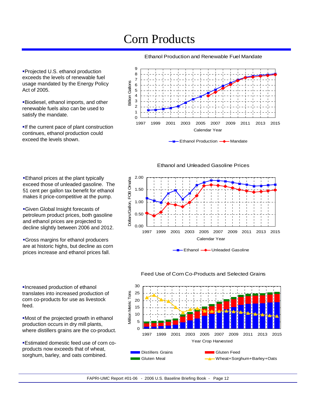## Corn Products

Ethanol Production and Renewable Fuel Mandate

Projected U.S. ethanol production exceeds the levels of renewable fuel usage mandated by the Energy Policy Act of 2005.

Biodiesel, ethanol imports, and other renewable fuels also can be used to satisfy the mandate.

**If the current pace of plant construction** continues, ethanol production could exceed the levels shown.

**Ethanol prices at the plant typically** exceed those of unleaded gasoline. The 51 cent per gallon tax benefit for ethanol makes it price-competitive at the pump.

Given Global Insight forecasts of petroleum product prices, both gasoline and ethanol prices are projected to decline slightly between 2006 and 2012.

Gross margins for ethanol producers



Ethanol and Unleaded Gasoline Prices





Increased production of ethanol translates into increased production of corn co-products for use as livestock feed.

Most of the projected growth in ethanol production occurs in dry mill plants, where distillers grains are the co-product.

Estimated domestic feed use of corn coproducts now exceeds that of wheat, sorghum, barley, and oats combined.



#### Feed Use of Corn Co-Products and Selected Grains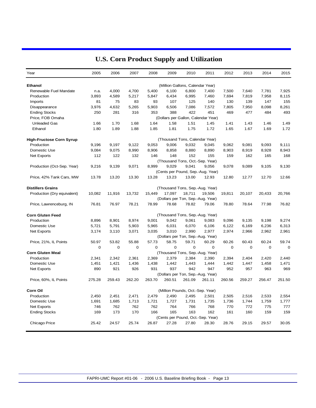| Year                            | 2005   | 2006   | 2007   | 2008        | 2009   | 2010                              | 2011                                | 2012        | 2013        | 2014   | 2015        |
|---------------------------------|--------|--------|--------|-------------|--------|-----------------------------------|-------------------------------------|-------------|-------------|--------|-------------|
| <b>Ethanol</b>                  |        |        |        |             |        | (Million Gallons, Calendar Year)  |                                     |             |             |        |             |
| Renewable Fuel Mandate          | n.a.   | 4,000  | 4,700  | 5,400       | 6,100  | 6,800                             | 7,400                               | 7,500       | 7,640       | 7,781  | 7,925       |
| Production                      | 3,893  | 4,589  | 5,217  | 5,847       | 6,434  | 6,995                             | 7,460                               | 7,694       | 7,819       | 7,958  | 8,115       |
| Imports                         | 81     | 75     | 83     | 93          | 107    | 125                               | 140                                 | 130         | 139         | 147    | 155         |
| Disappearance                   | 3,976  | 4,632  | 5,265  | 5,903       | 6,506  | 7,086                             | 7,572                               | 7,805       | 7,950       | 8,098  | 8,261       |
| <b>Ending Stocks</b>            | 250    | 281    | 316    | 353         | 388    | 422                               | 451                                 | 469         | 477         | 484    | 493         |
| Price, FOB Omaha                |        |        |        |             |        |                                   | (Dollars per Gallon, Calendar Year) |             |             |        |             |
| <b>Unleaded Gas</b>             | 1.66   | 1.70   | 1.68   | 1.64        | 1.58   | 1.51                              | 1.45                                | 1.41        | 1.43        | 1.46   | 1.49        |
| Ethanol                         | 1.80   | 1.89   | 1.88   | 1.85        | 1.81   | 1.75                              | 1.72                                | 1.65        | 1.67        | 1.69   | 1.72        |
| <b>High-Fructose Corn Syrup</b> |        |        |        |             |        | (Thousand Tons, Calendar Year)    |                                     |             |             |        |             |
| Production                      | 9,196  | 9,197  | 9,122  | 9,053       | 9,006  | 9,032                             | 9,045                               | 9,062       | 9,081       | 9,093  | 9,111       |
| Domestic Use                    | 9,084  | 9,075  | 8,990  | 8,906       | 8,858  | 8,880                             | 8,890                               | 8,903       | 8,919       | 8,928  | 8,943       |
| Net Exports                     | 112    | 122    | 132    | 146         | 148    | 152                               | 155                                 | 159         | 162         | 165    | 168         |
|                                 |        |        |        |             |        | (Thousand Tons, Oct.-Sep. Year)   |                                     |             |             |        |             |
| Production (Oct-Sep. Year)      | 9,216  | 9,139  | 9,071  | 8,999       | 9,029  | 9,041                             | 9,056                               | 9,078       | 9,089       | 9,105  | 9,130       |
|                                 |        |        |        |             |        |                                   | (Cents per Pound, Sep.-Aug. Year)   |             |             |        |             |
| Price, 42% Tank Cars, MW        | 13.78  | 13.20  | 13.30  | 13.28       | 13.23  | 13.00                             | 12.93                               | 12.80       | 12.77       | 12.70  | 12.66       |
| <b>Distillers Grains</b>        |        |        |        |             |        |                                   | (Thousand Tons, Sep.-Aug. Year)     |             |             |        |             |
| Production (Dry equivalent)     | 10,082 | 11,916 | 13,732 | 15,449      | 17,097 | 18,711                            | 19,506                              | 19,811      | 20,107      | 20,433 | 20,766      |
|                                 |        |        |        |             |        | (Dollars per Ton, Sep.-Aug. Year) |                                     |             |             |        |             |
| Price, Lawrenceburg, IN         | 76.81  | 76.97  | 78.21  | 78.99       | 78.68  | 78.82                             | 79.06                               | 78.80       | 78.64       | 77.98  | 76.82       |
| <b>Corn Gluten Feed</b>         |        |        |        |             |        |                                   | (Thousand Tons, Sep.-Aug. Year)     |             |             |        |             |
| Production                      | 8,896  | 8,901  | 8,974  | 9,001       | 9,042  | 9,061                             | 9,083                               | 9,096       | 9,135       | 9,198  | 9,274       |
| Domestic Use                    | 5,721  | 5,791  | 5,903  | 5,965       | 6,031  | 6,070                             | 6,106                               | 6,122       | 6,169       | 6,236  | 6,313       |
| Net Exports                     | 3,174  | 3,110  | 3,071  | 3,035       | 3,010  | 2,990                             | 2,977                               | 2,974       | 2,966       | 2,962  | 2,961       |
|                                 |        |        |        |             |        | (Dollars per Ton, Sep.-Aug. Year) |                                     |             |             |        |             |
| Price, 21%, IL Points           | 50.97  | 53.82  | 55.88  | 57.73       | 58.75  | 59.71                             | 60.29                               | 60.26       | 60.43       | 60.24  | 59.74       |
|                                 | 0      | 0      | 0      | $\mathbf 0$ | 0      | $\mathbf 0$                       | 0                                   | $\mathbf 0$ | $\mathbf 0$ | 0      | $\mathbf 0$ |
| <b>Corn Gluten Meal</b>         |        |        |        |             |        | (Thousand Tons, Sep.-Aug. Year)   |                                     |             |             |        |             |
| Production                      | 2,341  | 2.342  | 2,361  | 2,369       | 2,379  | 2,384                             | 2,390                               | 2,394       | 2.404       | 2,420  | 2.440       |
| Domestic Use                    | 1,451  | 1,421  | 1,436  | 1,438       | 1,442  | 1,443                             | 1,444                               | 1,442       | 1,447       | 1,458  | 1,471       |
| Net Exports                     | 890    | 921    | 926    | 931         | 937    | 942                               | 947                                 | 952         | 957         | 963    | 969         |
|                                 |        |        |        |             |        | (Dollars per Ton, Sep.-Aug. Year) |                                     |             |             |        |             |
| Price, 60%, IL Points           | 275.28 | 259.43 | 262.20 | 263.70      | 260.51 | 261.09                            | 261.11                              | 260.56      | 259.27      | 256.47 | 251.50      |
| Corn Oil                        |        |        |        |             |        | (Million Pounds, Oct.-Sep. Year)  |                                     |             |             |        |             |
| Production                      | 2,450  | 2,451  | 2,471  | 2,479       | 2,490  | 2,495                             | 2,501                               | 2,505       | 2,516       | 2,533  | 2,554       |
| Domestic Use                    | 1,691  | 1,685  | 1,713  | 1,721       | 1,727  | 1,731                             | 1,735                               | 1,736       | 1,744       | 1,759  | 1,777       |
| Net Exports                     | 746    | 762    | 762    | 762         | 764    | 766                               | 768                                 | 770         | 772         | 775    | 777         |
| <b>Ending Stocks</b>            | 169    | 173    | 170    | 166         | 165    | 163                               | 162                                 | 161         | 160         | 159    | 159         |
|                                 |        |        |        |             |        |                                   | (Cents per Pound, Oct.-Sep. Year)   |             |             |        |             |
| Chicago Price                   | 25.42  | 24.57  | 25.74  | 26.87       | 27.28  | 27.80                             | 28.30                               | 28.76       | 29.15       | 29.57  | 30.05       |

### **U.S. Corn Product Supply and Utilization**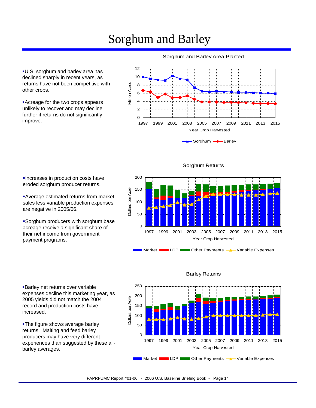## Sorghum and Barley

12 10 Million Acres Million Acres 8 6 4 2 0 1997 1999 2001 2003 2005 2007 2009 2011 2013 2015 Year Crop Harvested

Sorghum and Barley Area Planted





Increases in production costs have eroded sorghum producer returns.

U.S. sorghum and barley area has declined sharply in recent years, as returns have not been competitive with

Acreage for the two crops appears unlikely to recover and may decline further if returns do not significantly

other crops.

improve.

Average estimated returns from market sales less variable production expenses are negative in 2005/06.

Sorghum producers with sorghum base acreage receive a significant share of their net income from government payment programs.

Barley net returns over variable expenses decline this marketing year, as 2005 yields did not match the 2004 record and production costs have increased.

**-The figure shows average barley** returns. Malting and feed barley producers may have very different experiences than suggested by these allbarley averages.



Market **LDP** LDP Other Payments **4** Variable Expenses

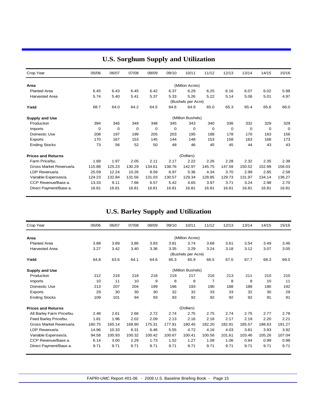| Crop Year                 | 05/06  | 06/07       | 07/08       | 08/09  | 09/10       | 10/11              | 11/12    | 12/13       | 13/14  | 14/15    | 15/16  |
|---------------------------|--------|-------------|-------------|--------|-------------|--------------------|----------|-------------|--------|----------|--------|
| Area                      |        |             |             |        |             | (Million Acres)    |          |             |        |          |        |
| <b>Planted Area</b>       | 6.45   | 6.43        | 6.45        | 6.42   | 6.37        | 6.29               | 6.25     | 6.16        | 6.07   | 6.02     | 5.98   |
| <b>Harvested Area</b>     | 5.74   | 5.40        | 5.41        | 5.37   | 5.33        | 5.26               | 5.22     | 5.14        | 5.06   | 5.01     | 4.97   |
|                           |        |             |             |        |             | (Bushels per Acre) |          |             |        |          |        |
| Yield                     | 68.7   | 64.0        | 64.2        | 64.5   | 64.6        | 64.9               | 65.0     | 65.3        | 65.4   | 65.6     | 66.0   |
| <b>Supply and Use</b>     |        |             |             |        |             | (Million Bushels)  |          |             |        |          |        |
| Production                | 394    | 346         | 349         | 348    | 345         | 343                | 340      | 336         | 332    | 329      | 329    |
| Imports                   | 0      | $\mathbf 0$ | $\mathbf 0$ | 0      | $\mathbf 0$ | 0                  | $\Omega$ | $\mathbf 0$ | 0      | $\Omega$ | 0      |
| Domestic Use              | 208    | 197         | 199         | 205    | 203         | 195                | 188      | 178         | 170    | 163      | 156    |
| Exports                   | 170    | 167         | 153         | 145    | 144         | 148                | 153      | 158         | 163    | 168      | 173    |
| <b>Ending Stocks</b>      | 73     | 56          | 52          | 50     | 48          | 46                 | 45       | 45          | 44     | 43       | 43     |
| <b>Prices and Returns</b> |        |             |             |        |             | (Dollars)          |          |             |        |          |        |
| Farm Price/bu.            | 1.69   | 1.97        | 2.05        | 2.11   | 2.17        | 2.22               | 2.26     | 2.28        | 2.32   | 2.35     | 2.38   |
| Gross Market Revenue/a.   | 115.88 | 125.23      | 130.29      | 134.61 | 138.76      | 142.97             | 145.75   | 147.59      | 150.52 | 152.99   | 156.03 |
| LDP Revenue/a.            | 25.59  | 12.24       | 10.26       | 8.59   | 6.97        | 5.36               | 4.34     | 3.70        | 2.99   | 2.85     | 2.58   |
| Variable Expenses/a.      | 124.23 | 132.84      | 131.56      | 131.03 | 130.57      | 129.34             | 128.85   | 129.73      | 131.97 | 134.14   | 136.27 |
| CCP Revenue/Base a.       | 13.33  | 9.11        | 7.66        | 6.57   | 5.42        | 4.65               | 3.97     | 3.71        | 3.24   | 2.98     | 2.70   |
| Direct Payment/Base a.    | 16.81  | 16.81       | 16.81       | 16.81  | 16.81       | 16.81              | 16.81    | 16.81       | 16.81  | 16.81    | 16.81  |

### **U.S. Sorghum Supply and Utilization**

### **U.S. Barley Supply and Utilization**

| Crop Year                 | 05/06  | 06/07  | 07/08  | 08/09  | 09/10  | 10/11              | 11/12          | 12/13  | 13/14  | 14/15  | 15/16  |
|---------------------------|--------|--------|--------|--------|--------|--------------------|----------------|--------|--------|--------|--------|
| Area                      |        |        |        |        |        | (Million Acres)    |                |        |        |        |        |
| <b>Planted Area</b>       | 3.88   | 3.89   | 3.86   | 3.83   | 3.81   | 3.74               | 3.68           | 3.61   | 3.54   | 3.49   | 3.46   |
| Harvested Area            | 3.27   | 3.42   | 3.40   | 3.36   | 3.35   | 3.29               | 3.24           | 3.18   | 3.12   | 3.07   | 3.05   |
|                           |        |        |        |        |        | (Bushels per Acre) |                |        |        |        |        |
| Yield                     | 64.8   | 63.6   | 64.1   | 64.6   | 65.3   | 65.9               | 66.5           | 67.0   | 67.7   | 68.3   | 69.0   |
| <b>Supply and Use</b>     |        |        |        |        |        | (Million Bushels)  |                |        |        |        |        |
| Production                | 212    | 218    | 218    | 218    | 219    | 217                | 216            | 213    | 211    | 210    | 210    |
| Imports                   | 10     | 11     | 10     | 9      | 8      | 8                  | $\overline{7}$ | 8      | 8      | 10     | 11     |
| Domestic Use              | 213    | 207    | 204    | 199    | 196    | 193                | 190            | 188    | 188    | 190    | 192    |
| Exports                   | 29     | 30     | 30     | 30     | 32     | 32                 | 33             | 33     | 32     | 30     | 29     |
| <b>Ending Stocks</b>      | 109    | 101    | 94     | 93     | 93     | 92                 | 92             | 92     | 92     | 91     | 91     |
| <b>Prices and Returns</b> |        |        |        |        |        | (Dollars)          |                |        |        |        |        |
| All Barley Farm Price/bu. | 2.48   | 2.61   | 2.66   | 2.72   | 2.74   | 2.75               | 2.75           | 2.74   | 2.75   | 2.77   | 2.78   |
| Feed Barley Price/bu.     | 1.81   | 1.96   | 2.02   | 2.09   | 2.13   | 2.16               | 2.18           | 2.17   | 2.19   | 2.20   | 2.21   |
| Gross Market Revenue/a.   | 160.75 | 165.14 | 169.90 | 175.31 | 177.91 | 180.45             | 182.20         | 182.91 | 185.57 | 188.63 | 191.27 |
| LDP Revenue/a.            | 14.96  | 10.33  | 8.31   | 6.46   | 5.55   | 4.72               | 4.16           | 4.03   | 3.81   | 3.93   | 3.92   |
| Variable Expenses/a.      | 94.58  | 100.93 | 100.32 | 100.42 | 100.67 | 100.41             | 100.58         | 101.61 | 103.46 | 105.26 | 107.04 |
| CCP Revenue/Base a.       | 6.14   | 3.00   | 2.29   | 1.73   | 1.52   | 1.27               | 1.08           | 1.06   | 0.94   | 0.99   | 0.98   |
| Direct Payment/Base a.    | 9.71   | 9.71   | 9.71   | 9.71   | 9.71   | 9.71               | 9.71           | 9.71   | 9.71   | 9.71   | 9.71   |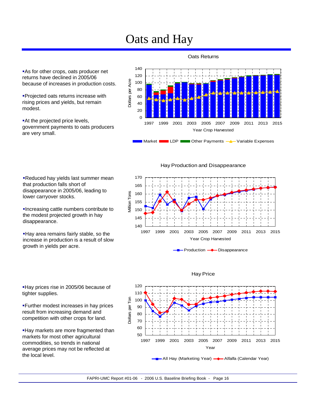## Oats and Hay

**As for other crops, oats producer net** returns have declined in 2005/06 because of increases in production costs.

Projected oats returns increase with rising prices and yields, but remain modest.

At the projected price levels, government payments to oats producers are very small.

### 140 120 Dollars per Acre Dollars per Acre 100 80 60 40 20  $\Omega$ 1997 1999 2001 2003 2005 2007 2009 2011 2013 2015 Year Crop Harvested Market **LDP LDP** Other Payments **A** Variable Expenses

Oats Returns

Hay Production and Disappearance

170 165 Villion Tons 160 Million Tons 155 150 145 140 1997 1999 2001 2003 2005 2007 2009 2011 2013 2015 Year Crop Harvested





Hay Price

All Hay (Marketing Year) - Alfalfa (Calendar Year)

Reduced hay yields last summer mean that production falls short of disappearance in 2005/06, leading to lower carryover stocks.

Increasing cattle numbers contribute to the modest projected growth in hay disappearance.

Hay area remains fairly stable, so the increase in production is a result of slow growth in yields per acre.

Hay prices rise in 2005/06 because of tighter supplies.

Further modest increases in hay prices result from increasing demand and competition with other crops for land.

**Hay markets are more fragmented than** markets for most other agricultural commodities, so trends in national average prices may not be reflected at the local level.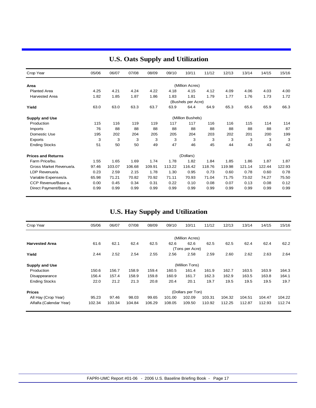| Crop Year                 | 05/06 | 06/07  | 07/08  | 08/09  | 09/10  | 10/11              | 11/12  | 12/13  | 13/14  | 14/15  | 15/16  |
|---------------------------|-------|--------|--------|--------|--------|--------------------|--------|--------|--------|--------|--------|
| Area                      |       |        |        |        |        | (Million Acres)    |        |        |        |        |        |
| <b>Planted Area</b>       | 4.25  | 4.21   | 4.24   | 4.22   | 4.18   | 4.15               | 4.12   | 4.09   | 4.06   | 4.03   | 4.00   |
| <b>Harvested Area</b>     | 1.82  | 1.85   | 1.87   | 1.86   | 1.83   | 1.81               | 1.79   | 1.77   | 1.76   | 1.73   | 1.72   |
|                           |       |        |        |        |        | (Bushels per Acre) |        |        |        |        |        |
| Yield                     | 63.0  | 63.0   | 63.3   | 63.7   | 63.9   | 64.4               | 64.9   | 65.3   | 65.6   | 65.9   | 66.3   |
| <b>Supply and Use</b>     |       |        |        |        |        | (Million Bushels)  |        |        |        |        |        |
| Production                | 115   | 116    | 119    | 119    | 117    | 117                | 116    | 116    | 115    | 114    | 114    |
| Imports                   | 76    | 88     | 88     | 88     | 88     | 88                 | 88     | 88     | 88     | 88     | 87     |
| Domestic Use              | 195   | 202    | 204    | 205    | 205    | 204                | 203    | 202    | 201    | 200    | 199    |
| Exports                   | 3     | 3      | 3      | 3      | 3      | 3                  | 3      | 3      | 3      | 3      | 3      |
| <b>Ending Stocks</b>      | 51    | 50     | 50     | 49     | 47     | 46                 | 45     | 44     | 43     | 43     | 42     |
| <b>Prices and Returns</b> |       |        |        |        |        | (Dollars)          |        |        |        |        |        |
| Farm Price/bu.            | 1.55  | 1.65   | 1.69   | 1.74   | 1.78   | 1.82               | 1.84   | 1.85   | 1.86   | 1.87   | 1.87   |
| Gross Market Revenue/a.   | 97.46 | 103.07 | 106.68 | 109.91 | 113.22 | 116.42             | 118.76 | 119.98 | 121.14 | 122.44 | 122.93 |
| LDP Revenue/a.            | 0.23  | 2.59   | 2.15   | 1.78   | 1.30   | 0.95               | 0.73   | 0.60   | 0.78   | 0.60   | 0.78   |
| Variable Expenses/a.      | 65.98 | 71.21  | 70.82  | 70.92  | 71.11  | 70.93              | 71.04  | 71.75  | 73.02  | 74.27  | 75.50  |
| CCP Revenue/Base a.       | 0.00  | 0.45   | 0.34   | 0.31   | 0.22   | 0.10               | 0.08   | 0.07   | 0.13   | 0.08   | 0.12   |
| Direct Payment/Base a.    | 0.99  | 0.99   | 0.99   | 0.99   | 0.99   | 0.99               | 0.99   | 0.99   | 0.99   | 0.99   | 0.99   |

### **U.S. Oats Supply and Utilization**

### **U.S. Hay Supply and Utilization**

| Crop Year               | 05/06  | 06/07  | 07/08  | 08/09  | 09/10  | 10/11             | 11/12  | 12/13  | 13/14  | 14/15  | 15/16  |
|-------------------------|--------|--------|--------|--------|--------|-------------------|--------|--------|--------|--------|--------|
|                         |        |        |        |        |        | (Million Acres)   |        |        |        |        |        |
| <b>Harvested Area</b>   | 61.6   | 62.1   | 62.4   | 62.5   | 62.6   | 62.6              | 62.5   | 62.5   | 62.4   | 62.4   | 62.2   |
|                         |        |        |        |        |        | (Tons per Acre)   |        |        |        |        |        |
| Yield                   | 2.44   | 2.52   | 2.54   | 2.55   | 2.56   | 2.58              | 2.59   | 2.60   | 2.62   | 2.63   | 2.64   |
| <b>Supply and Use</b>   |        |        |        |        |        | (Million Tons)    |        |        |        |        |        |
| Production              | 150.6  | 156.7  | 158.9  | 159.4  | 160.5  | 161.4             | 161.9  | 162.7  | 163.5  | 163.9  | 164.3  |
| Disappearance           | 156.4  | 157.4  | 158.9  | 159.8  | 160.9  | 161.7             | 162.3  | 162.9  | 163.5  | 163.8  | 164.1  |
| <b>Ending Stocks</b>    | 22.0   | 21.2   | 21.3   | 20.8   | 20.4   | 20.1              | 19.7   | 19.5   | 19.5   | 19.5   | 19.7   |
| <b>Prices</b>           |        |        |        |        |        | (Dollars per Ton) |        |        |        |        |        |
| All Hay (Crop Year)     | 95.23  | 97.46  | 98.03  | 99.65  | 101.00 | 102.09            | 103.31 | 104.32 | 104.51 | 104.47 | 104.22 |
| Alfalfa (Calendar Year) | 102.34 | 103.34 | 104.84 | 106.29 | 108.05 | 109.50            | 110.92 | 112.25 | 112.87 | 112.93 | 112.74 |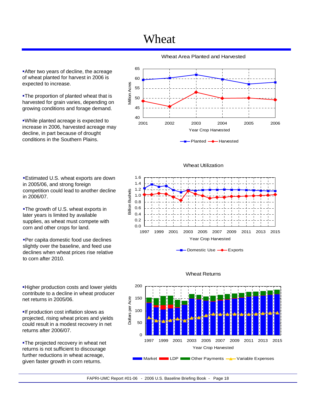## Wheat

**After two years of decline, the acreage** of wheat planted for harvest in 2006 is expected to increase.

The proportion of planted wheat that is harvested for grain varies, depending on growing conditions and forage demand.

While planted acreage is expected to increase in 2006, harvested acreage may decline, in part because of drought conditions in the Southern Plains.

Estimated U.S. wheat exports are down

competition could lead to another decline

**-The growth of U.S. wheat exports in** later years is limited by available supplies, as wheat must compete with

Per capita domestic food use declines slightly over the baseline, and feed use declines when wheat prices rise relative

in 2005/06, and strong foreign

corn and other crops for land.

to corn after 2010.

in 2006/07.

Wheat Area Planted and Harvested



Wheat Utilization



Domestic Use **-** Exports



#### Wheat Returns

Higher production costs and lower yields contribute to a decline in wheat producer net returns in 2005/06.

**If production cost inflation slows as** projected, rising wheat prices and yields could result in a modest recovery in net returns after 2006/07.

**-The projected recovery in wheat net** returns is not sufficient to discourage further reductions in wheat acreage, given faster growth in corn returns.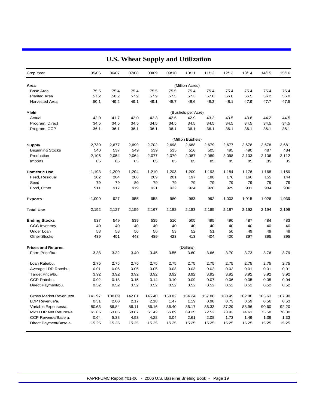| Crop Year                 | 05/06  | 06/07  | 07/08  | 08/09  | 09/10  | 10/11              | 11/12  | 12/13  | 13/14  | 14/15  | 15/16  |
|---------------------------|--------|--------|--------|--------|--------|--------------------|--------|--------|--------|--------|--------|
| Area                      |        |        |        |        |        | (Million Acres)    |        |        |        |        |        |
| <b>Base Area</b>          | 75.5   | 75.4   | 75.4   | 75.5   | 75.5   | 75.4               | 75.4   | 75.4   | 75.4   | 75.4   | 75.4   |
| <b>Planted Area</b>       | 57.2   | 58.2   | 57.9   | 57.9   | 57.5   | 57.3               | 57.0   | 56.8   | 56.5   | 56.2   | 56.0   |
| <b>Harvested Area</b>     | 50.1   | 49.2   | 49.1   | 49.1   | 48.7   | 48.6               | 48.3   | 48.1   | 47.9   | 47.7   | 47.5   |
| Yield                     |        |        |        |        |        | (Bushels per Acre) |        |        |        |        |        |
| Actual                    | 42.0   | 41.7   | 42.0   | 42.3   | 42.6   | 42.9               | 43.2   | 43.5   | 43.8   | 44.2   | 44.5   |
| Program, Direct           | 34.5   | 34.5   | 34.5   | 34.5   | 34.5   | 34.5               | 34.5   | 34.5   | 34.5   | 34.5   | 34.5   |
| Program, CCP              | 36.1   | 36.1   | 36.1   | 36.1   | 36.1   | 36.1               | 36.1   | 36.1   | 36.1   | 36.1   | 36.1   |
|                           |        |        |        |        |        | (Million Bushels)  |        |        |        |        |        |
| <b>Supply</b>             | 2,730  | 2,677  | 2,699  | 2,702  | 2,698  | 2,688              | 2,679  | 2,677  | 2,678  | 2,678  | 2,681  |
| <b>Beginning Stocks</b>   | 540    | 537    | 549    | 539    | 535    | 516                | 505    | 495    | 490    | 487    | 484    |
| Production                | 2,105  | 2,054  | 2,064  | 2,077  | 2,079  | 2,087              | 2,089  | 2,098  | 2,103  | 2,106  | 2,112  |
| Imports                   | 85     | 85     | 85     | 85     | 85     | 85                 | 85     | 85     | 85     | 85     | 85     |
| <b>Domestic Use</b>       | 1,193  | 1,200  | 1,204  | 1,210  | 1,203  | 1,200              | 1,193  | 1,184  | 1,176  | 1,168  | 1,159  |
| Feed, Residual            | 202    | 204    | 206    | 209    | 201    | 197                | 188    | 176    | 166    | 155    | 144    |
| Seed                      | 79     | 79     | 80     | 79     | 79     | 79                 | 79     | 79     | 79     | 79     | 79     |
| Food, Other               | 911    | 917    | 919    | 921    | 922    | 924                | 926    | 929    | 931    | 934    | 936    |
| <b>Exports</b>            | 1,000  | 927    | 955    | 958    | 980    | 983                | 992    | 1,003  | 1,015  | 1,026  | 1,039  |
| <b>Total Use</b>          | 2,192  | 2,127  | 2,159  | 2,167  | 2,182  | 2,183              | 2,185  | 2,187  | 2,192  | 2,194  | 2,198  |
| <b>Ending Stocks</b>      | 537    | 549    | 539    | 535    | 516    | 505                | 495    | 490    | 487    | 484    | 483    |
| <b>CCC Inventory</b>      | 40     | 40     | 40     | 40     | 40     | 40                 | 40     | 40     | 40     | 40     | 40     |
| Under Loan                | 58     | 58     | 56     | 56     | 53     | 52                 | 51     | 50     | 49     | 49     | 48     |
| <b>Other Stocks</b>       | 439    | 451    | 443    | 439    | 423    | 413                | 404    | 400    | 397    | 395    | 395    |
| <b>Prices and Returns</b> |        |        |        |        |        | (Dollars)          |        |        |        |        |        |
| Farm Price/bu.            | 3.38   | 3.32   | 3.40   | 3.45   | 3.55   | 3.60               | 3.66   | 3.70   | 3.73   | 3.76   | 3.79   |
| Loan Rate/bu.             | 2.75   | 2.75   | 2.75   | 2.75   | 2.75   | 2.75               | 2.75   | 2.75   | 2.75   | 2.75   | 2.75   |
| Average LDP Rate/bu.      | 0.01   | 0.06   | 0.05   | 0.05   | 0.03   | 0.03               | 0.02   | 0.02   | 0.01   | 0.01   | 0.01   |
| Target Price/bu.          | 3.92   | 3.92   | 3.92   | 3.92   | 3.92   | 3.92               | 3.92   | 3.92   | 3.92   | 3.92   | 3.92   |
| CCP Rate/bu.              | 0.02   | 0.18   | 0.15   | 0.14   | 0.10   | 0.09               | 0.07   | 0.06   | 0.05   | 0.05   | 0.04   |
| Direct Payment/bu.        | 0.52   | 0.52   | 0.52   | 0.52   | 0.52   | 0.52               | 0.52   | 0.52   | 0.52   | 0.52   | 0.52   |
| Gross Market Revenue/a.   | 141.97 | 138.09 | 142.61 | 145.40 | 150.82 | 154.24             | 157.88 | 160.49 | 162.98 | 165.63 | 167.98 |
| LDP Revenue/a.            | 0.31   | 2.60   | 2.17   | 2.18   | 1.47   | 1.19               | 0.98   | 0.73   | 0.59   | 0.56   | 0.53   |
| Variable Expenses/a.      | 80.63  | 86.84  | 86.11  | 86.16  | 86.40  | 86.17              | 86.33  | 87.29  | 88.96  | 90.60  | 92.20  |
| Mkt+LDP Net Returns/a.    | 61.65  | 53.85  | 58.67  | 61.42  | 65.89  | 69.25              | 72.52  | 73.93  | 74.61  | 75.58  | 76.30  |
| CCP Revenue/Base a.       | 0.64   | 5.38   | 4.53   | 4.28   | 3.04   | 2.61               | 2.08   | 1.73   | 1.49   | 1.39   | 1.33   |
| Direct Payment/Base a.    | 15.25  | 15.25  | 15.25  | 15.25  | 15.25  | 15.25              | 15.25  | 15.25  | 15.25  | 15.25  | 15.25  |

### **U.S. Wheat Supply and Utilization**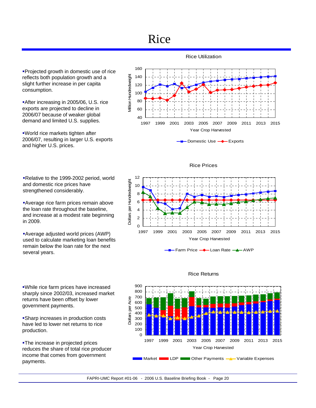## Rice

Projected growth in domestic use of rice reflects both population growth and a slight further increase in per capita consumption.

After increasing in 2005/06, U.S. rice exports are projected to decline in 2006/07 because of weaker global demand and limited U.S. supplies.

World rice markets tighten after 2006/07, resulting in larger U.S. exports and higher U.S. prices.

Relative to the 1999-2002 period, world and domestic rice prices have strengthened considerably.

Average rice farm prices remain above the loan rate throughout the baseline, and increase at a modest rate beginning in 2009.

Average adjusted world prices (AWP) used to calculate marketing loan benefits remain below the loan rate for the next several years.

While rice farm prices have increased sharply since 2002/03, increased market returns have been offset by lower government payments.

Sharp increases in production costs have led to lower net returns to rice production.

**-The increase in projected prices** reduces the share of total rice producer income that comes from government payments.



Rice Prices







#### Rice Returns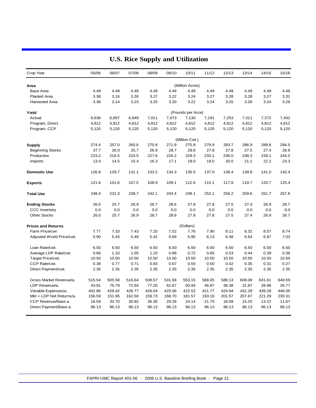| Crop Year                 | 05/06  | 06/07  | 07/08  | 08/09  | 09/10  | 10/11             | 11/12  | 12/13  | 13/14  | 14/15  | 15/16  |
|---------------------------|--------|--------|--------|--------|--------|-------------------|--------|--------|--------|--------|--------|
| Area                      |        |        |        |        |        | (Million Acres)   |        |        |        |        |        |
| <b>Base Area</b>          | 4.49   | 4.49   | 4.49   | 4.49   | 4.49   | 4.49              | 4.49   | 4.49   | 4.49   | 4.49   | 4.49   |
| <b>Planted Area</b>       | 3.38   | 3.16   | 3.26   | 3.27   | 3.22   | 3.24              | 3.27   | 3.28   | 3.28   | 3.27   | 3.31   |
| <b>Harvested Area</b>     | 3.36   | 3.14   | 3.23   | 3.25   | 3.20   | 3.22              | 3.24   | 3.25   | 3.26   | 3.24   | 3.28   |
|                           |        |        |        |        |        |                   |        |        |        |        |        |
| Yield                     |        |        |        |        |        | (Pounds per Acre) |        |        |        |        |        |
| Actual                    | 6,636  | 6,897  | 6,949  | 7,011  | 7,073  | 7,130             | 7,191  | 7,253  | 7,311  | 7,372  | 7,432  |
| Program, Direct           | 4,812  | 4,812  | 4,812  | 4,812  | 4,812  | 4,812             | 4,812  | 4,812  | 4,812  | 4,812  | 4,812  |
| Program, CCP              | 5,120  | 5,120  | 5,120  | 5,120  | 5,120  | 5,120             | 5,120  | 5,120  | 5,120  | 5,120  | 5,120  |
|                           |        |        |        |        |        | (Million Cwt.)    |        |        |        |        |        |
| Supply                    | 274.4  | 257.0  | 265.6  | 270.8  | 271.9  | 275.9             | 279.9  | 283.7  | 286.9  | 288.6  | 294.5  |
| <b>Beginning Stocks</b>   | 37.7   | 26.0   | 25.7   | 26.9   | 28.7   | 28.6              | 27.8   | 27.8   | 27.5   | 27.4   | 26.9   |
| Production                | 223.2  | 216.5  | 224.5  | 227.6  | 226.2  | 229.3             | 233.1  | 236.0  | 238.3  | 239.1  | 244.2  |
| Imports                   | 13.4   | 14.5   | 15.4   | 16.3   | 17.1   | 18.0              | 19.0   | 20.0   | 21.1   | 22.2   | 23.3   |
| <b>Domestic Use</b>       | 126.8  | 129.7  | 131.1  | 133.2  | 134.3  | 135.5             | 137.0  | 138.4  | 139.8  | 141.0  | 142.4  |
|                           |        |        |        |        |        |                   |        |        |        |        |        |
| <b>Exports</b>            | 121.6  | 101.6  | 107.5  | 108.9  | 109.1  | 112.6             | 115.1  | 117.8  | 119.7  | 120.7  | 125.4  |
| <b>Total Use</b>          | 248.4  | 231.3  | 238.7  | 242.1  | 243.4  | 248.1             | 252.1  | 256.2  | 259.6  | 261.7  | 267.8  |
| <b>Ending Stocks</b>      | 26.0   | 25.7   | 26.9   | 28.7   | 28.6   | 27.8              | 27.8   | 27.5   | 27.4   | 26.9   | 26.7   |
| <b>CCC Inventory</b>      | 0.0    | 0.0    | 0.0    | 0.0    | 0.0    | 0.0               | 0.0    | 0.0    | 0.0    | 0.0    | 0.0    |
| <b>Other Stocks</b>       | 26.0   | 25.7   | 26.9   | 28.7   | 28.6   | 27.8              | 27.8   | 27.5   | 27.4   | 26.9   | 26.7   |
| <b>Prices and Returns</b> |        |        |        |        |        | (Dollars)         |        |        |        |        |        |
| Farm Price/cwt            | 7.77   | 7.33   | 7.43   | 7.25   | 7.52   | 7.76              | 7.90   | 8.11   | 8.32   | 8.57   | 8.74   |
| Adjusted World Price/cwt. | 5.90   | 5.43   | 5.49   | 5.42   | 5.69   | 5.95              | 6.13   | 6.38   | 6.64   | 6.87   | 7.03   |
|                           |        |        |        |        |        |                   |        |        |        |        |        |
| Loan Rate/cwt.            | 6.50   | 6.50   | 6.50   | 6.50   | 6.50   | 6.50              | 6.50   | 6.50   | 6.50   | 6.50   | 6.50   |
| Average LDP Rate/cwt.     | 0.66   | 1.10   | 1.05   | 1.10   | 0.88   | 0.72              | 0.65   | 0.53   | 0.44   | 0.39   | 0.36   |
| Target Price/cwt.         | 10.50  | 10.50  | 10.50  | 10.50  | 10.50  | 10.50             | 10.50  | 10.50  | 10.50  | 10.50  | 10.50  |
| CCP Rate/cwt.             | 0.38   | 0.77   | 0.71   | 0.83   | 0.67   | 0.55              | 0.50   | 0.42   | 0.35   | 0.31   | 0.27   |
| Direct Payment/cwt.       | 2.35   | 2.35   | 2.35   | 2.35   | 2.35   | 2.35              | 2.35   | 2.35   | 2.35   | 2.35   | 2.35   |
| Gross Market Revenue/a.   | 515.54 | 505.58 | 516.64 | 508.57 | 531.58 | 553.15            | 568.05 | 588.13 | 608.08 | 631.61 | 649.59 |
| LDP Revenue/a.            | 43.91  | 75.79  | 72.64  | 77.20  | 62.67  | 50.94             | 46.87  | 38.38  | 31.87  | 28.96  | 26.77  |
| Variable Expenses/a.      | 402.86 | 429.42 | 426.77 | 426.04 | 425.56 | 422.52            | 421.77 | 424.94 | 432.28 | 439.28 | 446.05 |
| Mkt + LDP Net Returns/a.  | 156.59 | 151.95 | 162.50 | 159.73 | 168.70 | 181.57            | 193.16 | 201.57 | 207.67 | 221.29 | 230.31 |
| CCP Revenue/Base a.       | 16.59  | 33.70  | 30.82  | 36.30  | 29.29  | 24.14             | 21.75  | 18.09  | 15.25  | 13.37  | 11.67  |
| Direct Payment/Base a.    | 96.13  | 96.13  | 96.13  | 96.13  | 96.13  | 96.13             | 96.13  | 96.13  | 96.13  | 96.13  | 96.13  |
|                           |        |        |        |        |        |                   |        |        |        |        |        |

### **U.S. Rice Supply and Utilization**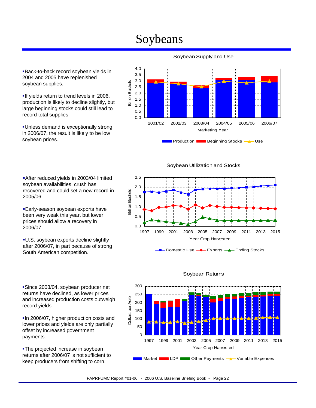## Soybeans

Back-to-back record soybean yields in 2004 and 2005 have replenished soybean supplies.

If yields return to trend levels in 2006, production is likely to decline slightly, but large beginning stocks could still lead to record total supplies.

Unless demand is exceptionally strong in 2006/07, the result is likely to be low soybean prices.

After reduced yields in 2003/04 limited soybean availabilities, crush has

recovered and could set a new record in

Early-season soybean exports have been very weak this year, but lower prices should allow a recovery in

U.S. soybean exports decline slightly after 2006/07, in part because of strong

South American competition.

2005/06.

2006/07.



Soybean Supply and Use

Soybean Utilization and Stocks



Domestic Use **-** Exports **-** Ending Stocks



#### Soybean Returns

Since 2003/04, soybean producer net returns have declined, as lower prices and increased production costs outweigh record yields.

In 2006/07, higher production costs and lower prices and yields are only partially offset by increased government payments.

**-The projected increase in soybean** returns after 2006/07 is not sufficient to keep producers from shifting to corn.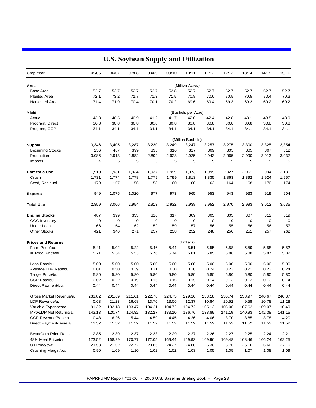| Crop Year                 | 05/06  | 06/07       | 07/08  | 08/09  | 09/10  | 10/11              | 11/12  | 12/13  | 13/14  | 14/15  | 15/16  |
|---------------------------|--------|-------------|--------|--------|--------|--------------------|--------|--------|--------|--------|--------|
| Area                      |        |             |        |        |        | (Million Acres)    |        |        |        |        |        |
| <b>Base Area</b>          | 52.7   | 52.7        | 52.7   | 52.7   | 52.8   | 52.7               | 52.7   | 52.7   | 52.7   | 52.7   | 52.7   |
| <b>Planted Area</b>       | 72.1   | 73.2        | 71.7   | 71.3   | 71.5   | 70.8               | 70.6   | 70.5   | 70.5   | 70.4   | 70.3   |
| <b>Harvested Area</b>     | 71.4   | 71.9        | 70.4   | 70.1   | 70.2   | 69.6               | 69.4   | 69.3   | 69.3   | 69.2   | 69.2   |
| Yield                     |        |             |        |        |        | (Bushels per Acre) |        |        |        |        |        |
| Actual                    | 43.3   | 40.5        | 40.9   | 41.2   | 41.7   | 42.0               | 42.4   | 42.8   | 43.1   | 43.5   | 43.9   |
| Program, Direct           | 30.8   | 30.8        | 30.8   | 30.8   | 30.8   | 30.8               | 30.8   | 30.8   | 30.8   | 30.8   | 30.8   |
| Program, CCP              | 34.1   | 34.1        | 34.1   | 34.1   | 34.1   | 34.1               | 34.1   | 34.1   | 34.1   | 34.1   | 34.1   |
|                           |        |             |        |        |        | (Million Bushels)  |        |        |        |        |        |
| <b>Supply</b>             | 3,346  | 3,405       | 3,287  | 3,230  | 3,249  | 3,247              | 3,257  | 3,275  | 3,300  | 3,325  | 3,354  |
| <b>Beginning Stocks</b>   | 256    | 487         | 399    | 333    | 316    | 317                | 309    | 305    | 305    | 307    | 312    |
| Production                | 3,086  | 2,913       | 2,882  | 2,892  | 2,928  | 2,925              | 2,943  | 2,965  | 2,990  | 3,013  | 3,037  |
| Imports                   | 4      | 5           | 5      | 5      | 5      | 5                  | 5      | 5      | 5      | 5      | 5      |
| <b>Domestic Use</b>       | 1,910  | 1,931       | 1,934  | 1,937  | 1,959  | 1,973              | 1,999  | 2,027  | 2,061  | 2,094  | 2,131  |
| Crush                     | 1,731  | 1,774       | 1,778  | 1,779  | 1,799  | 1,813              | 1,835  | 1,863  | 1,892  | 1,924  | 1,957  |
| Seed, Residual            | 179    | 157         | 156    | 158    | 160    | 160                | 163    | 164    | 168    | 170    | 174    |
| <b>Exports</b>            | 949    | 1,075       | 1,020  | 977    | 973    | 965                | 953    | 943    | 933    | 919    | 904    |
| <b>Total Use</b>          | 2,859  | 3,006       | 2,954  | 2,913  | 2,932  | 2,938              | 2,952  | 2,970  | 2,993  | 3,012  | 3,035  |
| <b>Ending Stocks</b>      | 487    | 399         | 333    | 316    | 317    | 309                | 305    | 305    | 307    | 312    | 319    |
| <b>CCC</b> Inventory      | 0      | $\mathbf 0$ | 0      | 0      | 0      | 0                  | 0      | 0      | 0      | 0      | 0      |
| Under Loan                | 66     | 54          | 62     | 59     | 59     | 57                 | 56     | 55     | 56     | 56     | 57     |
| <b>Other Stocks</b>       | 421    | 346         | 271    | 257    | 258    | 252                | 248    | 250    | 251    | 257    | 262    |
| <b>Prices and Returns</b> |        |             |        |        |        | (Dollars)          |        |        |        |        |        |
| Farm Price/bu.            | 5.41   | 5.02        | 5.22   | 5.46   | 5.44   | 5.51               | 5.55   | 5.58   | 5.59   | 5.58   | 5.52   |
| III. Proc. Price/bu.      | 5.71   | 5.34        | 5.53   | 5.76   | 5.74   | 5.81               | 5.85   | 5.88   | 5.88   | 5.87   | 5.82   |
| Loan Rate/bu.             | 5.00   | 5.00        | 5.00   | 5.00   | 5.00   | 5.00               | 5.00   | 5.00   | 5.00   | 5.00   | 5.00   |
| Average LDP Rate/bu.      | 0.01   | 0.50        | 0.39   | 0.31   | 0.30   | 0.28               | 0.24   | 0.23   | 0.21   | 0.23   | 0.24   |
| Target Price/bu.          | 5.80   | 5.80        | 5.80   | 5.80   | 5.80   | 5.80               | 5.80   | 5.80   | 5.80   | 5.80   | 5.80   |
| CCP Rate/bu.              | 0.02   | 0.22        | 0.19   | 0.16   | 0.15   | 0.15               | 0.14   | 0.13   | 0.13   | 0.13   | 0.14   |
| Direct Payment/bu.        | 0.44   | 0.44        | 0.44   | 0.44   | 0.44   | 0.44               | 0.44   | 0.44   | 0.44   | 0.44   | 0.44   |
| Gross Market Revenue/a.   | 233.82 | 201.69      | 211.61 | 222.78 | 224.75 | 229.10             | 233.18 | 236.74 | 238.97 | 240.67 | 240.37 |
| LDP Revenue/a.            | 0.63   | 21.23       | 16.68  | 13.70  | 13.06  | 12.37              | 10.84  | 10.52  | 9.58   | 10.78  | 11.28  |
| Variable Expenses/a.      | 91.32  | 102.18      | 103.47 | 104.21 | 104.72 | 104.72             | 105.13 | 106.06 | 107.62 | 109.07 | 110.49 |
| Mkt+LDP Net Returns/a.    | 143.13 | 120.74      | 124.82 | 132.27 | 133.10 | 136.76             | 138.89 | 141.19 | 140.93 | 142.38 | 141.15 |
| CCP Revenue/Base a.       | 0.48   | 6.26        | 5.44   | 4.59   | 4.45   | 4.26               | 4.06   | 3.70   | 3.85   | 3.78   | 4.20   |
| Direct Payment/Base a.    | 11.52  | 11.52       | 11.52  | 11.52  | 11.52  | 11.52              | 11.52  | 11.52  | 11.52  | 11.52  | 11.52  |
| Bean/Corn Price Ratio     | 2.85   | 2.39        | 2.37   | 2.38   | 2.29   | 2.27               | 2.26   | 2.27   | 2.25   | 2.24   | 2.21   |
| 48% Meal Price/ton        | 173.52 | 168.29      | 170.77 | 172.05 | 169.44 | 169.93             | 169.96 | 169.48 | 168.46 | 166.24 | 162.25 |
| Oil Price/cwt.            | 21.58  | 21.52       | 22.72  | 23.86  | 24.27  | 24.80              | 25.30  | 25.76  | 26.16  | 26.60  | 27.10  |
| Crushing Margin/bu.       | 0.90   | 1.09        | 1.10   | 1.02   | 1.02   | 1.03               | 1.05   | 1.05   | 1.07   | 1.08   | 1.09   |

### **U.S. Soybean Supply and Utilization**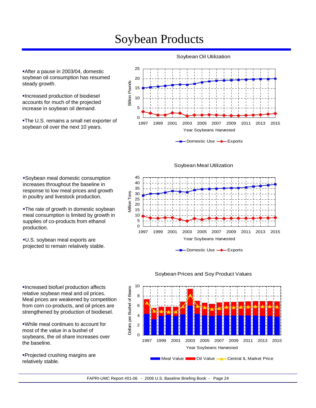## Soybean Products

After a pause in 2003/04, domestic soybean oil consumption has resumed steady growth.

Increased production of biodiesel accounts for much of the projected increase in soybean oil demand.

**-The U.S. remains a small net exporter of** soybean oil over the next 10 years.

Soybean meal domestic consumption increases throughout the baseline in response to low meal prices and growth in poultry and livestock production.

**-The rate of growth in domestic soybean** meal consumption is limited by growth in supplies of co-products from ethanol

U.S. soybean meal exports are projected to remain relatively stable.

production.

Soybean Oil Utilization



Soybean Meal Utilization



Domestic Use **-** Exports



#### Soybean Prices and Soy Product Values

Increased biofuel production affects relative soybean meal and oil prices. Meal prices are weakened by competition from corn co-products, and oil prices are strengthened by production of biodiesel.

While meal continues to account for most of the value in a bushel of soybeans, the oil share increases over the baseline.

Projected crushing margins are relatively stable.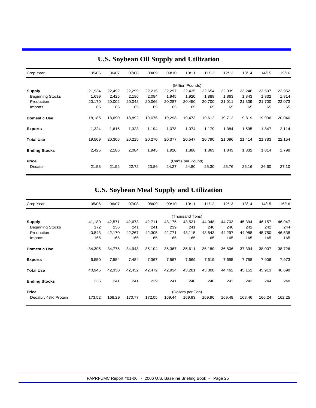| Crop Year               | 05/06  | 06/07  | 07/08  | 08/09  | 09/10  | 10/11             | 11/12  | 12/13  | 13/14  | 14/15  | 15/16  |
|-------------------------|--------|--------|--------|--------|--------|-------------------|--------|--------|--------|--------|--------|
|                         |        |        |        |        |        | (Million Pounds)  |        |        |        |        |        |
| <b>Supply</b>           | 21,934 | 22,492 | 22,299 | 22,215 | 22,297 | 22,435            | 22,654 | 22,939 | 23,246 | 23,597 | 23,952 |
| <b>Beginning Stocks</b> | 1,699  | 2,425  | 2,186  | 2,084  | 1,945  | 1,920             | 1,888  | 1,863  | 1,843  | 1,832  | 1,814  |
| Production              | 20,170 | 20,002 | 20,048 | 20,066 | 20,287 | 20,450            | 20,700 | 21,011 | 21,339 | 21,700 | 22,073 |
| Imports                 | 65     | 65     | 65     | 65     | 65     | 65                | 65     | 65     | 65     | 65     | 65     |
| <b>Domestic Use</b>     | 18,185 | 18,690 | 18,892 | 19,076 | 19,298 | 19,473            | 19,612 | 19,712 | 19,819 | 19,936 | 20,040 |
| <b>Exports</b>          | 1,324  | 1,616  | 1,323  | 1,194  | 1,078  | 1,074             | 1,179  | 1,384  | 1,595  | 1,847  | 2,114  |
| <b>Total Use</b>        | 19,509 | 20,306 | 20,215 | 20,270 | 20,377 | 20,547            | 20,790 | 21,096 | 21,414 | 21,783 | 22,154 |
| <b>Ending Stocks</b>    | 2,425  | 2,186  | 2,084  | 1,945  | 1,920  | 1,888             | 1,863  | 1,843  | 1,832  | 1,814  | 1,798  |
| Price                   |        |        |        |        |        | (Cents per Pound) |        |        |        |        |        |
| Decatur                 | 21.58  | 21.52  | 22.72  | 23.86  | 24.27  | 24.80             | 25.30  | 25.76  | 26.16  | 26.60  | 27.10  |

### **U.S. Soybean Oil Supply and Utilization**

### **U.S. Soybean Meal Supply and Utilization**

| Crop Year               | 05/06             | 06/07  | 07/08  | 08/09  | 09/10  | 10/11           | 11/12  | 12/13  | 13/14  | 14/15  | 15/16  |  |
|-------------------------|-------------------|--------|--------|--------|--------|-----------------|--------|--------|--------|--------|--------|--|
|                         |                   |        |        |        |        | (Thousand Tons) |        |        |        |        |        |  |
| <b>Supply</b>           | 41,180            | 42,571 | 42,673 | 42,711 | 43,175 | 43,521          | 44,048 | 44,703 | 45,394 | 46,157 | 46,947 |  |
| <b>Beginning Stocks</b> | 172               | 236    | 241    | 241    | 239    | 241             | 240    | 240    | 241    | 242    | 244    |  |
| Production              | 40,843            | 42,170 | 42,267 | 42,305 | 42,771 | 43,115          | 43,643 | 44,297 | 44,988 | 45,750 | 46,538 |  |
| Imports                 | 165               | 165    | 165    | 165    | 165    | 165             | 165    | 165    | 165    | 165    | 165    |  |
| <b>Domestic Use</b>     | 34,395            | 34,775 | 34,948 | 35,104 | 35,367 | 35,611          | 36,189 | 36,806 | 37,394 | 38,007 | 38,726 |  |
| <b>Exports</b>          | 6,550             | 7,554  | 7,484  | 7,367  | 7,567  | 7,669           | 7,619  | 7,655  | 7,758  | 7,906  | 7,973  |  |
| <b>Total Use</b>        | 40,945            | 42,330 | 42,432 | 42,472 | 42,934 | 43,281          | 43,808 | 44,462 | 45,152 | 45,913 | 46,699 |  |
| <b>Ending Stocks</b>    | 236               | 241    | 241    | 239    | 241    | 240             | 240    | 241    | 242    | 244    | 248    |  |
| <b>Price</b>            | (Dollars per Ton) |        |        |        |        |                 |        |        |        |        |        |  |
| Decatur, 48% Protein    | 173.52            | 168.29 | 170.77 | 172.05 | 169.44 | 169.93          | 169.96 | 169.48 | 168.46 | 166.24 | 162.25 |  |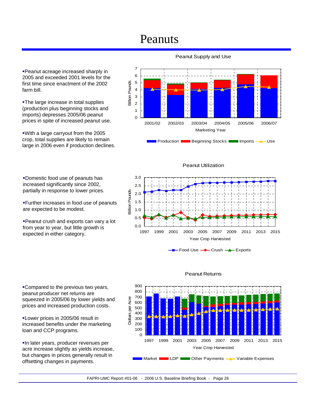## Peanuts

Peanut acreage increased sharply in 2005 and exceeded 2001 levels for the first time since enactment of the 2002 farm bill.

**-The large increase in total supplies** (production plus beginning stocks and imports) depresses 2005/06 peanut prices in spite of increased peanut use.

With a large carryout from the 2005 crop, total supplies are likely to remain large in 2006 even if production declines.

Domestic food use of peanuts has increased significantly since 2002, partially in response to lower prices.

Further increases in food use of peanuts are expected to be modest.

Peanut crush and exports can vary a lot from year to year, but little growth is expected in either category.

Compared to the previous two years, peanut producer net returns are squeezed in 2005/06 by lower yields and prices and increased production costs.

**-Lower prices in 2005/06 result in** increased benefits under the marketing loan and CCP programs.

In later years, producer revenues per acre increase slightly as yields increase, but changes in prices generally result in offsetting changes in payments.







Peanut Utilization

Food Use **-+** Crush -**+** Exports



#### Peanut Returns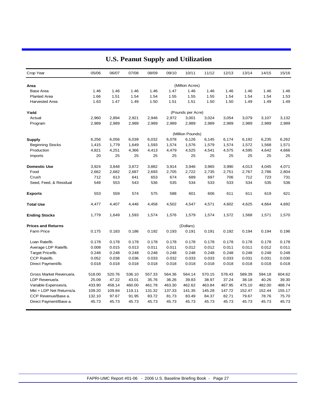| Crop Year                 | 05/06  | 06/07  | 07/08  | 08/09  | 09/10  | 10/11             | 11/12  | 12/13  | 13/14  | 14/15  | 15/16  |
|---------------------------|--------|--------|--------|--------|--------|-------------------|--------|--------|--------|--------|--------|
| Area                      |        |        |        |        |        | (Million Acres)   |        |        |        |        |        |
| <b>Base Area</b>          | 1.46   | 1.46   | 1.46   | 1.46   | 1.47   | 1.46              | 1.46   | 1.46   | 1.46   | 1.46   | 1.46   |
| <b>Planted Area</b>       | 1.66   | 1.51   | 1.54   | 1.54   | 1.55   | 1.55              | 1.55   | 1.54   | 1.54   | 1.54   | 1.53   |
| <b>Harvested Area</b>     | 1.63   | 1.47   | 1.49   | 1.50   | 1.51   | 1.51              | 1.50   | 1.50   | 1.49   | 1.49   | 1.49   |
| Yield                     |        |        |        |        |        | (Pounds per Acre) |        |        |        |        |        |
| Actual                    | 2,960  | 2,894  | 2,921  | 2,946  | 2,972  | 3,001             | 3,024  | 3,054  | 3,079  | 3,107  | 3,132  |
| Program                   | 2,989  | 2,989  | 2,989  | 2,989  | 2,989  | 2,989             | 2,989  | 2,989  | 2,989  | 2,989  | 2,989  |
|                           |        |        |        |        |        | (Million Pounds)  |        |        |        |        |        |
| <b>Supply</b>             | 6,256  | 6,056  | 6,039  | 6,032  | 6,078  | 6,126             | 6,145  | 6,174  | 6,192  | 6,235  | 6,262  |
| <b>Beginning Stocks</b>   | 1,415  | 1,779  | 1,649  | 1,593  | 1,574  | 1,576             | 1,579  | 1,574  | 1,572  | 1,568  | 1,571  |
| Production                | 4,821  | 4,251  | 4,366  | 4,413  | 4,479  | 4,525             | 4,541  | 4,575  | 4,595  | 4,642  | 4,666  |
| Imports                   | 20     | 25     | 25     | 25     | 25     | 25                | 25     | 25     | 25     | 25     | 25     |
| <b>Domestic Use</b>       | 3,924  | 3,848  | 3,872  | 3,882  | 3,914  | 3,946             | 3,965  | 3,990  | 4,013  | 4,045  | 4,071  |
| Food                      | 2,662  | 2,682  | 2,687  | 2,693  | 2,705  | 2,722             | 2,735  | 2,751  | 2,767  | 2,786  | 2,804  |
| Crush                     | 712    | 613    | 641    | 653    | 674    | 689               | 697    | 706    | 712    | 723    | 731    |
| Seed, Feed, & Residual    | 549    | 553    | 543    | 536    | 535    | 534               | 533    | 533    | 534    | 535    | 536    |
| <b>Exports</b>            | 553    | 559    | 574    | 575    | 588    | 601               | 606    | 611    | 611    | 619    | 621    |
| <b>Total Use</b>          | 4,477  | 4,407  | 4,446  | 4,458  | 4,502  | 4,547             | 4,571  | 4,602  | 4,625  | 4,664  | 4,692  |
| <b>Ending Stocks</b>      | 1,779  | 1,649  | 1,593  | 1,574  | 1,576  | 1,579             | 1,574  | 1,572  | 1,568  | 1,571  | 1,570  |
| <b>Prices and Returns</b> |        |        |        |        |        | (Dollars)         |        |        |        |        |        |
| <b>Farm Price</b>         | 0.175  | 0.183  | 0.186  | 0.192  | 0.193  | 0.191             | 0.191  | 0.192  | 0.194  | 0.194  | 0.196  |
| Loan Rate/lb.             | 0.178  | 0.178  | 0.178  | 0.178  | 0.178  | 0.178             | 0.178  | 0.178  | 0.178  | 0.178  | 0.178  |
| Average LDP Rate/lb.      | 0.008  | 0.015  | 0.013  | 0.011  | 0.011  | 0.012             | 0.012  | 0.011  | 0.011  | 0.012  | 0.011  |
| Target Price/lb.          | 0.248  | 0.248  | 0.248  | 0.248  | 0.248  | 0.248             | 0.248  | 0.248  | 0.248  | 0.248  | 0.248  |
| CCP Rate/lb.              | 0.052  | 0.038  | 0.036  | 0.033  | 0.032  | 0.033             | 0.033  | 0.033  | 0.031  | 0.031  | 0.030  |
| Direct Payment/lb.        | 0.018  | 0.018  | 0.018  | 0.018  | 0.018  | 0.018             | 0.018  | 0.018  | 0.018  | 0.018  | 0.018  |
| Gross Market Revenue/a.   | 518.00 | 520.76 | 536.10 | 557.33 | 564.36 | 564.14            | 570.15 | 578.43 | 589.39 | 594.18 | 604.62 |
| LDP Revenue/a.            | 25.09  | 47.22  | 43.01  | 35.76  | 36.26  | 39.83             | 38.97  | 37.24  | 38.18  | 40.26  | 39.30  |
| Variable Expenses/a.      | 433.90 | 458.14 | 460.00 | 461.78 | 463.30 | 462.62            | 463.84 | 467.95 | 475.10 | 482.00 | 488.74 |
| Mkt + LDP Net Returns/a.  | 109.20 | 109.84 | 119.11 | 131.32 | 137.33 | 141.35            | 145.28 | 147.72 | 152.47 | 152.44 | 155.17 |
| CCP Revenue/Base a.       | 132.10 | 97.67  | 91.95  | 83.72  | 81.73  | 83.49             | 84.37  | 82.71  | 79.67  | 78.76  | 75.70  |
| Direct Payment/Base a.    | 45.73  | 45.73  | 45.73  | 45.73  | 45.73  | 45.73             | 45.73  | 45.73  | 45.73  | 45.73  | 45.73  |

### **U.S. Peanut Supply and Utilization**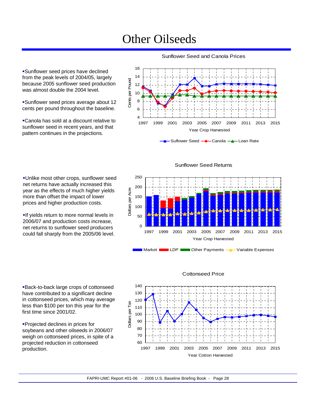## Other Oilseeds

Sunflower seed prices have declined from the peak levels of 2004/05, largely because 2005 sunflower seed production was almost double the 2004 level.

Sunflower seed prices average about 12 cents per pound throughout the baseline.

Canola has sold at a discount relative to sunflower seed in recent years, and that pattern continues in the projections.

16 14 Cents per Pound Cents per Pound 12 10 8 6 4 1997 1999 2001 2003 2005 2007 2009 2011 2013 2015 Year Crop Harvested

Sunflower Seed and Canola Prices

Suflower Seed - Canola - Loan Rate

Unlike most other crops, sunflower seed net returns have actually increased this year as the effects of much higher yields more than offset the impact of lower prices and higher production costs.

If yields return to more normal levels in 2006/07 and production costs increase, net returns to sunflower seed producers could fall sharply from the 2005/06 level.

Back-to-back large crops of cottonseed have contributed to a significant decline in cottonseed prices, which may average less than \$100 per ton this year for the first time since 2001/02.

Projected declines in prices for soybeans and other oilseeds in 2006/07 weigh on cottonseed prices, in spite of a projected reduction in cottonseed production.







#### Cottonseed Price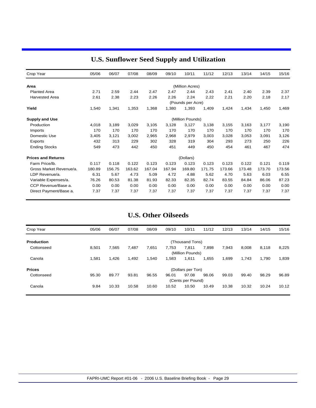| Crop Year                 | 05/06  | 06/07  | 07/08  | 08/09  | 09/10  | 10/11             | 11/12  | 12/13  | 13/14  | 14/15  | 15/16  |
|---------------------------|--------|--------|--------|--------|--------|-------------------|--------|--------|--------|--------|--------|
| Area                      |        |        |        |        |        | (Million Acres)   |        |        |        |        |        |
| <b>Planted Area</b>       | 2.71   | 2.59   | 2.44   | 2.47   | 2.47   | 2.44              | 2.43   | 2.41   | 2.40   | 2.39   | 2.37   |
| <b>Harvested Area</b>     | 2.61   | 2.38   | 2.23   | 2.26   | 2.26   | 2.24              | 2.22   | 2.21   | 2.20   | 2.18   | 2.17   |
|                           |        |        |        |        |        | (Pounds per Acre) |        |        |        |        |        |
| Yield                     | 1,540  | 1,341  | 1,353  | 1,368  | 1,380  | 1,393             | 1,409  | 1,424  | 1,434  | 1,450  | 1,469  |
| <b>Supply and Use</b>     |        |        |        |        |        | (Million Pounds)  |        |        |        |        |        |
| Production                | 4,018  | 3,189  | 3,029  | 3,105  | 3,128  | 3,127             | 3,138  | 3,155  | 3,163  | 3,177  | 3,190  |
| Imports                   | 170    | 170    | 170    | 170    | 170    | 170               | 170    | 170    | 170    | 170    | 170    |
| Domestic Use              | 3,405  | 3,121  | 3,002  | 2,965  | 2,968  | 2,979             | 3,003  | 3,028  | 3,053  | 3,091  | 3,126  |
| Exports                   | 432    | 313    | 229    | 302    | 328    | 319               | 304    | 293    | 273    | 250    | 226    |
| <b>Ending Stocks</b>      | 549    | 473    | 442    | 450    | 451    | 449               | 450    | 454    | 461    | 467    | 474    |
| <b>Prices and Returns</b> |        |        |        |        |        | (Dollars)         |        |        |        |        |        |
| Farm Price/lb.            | 0.117  | 0.118  | 0.122  | 0.123  | 0.123  | 0.123             | 0.123  | 0.123  | 0.122  | 0.121  | 0.119  |
| Gross Market Revenue/a.   | 180.89 | 156.75 | 163.62 | 167.04 | 167.94 | 169.80            | 171.75 | 173.66 | 173.48 | 173.70 | 173.56 |
| LDP Revenue/a.            | 6.31   | 5.67   | 4.73   | 5.09   | 4.72   | 4.88              | 5.62   | 4.70   | 5.63   | 6.03   | 6.55   |
| Variable Expenses/a.      | 76.26  | 80.53  | 81.38  | 81.93  | 82.33  | 82.35             | 82.74  | 83.55  | 84.84  | 86.06  | 87.23  |
| CCP Revenue/Base a.       | 0.00   | 0.00   | 0.00   | 0.00   | 0.00   | 0.00              | 0.00   | 0.00   | 0.00   | 0.00   | 0.00   |
| Direct Payment/Base a.    | 7.37   | 7.37   | 7.37   | 7.37   | 7.37   | 7.37              | 7.37   | 7.37   | 7.37   | 7.37   | 7.37   |

### **U.S. Sunflower Seed Supply and Utilization**

### **U.S. Other Oilseeds**

| Crop Year         | 05/06 | 06/07 | 07/08 | 08/09 | 09/10 | 10/11             | 11/12 | 12/13 | 13/14 | 14/15 | 15/16 |
|-------------------|-------|-------|-------|-------|-------|-------------------|-------|-------|-------|-------|-------|
| <b>Production</b> |       |       |       |       |       | (Thousand Tons)   |       |       |       |       |       |
| Cottonseed        | 8.501 | 7,565 | 7.487 | 7,651 | 7,753 | 7.811             | 7,898 | 7,943 | 8.008 | 8,118 | 8,225 |
|                   |       |       |       |       |       | (Million Pounds)  |       |       |       |       |       |
| Canola            | 1,581 | 1,426 | 1,492 | 1,540 | 1,583 | 1,611             | 1,655 | 1,699 | 1,743 | 1,790 | 1,839 |
| <b>Prices</b>     |       |       |       |       |       | (Dollars per Ton) |       |       |       |       |       |
| Cottonseed        | 95.30 | 89.77 | 93.81 | 96.55 | 96.01 | 97.08             | 98.06 | 99.03 | 99.40 | 98.29 | 96.89 |
|                   |       |       |       |       |       | (Cents per Pound) |       |       |       |       |       |
| Canola            | 9.84  | 10.33 | 10.58 | 10.60 | 10.52 | 10.50             | 10.49 | 10.38 | 10.32 | 10.24 | 10.12 |
|                   |       |       |       |       |       |                   |       |       |       |       |       |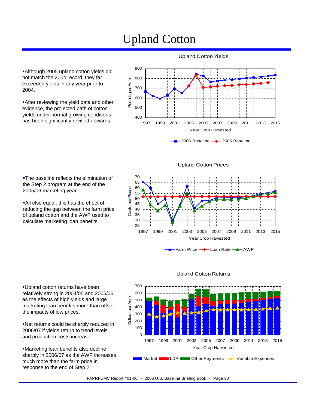## Upland Cotton

Although 2005 upland cotton yields did not match the 2004 record, they far exceeded yields in any year prior to 2004.

**After reviewing the yield data and other** evidence, the projected path of cotton yields under normal growing conditions has been significantly revised upwards.



Upland Cotton Yields

2006 Baseline - 2005 Baseline

**-The baseline reflects the elimination of** the Step 2 program at the end of the 2005/06 marketing year.

All else equal, this has the effect of reducing the gap between the farm price of upland cotton and the AWP used to calculate marketing loan benefits.

Upland Cotton Prices



Farm Price **-**Loan Rate -<sup>1</sup>-AWP



#### Upland Cotton Returns

Upland cotton returns have been relatively strong in 2004/05 and 2005/06 as the effects of high yields and large marketing loan benefits more than offset the impacts of low prices.

Net returns could be sharply reduced in 2006/07 if yields return to trend levels and production costs increase.

Marketing loan benefits also decline sharply in 2006/07 as the AWP increases much more than the farm price in response to the end of Step 2.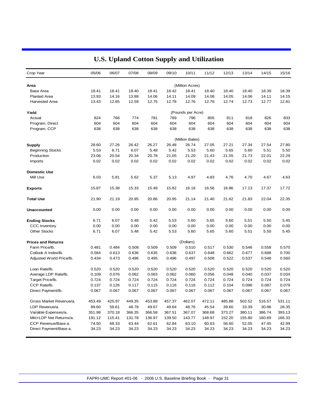| Crop Year                 | 05/06  | 06/07  | 07/08  | 08/09  | 09/10  | 10/11             | 11/12  | 12/13  | 13/14  | 14/15  | 15/16  |
|---------------------------|--------|--------|--------|--------|--------|-------------------|--------|--------|--------|--------|--------|
| Area                      |        |        |        |        |        | (Million Acres)   |        |        |        |        |        |
| <b>Base Area</b>          | 18.41  | 18.41  | 18.40  | 18.41  | 18.42  | 18.41             | 18.40  | 18.40  | 18.40  | 18.39  | 18.39  |
| <b>Planted Area</b>       | 13.93  | 14.16  | 13.88  | 14.06  | 14.11  | 14.09             | 14.08  | 14.05  | 14.06  | 14.11  | 14.15  |
| <b>Harvested Area</b>     | 13.43  | 12.85  | 12.59  | 12.75  | 12.78  | 12.76             | 12.76  | 12.74  | 12.73  | 12.77  | 12.81  |
| Yield                     |        |        |        |        |        | (Pounds per Acre) |        |        |        |        |        |
| Actual                    | 824    | 766    | 774    | 781    | 789    | 796               | 805    | 811    | 818    | 826    | 833    |
| Program, Direct           | 604    | 604    | 604    | 604    | 604    | 604               | 604    | 604    | 604    | 604    | 604    |
| Program, CCP              | 638    | 638    | 638    | 638    | 638    | 638               | 638    | 638    | 638    | 638    | 638    |
|                           |        |        |        |        |        | (Million Bales)   |        |        |        |        |        |
| Supply                    | 28.60  | 27.26  | 26.42  | 26.27  | 26.48  | 26.74             | 27.05  | 27.21  | 27.34  | 27.54  | 27.80  |
| <b>Beginning Stocks</b>   | 5.53   | 6.71   | 6.07   | 5.48   | 5.42   | 5.53              | 5.60   | 5.65   | 5.60   | 5.51   | 5.50   |
| Production                | 23.06  | 20.54  | 20.34  | 20.78  | 21.05  | 21.20             | 21.43  | 21.55  | 21.73  | 22.01  | 22.29  |
| Imports                   | 0.02   | 0.02   | 0.02   | 0.02   | 0.02   | 0.02              | 0.02   | 0.02   | 0.02   | 0.02   | 0.02   |
| <b>Domestic Use</b>       |        |        |        |        |        |                   |        |        |        |        |        |
| Mill Use                  | 6.03   | 5.81   | 5.62   | 5.37   | 5.13   | 4.97              | 4.83   | 4.76   | 4.70   | 4.67   | 4.63   |
| <b>Exports</b>            | 15.87  | 15.38  | 15.33  | 15.48  | 15.82  | 16.16             | 16.56  | 16.86  | 17.13  | 17.37  | 17.72  |
| <b>Total Use</b>          | 21.90  | 21.19  | 20.95  | 20.86  | 20.95  | 21.14             | 21.40  | 21.62  | 21.83  | 22.04  | 22.35  |
| <b>Unaccounted</b>        | 0.00   | 0.00   | 0.00   | 0.00   | 0.00   | 0.00              | 0.00   | 0.00   | 0.00   | 0.00   | 0.00   |
| <b>Ending Stocks</b>      | 6.71   | 6.07   | 5.48   | 5.42   | 5.53   | 5.60              | 5.65   | 5.60   | 5.51   | 5.50   | 5.45   |
| <b>CCC Inventory</b>      | 0.00   | 0.00   | 0.00   | 0.00   | 0.00   | 0.00              | 0.00   | 0.00   | 0.00   | 0.00   | 0.00   |
| <b>Other Stocks</b>       | 6.71   | 6.07   | 5.48   | 5.42   | 5.53   | 5.60              | 5.65   | 5.60   | 5.51   | 5.50   | 5.45   |
| <b>Prices and Returns</b> |        |        |        |        |        | (Dollars)         |        |        |        |        |        |
| Farm Price/lb.            | 0.481  | 0.484  | 0.508  | 0.509  | 0.509  | 0.510             | 0.517  | 0.530  | 0.546  | 0.558  | 0.570  |
| Cotlook A Index/lb.       | 0.584  | 0.613  | 0.636  | 0.635  | 0.636  | 0.637             | 0.648  | 0.662  | 0.677  | 0.688  | 0.700  |
| Adjusted World Price/lb.  | 0.434  | 0.473  | 0.496  | 0.495  | 0.496  | 0.497             | 0.508  | 0.522  | 0.537  | 0.548  | 0.560  |
| Loan Rate/lb.             | 0.520  | 0.520  | 0.520  | 0.520  | 0.520  | 0.520             | 0.520  | 0.520  | 0.520  | 0.520  | 0.520  |
| Average LDP Rate/lb.      | 0.109  | 0.076  | 0.062  | 0.063  | 0.062  | 0.060             | 0.056  | 0.048  | 0.040  | 0.037  | 0.034  |
| Target Price/lb.          | 0.724  | 0.724  | 0.724  | 0.724  | 0.724  | 0.724             | 0.724  | 0.724  | 0.724  | 0.724  | 0.724  |
| CCP Rate/lb.              | 0.137  | 0.126  | 0.117  | 0.115  | 0.116  | 0.116             | 0.112  | 0.104  | 0.096  | 0.087  | 0.079  |
| Direct Payment/lb.        | 0.067  | 0.067  | 0.067  | 0.067  | 0.067  | 0.067             | 0.067  | 0.067  | 0.067  | 0.067  | 0.067  |
| Gross Market Revenue/a.   | 453.49 | 425.97 | 449.35 | 453.88 | 457.37 | 462.07            | 472.11 | 485.88 | 502.52 | 516.57 | 531.11 |
| LDP Revenue/a.            | 89.60  | 59.61  | 48.78  | 49.67  | 49.64  | 48.76             | 45.54  | 39.60  | 33.39  | 30.86  | 28.35  |
| Variable Expenses/a.      | 351.98 | 370.18 | 366.35 | 366.58 | 367.51 | 367.07            | 368.68 | 373.27 | 380.11 | 386.74 | 393.13 |
| Mkt+LDP Net Returns/a.    | 191.12 | 115.41 | 131.78 | 136.97 | 139.50 | 143.77            | 148.97 | 152.20 | 155.80 | 160.69 | 166.33 |
| CCP Revenue/Base a.       | 74.50  | 68.33  | 63.44  | 62.61  | 62.84  | 63.10             | 60.63  | 56.60  | 52.05  | 47.45  | 42.99  |
| Direct Payment/Base a.    | 34.23  | 34.23  | 34.23  | 34.23  | 34.23  | 34.23             | 34.23  | 34.23  | 34.23  | 34.23  | 34.23  |
|                           |        |        |        |        |        |                   |        |        |        |        |        |

### **U.S. Upland Cotton Supply and Utilization**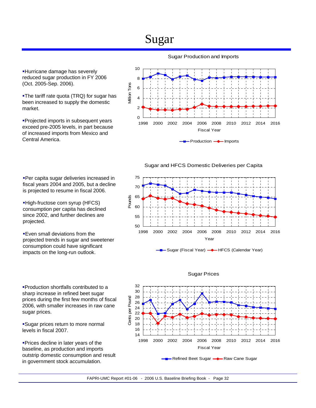## Sugar

**Hurricane damage has severely** reduced sugar production in FY 2006 (Oct. 2005-Sep. 2006).

•The tariff rate quota (TRQ) for sugar has been increased to supply the domestic market.

**Projected imports in subsequent years** exceed pre-2005 levels, in part because of increased imports from Mexico and Central America.

Per capita sugar deliveries increased in fiscal years 2004 and 2005, but a decline is projected to resume in fiscal 2006.

High-fructose corn syrup (HFCS) consumption per capita has declined since 2002, and further declines are

**Even small deviations from the** 

projected trends in sugar and sweetener consumption could have significant impacts on the long-run outlook.

projected.

#### Sugar Production and Imports





50 55 60 65 70 75 1998 2000 2002 2004 2006 2008 2010 2012 2014 2016 Year Pounds

Sugar (Fiscal Year) **-** HFCS (Calendar Year)



Sugar prices return to more normal levels in fiscal 2007.

Prices decline in later years of the baseline, as production and imports outstrip domestic consumption and result in government stock accumulation.

#### Sugar Prices

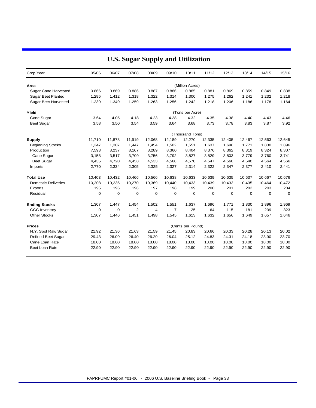| Crop Year                   | 05/06       | 06/07       | 07/08       | 08/09       | 09/10          | 10/11             | 11/12  | 12/13  | 13/14       | 14/15       | 15/16       |
|-----------------------------|-------------|-------------|-------------|-------------|----------------|-------------------|--------|--------|-------------|-------------|-------------|
| Area                        |             |             |             |             |                | (Million Acres)   |        |        |             |             |             |
| Sugar Cane Harvested        | 0.866       | 0.869       | 0.886       | 0.887       | 0.886          | 0.885             | 0.881  | 0.869  | 0.859       | 0.849       | 0.838       |
| <b>Sugar Beet Planted</b>   | 1.295       | 1.412       | 1.318       | 1.322       | 1.314          | 1.300             | 1.275  | 1.262  | 1.241       | 1.232       | 1.218       |
| <b>Sugar Beet Harvested</b> | 1.239       | 1.349       | 1.259       | 1.263       | 1.256          | 1.242             | 1.218  | 1.206  | 1.186       | 1.178       | 1.164       |
| Yield                       |             |             |             |             |                | (Tons per Acre)   |        |        |             |             |             |
| Cane Sugar                  | 3.64        | 4.05        | 4.18        | 4.23        | 4.28           | 4.32              | 4.35   | 4.38   | 4.40        | 4.43        | 4.46        |
| <b>Beet Sugar</b>           | 3.58        | 3.50        | 3.54        | 3.59        | 3.64           | 3.68              | 3.73   | 3.78   | 3.83        | 3.87        | 3.92        |
|                             |             |             |             |             |                | (Thousand Tons)   |        |        |             |             |             |
| <b>Supply</b>               | 11,710      | 11,878      | 11,919      | 12,068      | 12,189         | 12,270            | 12,335 | 12,405 | 12,467      | 12,563      | 12,645      |
| <b>Beginning Stocks</b>     | 1,347       | 1,307       | 1,447       | 1,454       | 1,502          | 1,551             | 1,637  | 1,696  | 1,771       | 1,830       | 1,896       |
| Production                  | 7,593       | 8,237       | 8,167       | 8,289       | 8,360          | 8,404             | 8,376  | 8,362  | 8,319       | 8,324       | 8,307       |
| Cane Sugar                  | 3,158       | 3,517       | 3,709       | 3,756       | 3,792          | 3,827             | 3,829  | 3,803  | 3,779       | 3,760       | 3,741       |
| <b>Beet Sugar</b>           | 4,435       | 4,720       | 4,458       | 4,533       | 4,568          | 4,578             | 4,547  | 4,560  | 4,540       | 4,564       | 4,566       |
| Imports                     | 2,770       | 2,334       | 2,305       | 2,325       | 2,327          | 2,314             | 2,322  | 2,347  | 2,377       | 2,410       | 2,441       |
| <b>Total Use</b>            | 10,403      | 10,432      | 10,466      | 10,566      | 10,638         | 10,633            | 10,639 | 10,635 | 10,637      | 10,667      | 10,676      |
| <b>Domestic Deliveries</b>  | 10,208      | 10,236      | 10,270      | 10,369      | 10,440         | 10,433            | 10,439 | 10,433 | 10,435      | 10,464      | 10,472      |
| Exports                     | 195         | 196         | 196         | 197         | 198            | 199               | 200    | 201    | 202         | 203         | 204         |
| Residual                    | $\mathbf 0$ | 0           | $\mathbf 0$ | $\mathbf 0$ | 0              | $\mathbf 0$       | 0      | 0      | $\mathbf 0$ | $\mathbf 0$ | $\mathbf 0$ |
| <b>Ending Stocks</b>        | 1,307       | 1,447       | 1,454       | 1,502       | 1,551          | 1,637             | 1,696  | 1,771  | 1,830       | 1,896       | 1,969       |
| <b>CCC</b> Inventory        | $\mathbf 0$ | $\mathbf 0$ | 2           | 4           | $\overline{7}$ | 25                | 64     | 115    | 181         | 239         | 323         |
| <b>Other Stocks</b>         | 1,307       | 1,446       | 1,451       | 1,498       | 1,545          | 1,613             | 1,632  | 1,656  | 1,649       | 1,657       | 1,646       |
| <b>Prices</b>               |             |             |             |             |                | (Cents per Pound) |        |        |             |             |             |
| N.Y. Spot Raw Sugar         | 21.92       | 21.36       | 21.63       | 21.59       | 21.45          | 20.83             | 20.66  | 20.33  | 20.28       | 20.13       | 20.02       |
| <b>Refined Beet Sugar</b>   | 29.43       | 26.09       | 26.40       | 26.29       | 26.04          | 25.12             | 24.83  | 24.31  | 24.18       | 23.90       | 23.70       |
| Cane Loan Rate              | 18.00       | 18.00       | 18.00       | 18.00       | 18.00          | 18.00             | 18.00  | 18.00  | 18.00       | 18.00       | 18.00       |
| Beet Loan Rate              | 22.90       | 22.90       | 22.90       | 22.90       | 22.90          | 22.90             | 22.90  | 22.90  | 22.90       | 22.90       | 22.90       |
|                             |             |             |             |             |                |                   |        |        |             |             |             |

### **U.S. Sugar Supply and Utilization**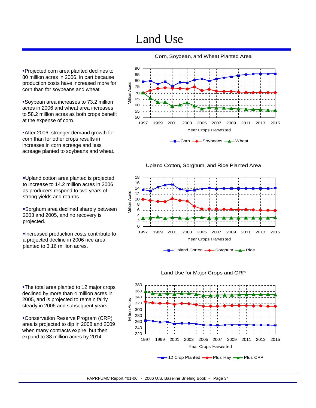## Land Use



Corn, Soybean, and Wheat Planted Area

Corn  $\longrightarrow$  Soybeans  $\longrightarrow$  Wheat

Upland Cotton, Sorghum, and Rice Planted Area









Projected corn area planted declines to 80 million acres in 2006, in part because production costs have increased more for corn than for soybeans and wheat.

Soybean area increases to 73.2 million acres in 2006 and wheat area increases to 58.2 million acres as both crops benefit at the expense of corn.

After 2006, stronger demand growth for corn than for other crops results in increases in corn acreage and less acreage planted to soybeans and wheat.

Upland cotton area planted is projected to increase to 14.2 million acres in 2006 as producers respond to two years of strong yields and returns.

Sorghum area declined sharply between 2003 and 2005, and no recovery is projected.

Increased production costs contribute to a projected decline in 2006 rice area planted to 3.16 million acres.

The total area planted to 12 major crops declined by more than 4 million acres in 2005, and is projected to remain fairly steady in 2006 and subsequent years.

Conservation Reserve Program (CRP) area is projected to dip in 2008 and 2009 when many contracts expire, but then expand to 38 million acres by 2014.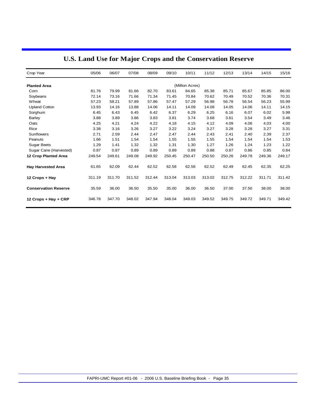| Crop Year                   | 05/06  | 06/07  | 07/08  | 08/09  | 09/10  | 10/11           | 11/12  | 12/13  | 13/14  | 14/15  | 15/16  |
|-----------------------------|--------|--------|--------|--------|--------|-----------------|--------|--------|--------|--------|--------|
| <b>Planted Area</b>         |        |        |        |        |        | (Million Acres) |        |        |        |        |        |
| Corn                        | 81.76  | 79.99  | 81.66  | 82.70  | 83.61  | 84.65           | 85.38  | 85.71  | 85.67  | 85.85  | 86.00  |
| Soybeans                    | 72.14  | 73.16  | 71.66  | 71.34  | 71.45  | 70.84           | 70.62  | 70.49  | 70.52  | 70.36  | 70.31  |
| Wheat                       | 57.23  | 58.21  | 57.89  | 57.86  | 57.47  | 57.29           | 56.98  | 56.78  | 56.54  | 56.23  | 55.99  |
| <b>Upland Cotton</b>        | 13.93  | 14.16  | 13.88  | 14.06  | 14.11  | 14.09           | 14.08  | 14.05  | 14.06  | 14.11  | 14.15  |
| Sorghum                     | 6.45   | 6.43   | 6.45   | 6.42   | 6.37   | 6.29            | 6.25   | 6.16   | 6.07   | 6.02   | 5.98   |
| <b>Barley</b>               | 3.88   | 3.89   | 3.86   | 3.83   | 3.81   | 3.74            | 3.68   | 3.61   | 3.54   | 3.49   | 3.46   |
| Oats                        | 4.25   | 4.21   | 4.24   | 4.22   | 4.18   | 4.15            | 4.12   | 4.09   | 4.06   | 4.03   | 4.00   |
| Rice                        | 3.38   | 3.16   | 3.26   | 3.27   | 3.22   | 3.24            | 3.27   | 3.28   | 3.28   | 3.27   | 3.31   |
| Sunflowers                  | 2.71   | 2.59   | 2.44   | 2.47   | 2.47   | 2.44            | 2.43   | 2.41   | 2.40   | 2.39   | 2.37   |
| Peanuts                     | 1.66   | 1.51   | 1.54   | 1.54   | 1.55   | 1.55            | 1.55   | 1.54   | 1.54   | 1.54   | 1.53   |
| <b>Sugar Beets</b>          | 1.29   | 1.41   | 1.32   | 1.32   | 1.31   | 1.30            | 1.27   | 1.26   | 1.24   | 1.23   | 1.22   |
| Sugar Cane (Harvested)      | 0.87   | 0.87   | 0.89   | 0.89   | 0.89   | 0.89            | 0.88   | 0.87   | 0.86   | 0.85   | 0.84   |
| <b>12 Crop Planted Area</b> | 249.54 | 249.61 | 249.08 | 249.92 | 250.45 | 250.47          | 250.50 | 250.26 | 249.78 | 249.36 | 249.17 |
| <b>Hay Harvested Area</b>   | 61.65  | 62.09  | 62.44  | 62.52  | 62.58  | 62.56           | 62.52  | 62.49  | 62.45  | 62.35  | 62.25  |
| 12 Crops + Hay              | 311.19 | 311.70 | 311.52 | 312.44 | 313.04 | 313.03          | 313.02 | 312.75 | 312.22 | 311.71 | 311.42 |
| <b>Conservation Reserve</b> | 35.59  | 36.00  | 36.50  | 35.50  | 35.00  | 36.00           | 36.50  | 37.00  | 37.50  | 38.00  | 38.00  |
| 12 Crops + Hay + CRP        | 346.78 | 347.70 | 348.02 | 347.94 | 348.04 | 349.03          | 349.52 | 349.75 | 349.72 | 349.71 | 349.42 |

### **U.S. Land Use for Major Crops and the Conservation Reserve**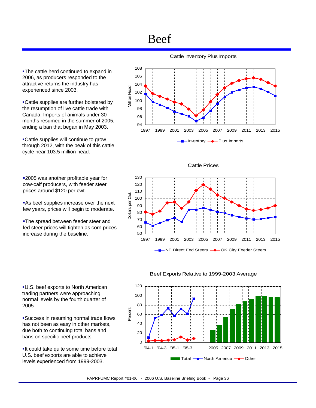## Beef

**-The cattle herd continued to expand in** 2006, as producers responded to the attractive returns the industry has experienced since 2003.

Cattle supplies are further bolstered by the resumption of live cattle trade with Canada. Imports of animals under 30 months resumed in the summer of 2005, ending a ban that began in May 2003.

Cattle supplies will continue to grow through 2012, with the peak of this cattle cycle near 103.5 million head.

**2005** was another profitable year for cow-calf producers, with feeder steer prices around \$120 per cwt.

**As beef supplies increase over the next** few years, prices will begin to moderate.

**-The spread between feeder steer and** fed steer prices will tighten as corn prices increase during the baseline.

U.S. beef exports to North American trading partners were approaching normal levels by the fourth quarter of 2005.

Success in resuming normal trade flows has not been as easy in other markets, due both to continuing total bans and bans on specific beef products.

**-It could take quite some time before total** U.S. beef exports are able to achieve levels experienced from 1999-2003.

Cattle Inventory Plus Imports



#### Cattle Prices





#### Beef Exports Relative to 1999-2003 Average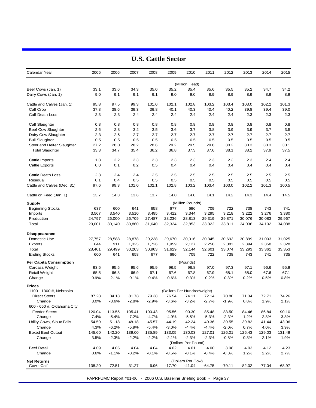| Calendar Year                       | 2005            | 2006             | 2007             | 2008             | 2009             | 2010                                                                 | 2011             | 2012             | 2013            | 2014            | 2015            |
|-------------------------------------|-----------------|------------------|------------------|------------------|------------------|----------------------------------------------------------------------|------------------|------------------|-----------------|-----------------|-----------------|
|                                     |                 |                  |                  |                  |                  | (Million Head)                                                       |                  |                  |                 |                 |                 |
| Beef Cows (Jan. 1)                  | 33.1            | 33.6             | 34.3             | 35.0             | 35.2             | 35.4                                                                 | 35.6             | 35.5             | 35.2            | 34.7            | 34.2            |
| Dairy Cows (Jan. 1)                 | 9.0             | 9.1              | 9.1              | 9.1              | 9.0              | 9.0                                                                  | 8.9              | 8.9              | 8.9             | 8.9             | 8.9             |
| Cattle and Calves (Jan. 1)          | 95.8            | 97.5             | 99.3             | 101.0            | 102.1            | 102.8                                                                | 103.2            | 103.4            | 103.0           | 102.2           | 101.3           |
| Calf Crop                           | 37.8            | 38.6             | 39.3             | 39.8             | 40.1             | 40.3                                                                 | 40.4             | 40.2             | 39.8            | 39.4            | 39.0            |
| <b>Calf Death Loss</b>              | 2.3             | 2.3              | 2.4              | 2.4              | 2.4              | 2.4                                                                  | 2.4              | 2.4              | 2.3             | 2.3             | 2.3             |
| Calf Slaughter                      | 0.8             | 0.8              | 0.8              | 0.8              | 0.8              | 0.8                                                                  | 0.8              | 0.8              | 0.8             | 0.8             | 0.8             |
| Beef Cow Slaughter                  | 2.6             | 2.8              | 3.2              | 3.5              | 3.6              | 3.7                                                                  | 3.8              | 3.9              | 3.9             | 3.7             | 3.5             |
| Dairy Cow Slaughter                 | 2.3             | 2.6              | 2.7              | 2.7              | 2.7              | 2.7                                                                  | 2.7              | 2.7              | 2.7             | 2.7             | 2.7             |
| <b>Bull Slaughter</b>               | 0.5             | 0.5              | 0.5              | 0.5              | 0.5              | 0.5                                                                  | 0.5              | 0.5              | 0.5             | 0.5             | 0.5             |
| Steer and Heifer Slaughter          | 27.2            | 28.0             | 28.2             | 28.6             | 29.2             | 29.5                                                                 | 29.8             | 30.2             | 30.3            | 30.3            | 30.1            |
| <b>Total Slaughter</b>              | 33.3            | 34.7             | 35.4             | 36.2             | 36.8             | 37.3                                                                 | 37.6             | 38.1             | 38.2            | 37.9            | 37.5            |
| Cattle Imports                      | 1.8             | 2.2              | 2.3              | 2.3              | 2.3              | 2.3                                                                  | 2.3              | 2.3              | 2.3             | 2.4             | 2.4             |
| <b>Cattle Exports</b>               | 0.0             | 0.1              | 0.2              | 0.5              | 0.4              | 0.4                                                                  | 0.4              | 0.4              | 0.4             | 0.4             | 0.4             |
| <b>Cattle Death Loss</b>            | 2.3             | 2.4              | 2.4              | 2.5              | 2.5              | 2.5                                                                  | 2.5              | 2.5              | 2.5             | 2.5             | 2.5             |
| Residual                            | 0.1             | 0.4              | 0.5              | 0.5              | 0.5              | 0.5                                                                  | 0.5              | 0.5              | 0.5             | 0.5             | 0.5             |
| Cattle and Calves (Dec. 31)         | 97.6            | 99.3             | 101.0            | 102.1            | 102.8            | 103.2                                                                | 103.4            | 103.0            | 102.2           | 101.3           | 100.5           |
| Cattle on Feed (Jan. 1)             | 13.7            | 14.3             | 13.6             | 13.7             | 14.0             | 14.0                                                                 | 14.1             | 14.2             | 14.3            | 14.4            | 14.5            |
| Supply                              |                 |                  |                  |                  |                  | (Million Pounds)                                                     |                  |                  |                 |                 |                 |
| <b>Beginning Stocks</b>             | 637             | 600              | 641              | 658              | 677              | 696                                                                  | 709              | 722              | 738             | 743             | 741             |
| Imports                             | 3,567           | 3,540            | 3,510            | 3,495            | 3,412            | 3,344                                                                | 3,295            | 3,218            | 3,222           | 3,276           | 3,380           |
| Production                          | 24,797          | 26,000           | 26,709           | 27,487           | 28,236           | 28,813                                                               | 29,319           | 29,871           | 30,076          | 30,083          | 29,967          |
| Total                               | 29,001          | 30,140           | 30,860           | 31,640           | 32,324           | 32,853                                                               | 33,322           | 33,811           | 34,036          | 34,102          | 34,088          |
| Disappearance                       |                 |                  |                  |                  |                  |                                                                      |                  |                  |                 |                 |                 |
| Domestic Use                        | 27,757          | 28,588           | 28,878           | 29,238           | 29,670           | 30,016                                                               | 30,345           | 30,693           | 30,899          | 31,003          | 31,025          |
| Exports                             | 644             | 911              | 1,325            | 1,726            | 1,959            | 2,127                                                                | 2,256            | 2,381            | 2,394           | 2,358           | 2,328           |
| Total                               | 28,401          | 29,499           | 30,203           | 30,963           | 31,629           | 32,144                                                               | 32,601           | 33,074           | 33,293          | 33,361          | 33,353          |
| <b>Ending Stocks</b>                | 600             | 641              | 658              | 677              | 696              | 709                                                                  | 722              | 738              | 743             | 741             | 735             |
| Per Capita Consumption              |                 |                  |                  |                  |                  | (Pounds)                                                             |                  |                  |                 |                 |                 |
| Carcass Weight                      | 93.5            | 95.5             | 95.6             | 95.9             | 96.5             | 96.8                                                                 | 97.0             | 97.3             | 97.1            | 96.6            | 95.9            |
| Retail Weight<br>Change             | 65.5<br>$-0.9%$ | 66.8<br>2.1%     | 66.9<br>0.1%     | 67.1<br>0.4%     | 67.6<br>0.6%     | 67.8<br>0.3%                                                         | 67.9<br>0.2%     | 68.1<br>0.3%     | 68.0<br>$-0.2%$ | 67.6<br>$-0.5%$ | 67.1<br>$-0.8%$ |
| Prices                              |                 |                  |                  |                  |                  |                                                                      |                  |                  |                 |                 |                 |
| 1100 - 1300 #, Nebraska             |                 |                  |                  |                  |                  | (Dollars Per Hundredweight)                                          |                  |                  |                 |                 |                 |
| <b>Direct Steers</b>                | 87.28           | 84.13            | 81.78            | 79.38            | 76.54            | 74.11                                                                | 72.14            | 70.80            | 71.34           | 72.71           | 74.26           |
| Change                              | 3.0%            | $-3.6%$          | $-2.8%$          | $-2.9%$          | $-3.6%$          | $-3.2%$                                                              | $-2.7%$          | $-1.9%$          | 0.8%            | 1.9%            | 2.1%            |
| 600 - 650 #, Oklahoma City          |                 |                  |                  |                  |                  |                                                                      |                  |                  |                 |                 |                 |
| <b>Feeder Steers</b>                | 120.04          | 113.55           | 105.41           | 100.43           | 95.56            | 90.30                                                                | 85.48            | 83.50            | 84.46           | 86.84           | 90.10           |
| Change<br>Utility Cows, Sioux Falls | 7.4%            | $-5.4%$          | $-7.2%$          | $-4.7%$          | $-4.9%$          | $-5.5%$                                                              | $-5.3%$<br>40.36 | $-2.3%$          | 1.2%            | 2.8%<br>41.44   | 3.8%<br>43.06   |
| Change                              | 54.59<br>4.3%   | 51.18<br>$-6.2%$ | 48.18<br>$-5.9%$ | 45.57<br>$-5.4%$ | 44.19<br>$-3.0%$ | 42.24<br>$-4.4%$                                                     | $-4.4%$          | 39.55<br>$-2.0%$ | 39.82<br>0.7%   | 4.0%            | 3.9%            |
| <b>Boxed Beef Cutout</b>            | 145.60          | 142.20           | 139.00           | 135.89           | 133.05           | 130.03                                                               | 127.01           | 126.01           | 126.43          | 129.03          | 131.49          |
| Change                              | 3.5%            | $-2.3%$          | $-2.2\%$         | $-2.2%$          | $-2.1%$          | $-2.3%$                                                              | $-2.3%$          | $-0.8%$          | 0.3%            | 2.1%            | 1.9%            |
|                                     |                 |                  |                  |                  |                  | (Dollars Per Pound)                                                  |                  |                  |                 |                 |                 |
| <b>Beef Retail</b>                  | 4.09            | 4.05             | 4.04             | 4.04             | 4.02             | 4.01                                                                 | 4.00             | 3.98             | 4.03            | 4.12            | 4.23            |
| Change                              | 0.6%            | $-1.1%$          | $-0.2%$          | $-0.1%$          | $-0.5%$          | $-0.1%$                                                              | $-0.4%$          | $-0.3%$          | 1.2%            | 2.2%            | 2.7%            |
| Net Returns                         |                 |                  |                  |                  |                  | (Dollars Per Cow)                                                    |                  |                  |                 |                 |                 |
| Cow - Calf                          | 138.20          | 72.51            | 31.27            | 6.96             | $-17.70$         | $-41.04$                                                             | $-64.75$         | $-79.11$         | $-82.02$        | $-77.04$        | -68.97          |
|                                     |                 |                  |                  |                  |                  |                                                                      |                  |                  |                 |                 |                 |
|                                     |                 |                  |                  |                  |                  | FAPRI-UMC Report #01-06 - 2006 U.S. Baseline Briefing Book - Page 37 |                  |                  |                 |                 |                 |

### **U.S. Cattle Sector**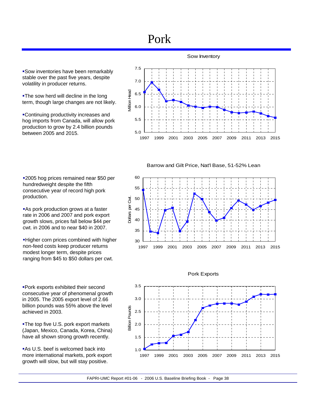## Pork

Sow inventories have been remarkably stable over the past five years, despite volatility in producer returns.

**-The sow herd will decline in the long** term, though large changes are not likely.

Continuing productivity increases and hog imports from Canada, will allow pork production to grow by 2.4 billion pounds between 2005 and 2015.



Barrow and Gilt Price, Nat'l Base, 51-52% Lean

2005 hog prices remained near \$50 per hundredweight despite the fifth consecutive year of record high pork production.

**As pork production grows at a faster** rate in 2006 and 2007 and pork export growth slows, prices fall below \$44 per cwt. in 2006 and to near \$40 in 2007.

Higher corn prices combined with higher non-feed costs keep producer returns modest longer term, despite prices ranging from \$45 to \$50 dollars per cwt.

Pork exports exhibited their second consecutive year of phenomenal growth in 2005. The 2005 export level of 2.66 billion pounds was 55% above the level achieved in 2003.

**-The top five U.S. pork export markets** (Japan, Mexico, Canada, Korea, China) have all shown strong growth recently.

**As U.S. beef is welcomed back into** more international markets, pork export growth will slow, but will stay positive.





#### Pork Exports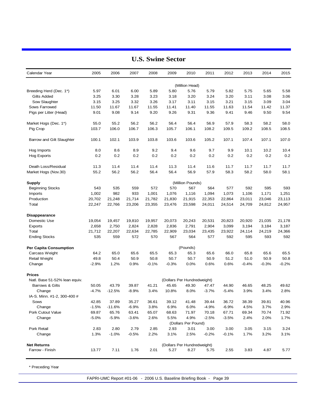| Calendar Year                 | 2005    | 2006     | 2007    | 2008    | 2009    | 2010                        | 2011    | 2012    | 2013    | 2014    | 2015    |
|-------------------------------|---------|----------|---------|---------|---------|-----------------------------|---------|---------|---------|---------|---------|
|                               |         |          |         |         |         | (Million Head)              |         |         |         |         |         |
| Breeding Herd (Dec. 1*)       | 5.97    | 6.01     | 6.00    | 5.89    | 5.80    | 5.76                        | 5.79    | 5.82    | 5.75    | 5.65    | 5.58    |
| <b>Gilts Added</b>            | 3.25    | 3.30     | 3.28    | 3.23    | 3.18    | 3.20                        | 3.24    | 3.20    | 3.11    | 3.08    | 3.06    |
| Sow Slaughter                 | 3.15    | 3.25     | 3.32    | 3.26    | 3.17    | 3.11                        | 3.15    | 3.21    | 3.15    | 3.09    | 3.04    |
| Sows Farrowed                 | 11.50   | 11.67    | 11.67   | 11.55   | 11.41   | 11.40                       | 11.55   | 11.63   | 11.54   | 11.42   | 11.37   |
| Pigs per Litter (Head)        | 9.01    | 9.08     | 9.14    | 9.20    | 9.26    | 9.31                        | 9.36    | 9.41    | 9.46    | 9.50    | 9.54    |
| Market Hogs (Dec. 1*)         | 55.0    | 55.2     | 56.2    | 56.2    | 56.4    | 56.4                        | 56.9    | 57.9    | 58.3    | 58.2    | 58.0    |
| Pig Crop                      | 103.7   | 106.0    | 106.7   | 106.3   | 105.7   | 106.1                       | 108.2   | 109.5   | 109.2   | 108.5   | 108.5   |
| Barrow and Gilt Slaughter     | 100.1   | 102.1    | 103.9   | 103.8   | 103.6   | 103.6                       | 105.2   | 107.1   | 107.4   | 107.1   | 107.0   |
| Hog Imports                   | 8.0     | 8.6      | 8.9     | 9.2     | 9.4     | 9.6                         | 9.7     | 9.9     | 10.1    | 10.2    | 10.4    |
| Hog Exports                   | 0.2     | 0.2      | 0.2     | 0.2     | 0.2     | 0.2                         | 0.2     | 0.2     | 0.2     | 0.2     | 0.2     |
| Death Loss/Residual           | 11.3    | 11.4     | 11.4    | 11.4    | 11.3    | 11.4                        | 11.6    | 11.7    | 11.7    | 11.7    | 11.7    |
| Market Hogs (Nov.30)          | 55.2    | 56.2     | 56.2    | 56.4    | 56.4    | 56.9                        | 57.9    | 58.3    | 58.2    | 58.0    | 58.1    |
| Supply                        |         |          |         |         |         | (Million Pounds)            |         |         |         |         |         |
| <b>Beginning Stocks</b>       | 543     | 535      | 559     | 572     | 570     | 567                         | 564     | 577     | 592     | 595     | 593     |
| Imports                       | 1,002   | 982      | 933     | 1,001   | 1,076   | 1,116                       | 1,094   | 1,073   | 1,106   | 1,171   | 1,251   |
| Production                    | 20,702  | 21,248   | 21,714  | 21,782  | 21,830  | 21,915                      | 22,353  | 22,864  | 23,011  | 23,046  | 23,113  |
| Total                         | 22,247  | 22,766   | 23,206  | 23,355  | 23,476  | 23,598                      | 24,011  | 24,514  | 24,709  | 24,812  | 24,957  |
| Disappearance                 |         |          |         |         |         |                             |         |         |         |         |         |
| Domestic Use                  | 19,054  | 19,457   | 19,810  | 19,957  | 20,073  | 20,243                      | 20,531  | 20,823  | 20,920  | 21,035  | 21,178  |
| Exports                       | 2,658   | 2,750    | 2,824   | 2,828   | 2,836   | 2,791                       | 2,904   | 3,099   | 3,194   | 3,184   | 3,187   |
| Total                         | 21,712  | 22,207   | 22,634  | 22,785  | 22,909  | 23,034                      | 23,435  | 23,922  | 24,114  | 24,219  | 24,366  |
| <b>Ending Stocks</b>          | 535     | 559      | 572     | 570     | 567     | 564                         | 577     | 592     | 595     | 593     | 592     |
| Per Capita Consumption        |         |          |         |         |         | (Pounds)                    |         |         |         |         |         |
| Carcass Weight                | 64.2    | 65.0     | 65.6    | 65.5    | 65.3    | 65.3                        | 65.6    | 66.0    | 65.8    | 65.6    | 65.5    |
| Retail Weight                 | 49.8    | 50.4     | 50.9    | 50.8    | 50.7    | 50.7                        | 50.9    | 51.2    | 51.0    | 50.9    | 50.8    |
| Change                        | $-2.9%$ | 1.2%     | 0.9%    | $-0.1%$ | $-0.3%$ | 0.0%                        | 0.6%    | 0.6%    | $-0.4%$ | $-0.3%$ | $-0.2%$ |
| <b>Prices</b>                 |         |          |         |         |         |                             |         |         |         |         |         |
| Natl. Base 51-52% lean equiv. |         |          |         |         |         | (Dollars Per Hundredweight) |         |         |         |         |         |
| <b>Barrows &amp; Gilts</b>    | 50.05   | 43.79    | 39.87   | 41.21   | 45.65   | 49.30                       | 47.47   | 44.90   | 46.65   | 48.25   | 49.62   |
| Change                        | $-4.7%$ | $-12.5%$ | $-8.9%$ | 3.4%    | 10.8%   | 8.0%                        | $-3.7%$ | $-5.4%$ | 3.9%    | 3.4%    | 2.8%    |
| IA-S. Minn. #1-2, 300-400 #   |         |          |         |         |         |                             |         |         |         |         |         |
| Sows                          | 42.85   | 37.89    | 35.27   | 36.61   | 39.12   | 41.48                       | 39.44   | 36.72   | 38.39   | 39.81   | 40.96   |
| Change                        | $-1.5%$ | $-11.6%$ | $-6.9%$ | 3.8%    | 6.9%    | 6.0%                        | $-4.9%$ | $-6.9%$ | 4.5%    | 3.7%    | 2.9%    |
| Pork Cutout Value             | 69.87   | 65.76    | 63.41   | 65.07   | 68.63   | 71.97                       | 70.18   | 67.71   | 69.34   | 70.74   | 71.92   |
| Change                        | $-5.0%$ | $-5.9%$  | $-3.6%$ | 2.6%    | 5.5%    | 4.9%<br>(Dollars Per Pound) | $-2.5%$ | $-3.5%$ | 2.4%    | 2.0%    | 1.7%    |
| Pork Retail                   | 2.83    | 2.80     | 2.79    | 2.85    | 2.93    | 3.01                        | 3.00    | 3.00    | 3.05    | 3.15    | 3.24    |
| Change                        | 1.3%    | $-1.0%$  | $-0.5%$ | 2.2%    | 3.1%    | 2.5%                        | $-0.2%$ | $-0.1%$ | 1.7%    | 3.2%    | 3.1%    |
| <b>Net Returns</b>            |         |          |         |         |         | (Dollars Per Hundredweight) |         |         |         |         |         |
| Farrow - Finish               | 13.77   | 7.11     | 1.76    | 2.01    | 5.27    | 8.27                        | 5.75    | 2.55    | 3.83    | 4.87    | 5.77    |
|                               |         |          |         |         |         |                             |         |         |         |         |         |

**U.S. Swine Sector**

\* Preceding Year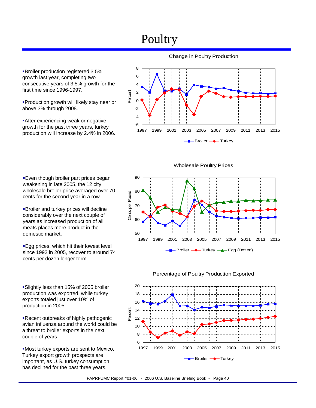## Poultry

Broiler production registered 3.5% growth last year, completing two consecutive years of 3.5% growth for the first time since 1996-1997.

Production growth will likely stay near or above 3% through 2008.

**After experiencing weak or negative** growth for the past three years, turkey production will increase by 2.4% in 2006.

**Even though broiler part prices began** weakening in late 2005, the 12 city wholesale broiler price averaged over 70 cents for the second year in a row.

Broiler and turkey prices will decline considerably over the next couple of years as increased production of all meats places more product in the

domestic market.



Change in Poultry Production

Wholesale Poultry Prices



**Egg prices, which hit their lowest level** since 1992 in 2005, recover to around 74 cents per dozen longer term.

Slightly less than 15% of 2005 broiler production was exported, while turkey exports totaled just over 10% of production in 2005.

Recent outbreaks of highly pathogenic avian influenza around the world could be a threat to broiler exports in the next couple of years.

Most turkey exports are sent to Mexico. Turkey export growth prospects are important, as U.S. turkey consumption has declined for the past three years.

Percentage of Poultry Production Exported

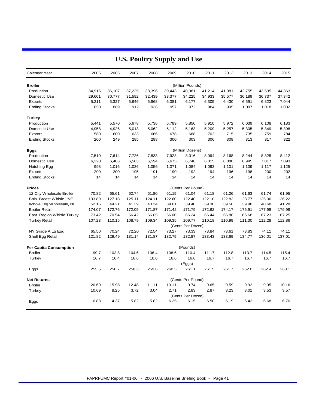| Calendar Year                 | 2005    | 2006   | 2007   | 2008   | 2009   | 2010              | 2011   | 2012   | 2013   | 2014   | 2015   |
|-------------------------------|---------|--------|--------|--------|--------|-------------------|--------|--------|--------|--------|--------|
| <b>Broiler</b>                |         |        |        |        |        | (Million Pounds)  |        |        |        |        |        |
| Production                    | 34,915  | 36,107 | 37,225 | 38,396 | 39,443 | 40,381            | 41,214 | 41,981 | 42,755 | 43,535 | 44,363 |
| Domestic Use                  | 29,601  | 30,777 | 31,592 | 32,439 | 33,377 | 34,225            | 34,933 | 35,577 | 36,189 | 36,737 | 37,342 |
| Exports                       | 5,211   | 5,327  | 5,646  | 5,968  | 6,081  | 6,177             | 6,305  | 6,430  | 6,591  | 6,823  | 7,044  |
| <b>Ending Stocks</b>          | 850     | 889    | 912    | 936    | 957    | 972               | 984    | 995    | 1,007  | 1,018  | 1,032  |
| Turkey                        |         |        |        |        |        |                   |        |        |        |        |        |
| Production                    | 5,441   | 5,570  | 5,678  | 5,736  | 5,789  | 5,850             | 5,910  | 5,972  | 6,039  | 6,108  | 6,183  |
| Domestic Use                  | 4,958   | 4,926  | 5,013  | 5,062  | 5,112  | 5,163             | 5,209  | 5,257  | 5,305  | 5,349  | 5,398  |
| Exports                       | 580     | 600    | 633    | 666    | 678    | 688               | 702    | 715    | 735    | 759    | 784    |
| <b>Ending Stocks</b>          | 200     | 249    | 285    | 298    | 300    | 303               | 306    | 309    | 313    | 317    | 322    |
| Eggs                          |         |        |        |        |        | (Million Dozens)  |        |        |        |        |        |
| Production                    | 7,510   | 7,614  | 7,726  | 7,833  | 7,928  | 8,016             | 8,094  | 8,168  | 8,244  | 8,325  | 8,412  |
| Domestic Use                  | 6,320   | 6,406  | 6,503  | 6,594  | 6,675  | 6,748             | 6,815  | 6,880  | 6,945  | 7,017  | 7,093  |
| Hatching Egg                  | 998     | 1,016  | 1,036  | 1,056  | 1,071  | 1,084             | 1,093  | 1,101  | 1,109  | 1,117  | 1,125  |
| Exports                       | 200     | 200    | 195    | 191    | 190    | 192               | 194    | 196    | 198    | 200    | 202    |
| <b>Ending Stocks</b>          | 14      | 14     | 14     | 14     | 14     | 14                | 14     | 14     | 14     | 14     | 14     |
| <b>Prices</b>                 |         |        |        |        |        | (Cents Per Pound) |        |        |        |        |        |
| 12 City Wholesale Broiler     | 70.82   | 65.61  | 62.74  | 61.80  | 61.19  | 61.04             | 61.18  | 61.26  | 61.63  | 61.74  | 61.95  |
| Bnls. Breast Whlsle., NE      | 133.89  | 127.18 | 125.11 | 124.11 | 122.60 | 122.40            | 122.10 | 122.82 | 123.77 | 125.06 | 126.22 |
| Whole Leg Wholesale, NE       | 52.15   | 44.21  | 41.39  | 40.24  | 39.61  | 39.40             | 39.30  | 39.58  | 39.98  | 40.68  | 41.28  |
| <b>Broiler Retail</b>         | 174.07  | 172.76 | 172.05 | 171.87 | 171.42 | 171.79            | 172.62 | 174.17 | 175.91 | 177.98 | 179.99 |
| East. Region Whisle Turkey    | 73.42   | 70.54  | 66.42  | 66.05  | 66.00  | 66.24             | 66.44  | 66.88  | 66.68  | 67.23  | 67.25  |
| <b>Turkey Retail</b>          | 107.23  | 110.15 | 108.79 | 109.34 | 109.35 | 109.77            | 110.18 | 110.99 | 111.30 | 112.28 | 112.86 |
|                               |         |        |        |        |        | (Cents Per Dozen) |        |        |        |        |        |
| NY Grade A Lg Egg             | 65.50   | 70.24  | 72.20  | 72.54  | 73.27  | 73.33             | 73.84  | 73.61  | 73.83  | 74.11  | 74.11  |
| Shell Egg Retail              | 121.82  | 129.49 | 131.14 | 131.87 | 132.79 | 132.87            | 133.43 | 133.69 | 134.77 | 136.01 | 137.01 |
| <b>Per Capita Consumption</b> |         |        |        |        |        | (Pounds)          |        |        |        |        |        |
| <b>Broiler</b>                | 99.7    | 102.8  | 104.6  | 106.4  | 108.6  | 110.4             | 111.7  | 112.8  | 113.7  | 114.5  | 115.4  |
| Turkey                        | 16.7    | 16.4   | 16.6   | 16.6   | 16.6   | 16.6              | 16.7   | 16.7   | 16.7   | 16.7   | 16.7   |
|                               |         |        |        |        |        | (Eggs)            |        |        |        |        |        |
| Eggs                          | 255.5   | 256.7  | 258.3  | 259.6  | 260.5  | 261.1             | 261.5  | 261.7  | 262.0  | 262.4  | 263.1  |
| <b>Net Returns</b>            |         |        |        |        |        | (Cents Per Pound) |        |        |        |        |        |
| <b>Broiler</b>                | 20.69   | 15.98  | 12.48  | 11.11  | 10.11  | 9.74              | 9.65   | 9.59   | 9.92   | 9.95   | 10.16  |
| Turkey                        | 10.69   | 8.25   | 3.72   | 3.04   | 2.71   | 2.83              | 2.87   | 3.23   | 3.01   | 3.53   | 3.57   |
|                               |         |        |        |        |        | (Cents Per Dozen) |        |        |        |        |        |
| Eggs                          | $-0.83$ | 4.37   | 5.82   | 5.82   | 6.25   | 6.15              | 6.50   | 6.19   | 6.42   | 6.68   | 6.70   |

### **U.S. Poultry Supply and Use**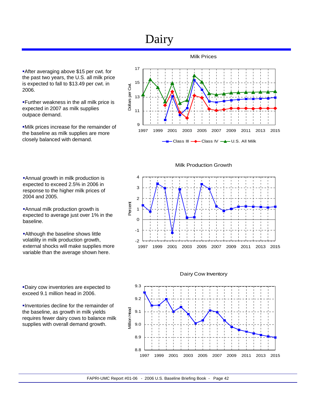## Dairy

9

11

13

Dollars per Cwt.

Dollars per Cwt.

15

17

After averaging above \$15 per cwt. for the past two years, the U.S. all milk price is expected to fall to \$13.49 per cwt. in 2006.

Further weakness in the all milk price is expected in 2007 as milk supplies outpace demand.

Milk prices increase for the remainder of the baseline as milk supplies are more closely balanced with demand.

Annual growth in milk production is expected to exceed 2.5% in 2006 in response to the higher milk prices of 2004 and 2005.

Annual milk production growth is expected to average just over 1% in the baseline.

**Although the baseline shows little** volatility in milk production growth, external shocks will make supplies more variable than the average shown here.

Dairy cow inventories are expected to exceed 9.1 million head in 2006.

Inventories decline for the remainder of the baseline, as growth in milk yields requires fewer dairy cows to balance milk supplies with overall demand growth.

Milk Production Growth

1997 1999 2001 2003 2005 2007 2009 2011 2013 2015

Class III - Class IV - U.S. All Milk

Milk Prices





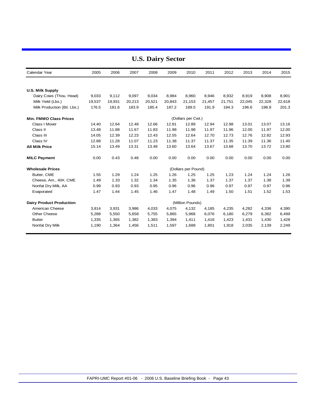| Calendar Year                   | 2005   | 2006   | 2007   | 2008   | 2009   | 2010                | 2011   | 2012   | 2013   | 2014   | 2015   |
|---------------------------------|--------|--------|--------|--------|--------|---------------------|--------|--------|--------|--------|--------|
|                                 |        |        |        |        |        |                     |        |        |        |        |        |
| <b>U.S. Milk Supply</b>         |        |        |        |        |        |                     |        |        |        |        |        |
| Dairy Cows (Thou. Head)         | 9,033  | 9,112  | 9,097  | 9,034  | 8,984  | 8,960               | 8,946  | 8,932  | 8,919  | 8,908  | 8,901  |
| Milk Yield (Lbs.)               | 19,537 | 19,931 | 20,213 | 20,521 | 20,843 | 21.153              | 21,457 | 21,751 | 22,045 | 22,328 | 22,618 |
| Milk Production (Bil. Lbs.)     | 176.5  | 181.6  | 183.9  | 185.4  | 187.2  | 189.5               | 191.9  | 194.3  | 196.6  | 198.9  | 201.3  |
| <b>Min. FMMO Class Prices</b>   |        |        |        |        |        | (Dollars per Cwt.)  |        |        |        |        |        |
| Class I Mover                   | 14.40  | 12.64  | 12.48  | 12.66  | 12.81  | 12.89               | 12.94  | 12.98  | 13.01  | 13.07  | 13.16  |
| Class II                        | 13.48  | 11.88  | 11.67  | 11.83  | 11.98  | 11.98               | 11.97  | 11.96  | 12.00  | 11.97  | 12.00  |
| Class III                       | 14.05  | 12.39  | 12.23  | 12.43  | 12.55  | 12.64               | 12.70  | 12.73  | 12.76  | 12.82  | 12.93  |
| Class IV                        | 12.88  | 11.28  | 11.07  | 11.23  | 11.38  | 11.37               | 11.37  | 11.35  | 11.39  | 11.36  | 11.40  |
| <b>All Milk Price</b>           | 15.14  | 13.49  | 13.31  | 13.48  | 13.60  | 13.64               | 13.67  | 13.68  | 13.70  | 13.72  | 13.80  |
| <b>MILC Payment</b>             | 0.00   | 0.43   | 0.48   | 0.00   | 0.00   | 0.00                | 0.00   | 0.00   | 0.00   | 0.00   | 0.00   |
| <b>Wholesale Prices</b>         |        |        |        |        |        | (Dollars per Pound) |        |        |        |        |        |
| Butter, CME                     | 1.55   | 1.29   | 1.24   | 1.25   | 1.26   | 1.25                | 1.25   | 1.23   | 1.24   | 1.24   | 1.26   |
| Cheese, Am., 40#, CME           | 1.49   | 1.33   | 1.32   | 1.34   | 1.35   | 1.36                | 1.37   | 1.37   | 1.37   | 1.38   | 1.39   |
| Nonfat Dry Milk, AA             | 0.99   | 0.93   | 0.93   | 0.95   | 0.96   | 0.96                | 0.96   | 0.97   | 0.97   | 0.97   | 0.96   |
| Evaporated                      | 1.47   | 1.44   | 1.45   | 1.46   | 1.47   | 1.48                | 1.49   | 1.50   | 1.51   | 1.52   | 1.53   |
| <b>Dairy Product Production</b> |        |        |        |        |        | (Million Pounds)    |        |        |        |        |        |
| American Cheese                 | 3,814  | 3,931  | 3,986  | 4,033  | 4,075  | 4,132               | 4,185  | 4,235  | 4,282  | 4,336  | 4,390  |
| Other Cheese                    | 5,288  | 5,550  | 5,658  | 5,755  | 5,865  | 5,968               | 6,076  | 6,180  | 6,279  | 6,382  | 6,499  |
| <b>Butter</b>                   | 1,335  | 1,365  | 1,382  | 1,383  | 1,394  | 1,411               | 1,416  | 1,423  | 1,431  | 1,430  | 1,428  |
| Nonfat Dry Milk                 | 1,190  | 1,364  | 1,456  | 1,511  | 1,597  | 1,688               | 1,801  | 1,918  | 2,035  | 2,139  | 2,249  |

### **U.S. Dairy Sector**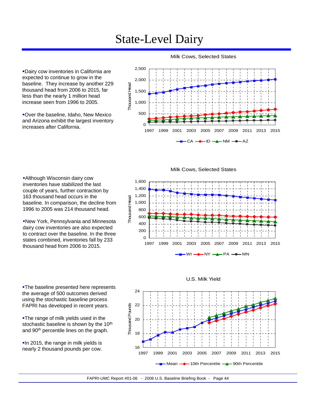## State-Level Dairy

Dairy cow inventories in California are expected to continue to grow in the baseline. They increase by another 229 thousand head from 2006 to 2015, far less than the nearly 1 million head increase seen from 1996 to 2005.

Over the baseline, Idaho, New Mexico and Arizona exhibit the largest inventory increases after California.

Although Wisconsin dairy cow inventories have stabilized the last couple of years, further contraction by 163 thousand head occurs in the

baseline. In comparison, the decline from 1996 to 2005 was 214 thousand head.

New York, Pennsylvania and Minnesota dairy cow inventories are also expected to contract over the baseline. In the three states combined, inventories fall by 233 thousand head from 2006 to 2015.



Milk Cows, Selected States

Milk Cows, Selected States





**-The range of milk yields used in the** stochastic baseline is shown by the 10<sup>th</sup> and 90<sup>th</sup> percentile lines on the graph.

**In 2015, the range in milk yields is** nearly 2 thousand pounds per cow.



U.S. Milk Yield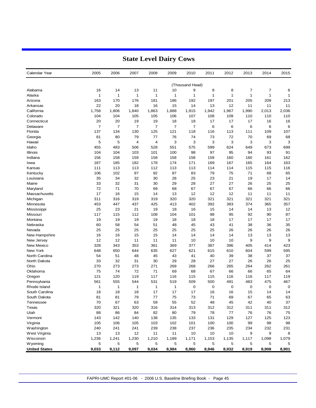| (Thousand Head)<br>13<br>10<br>8<br>7<br>7<br>Alabama<br>16<br>14<br>11<br>9<br>8<br>$\mathbf{1}$<br>$\mathbf{1}$<br>1<br>1<br>$\mathbf{1}$<br>1<br>$\mathbf{1}$<br>$\mathbf{1}$<br>$\mathbf{1}$<br>1<br>Alaska<br>163<br>170<br>176<br>181<br>186<br>192<br>197<br>201<br>205<br>209<br>Arizona<br>22<br>20<br>18<br>16<br>15<br>14<br>13<br>12<br>11<br>11<br>Arkansas<br>1,758<br>California<br>1,806<br>1,863<br>1,888<br>1,915<br>1,942<br>1,967<br>1,990<br>2,013<br>1,840<br>104<br>104<br>105<br>105<br>107<br>108<br>109<br>110<br>110<br>Colorado<br>106<br>20<br>20<br>19<br>19<br>18<br>18<br>17<br>17<br>17<br>16<br>Connecticut<br>$\overline{7}$<br>$\overline{7}$<br>7<br>$\overline{7}$<br>$\overline{7}$<br>6<br>7<br>6<br>6<br>6<br>Delaware<br>Florida<br>137<br>134<br>130<br>125<br>121<br>118<br>113<br>111<br>109<br>116<br>81<br>80<br>79<br>77<br>76<br>74<br>73<br>72<br>70<br>69<br>Georgia<br>5<br>3<br>3<br>3<br>5<br>4<br>3<br>3<br>3<br>Hawaii<br>4<br>Idaho<br>455<br>483<br>506<br>528<br>551<br>575<br>599<br>624<br>649<br>673<br>98<br>104<br>104<br>103<br>101<br>100<br>97<br>95<br>94<br>93<br>Illinois<br>156<br>159<br>158<br>160<br>161<br>Indiana<br>158<br>158<br>158<br>159<br>160<br>187<br>182<br>178<br>174<br>171<br>169<br>167<br>165<br>164<br>185<br>lowa<br>111<br>113<br>113<br>112<br>113<br>113<br>114<br>114<br>115<br>115<br>Kansas<br>106<br>102<br>97<br>92<br>87<br>83<br>79<br>75<br>71<br>68<br>Kentucky<br>35<br>34<br>32<br>30<br>28<br>25<br>23<br>21<br>19<br>17<br>Louisiana<br>33<br>32<br>31<br>30<br>29<br>28<br>27<br>27<br>26<br>25<br>Maine<br>72<br>71<br>70<br>69<br>68<br>67<br>67<br>67<br>66<br>66<br>Maryland<br>17<br>16<br>15<br>12<br>12<br>12<br>11<br>11<br>Massachusetts<br>14<br>13<br>321<br>311<br>316<br>319<br>320<br>320<br>321<br>321<br>321<br>Michigan<br>319<br>402<br>453<br>447<br>437<br>425<br>413<br>392<br>383<br>374<br>365<br>Minnesota<br>25<br>23<br>21<br>19<br>16<br>15<br>14<br>Mississippi<br>18<br>14<br>13<br>117<br>115<br>112<br>108<br>104<br>101<br>98<br>95<br>92<br>90<br>Missouri<br>19<br>19<br>19<br>19<br>18<br>18<br>18<br>17<br>17<br>17<br>Montana<br>Nebraska<br>60<br>58<br>54<br>51<br>48<br>45<br>43<br>41<br>38<br>36<br>25<br>25<br>25<br>25<br>25<br>25<br>25<br>26<br>26<br>26<br>Nevada<br>16<br>16<br>15<br>15<br>14<br>14<br>14<br>14<br>13<br>13<br>New Hampshire<br>12<br>12<br>11<br>11<br>11<br>10<br>10<br>10<br>9<br>9<br>New Jersey<br>328<br>343<br>353<br>377<br>396<br>405<br>New Mexico<br>361<br>369<br>387<br>414<br>New York<br>648<br>650<br>644<br>635<br>627<br>621<br>615<br>610<br>604<br>599<br>North Carolina<br>54<br>51<br>48<br>45<br>43<br>41<br>40<br>39<br>38<br>37<br>North Dakota<br>33<br>32<br>31<br>29<br>28<br>27<br>27<br>26<br>30<br>26<br>273<br>262<br>Ohio<br>270<br>273<br>271<br>269<br>268<br>266<br>265<br>264<br>Oklahoma<br>75<br>74<br>72<br>71<br>69<br>68<br>67<br>66<br>66<br>65<br>121<br>120<br>119<br>117<br>115<br>116<br>117<br>Oregon<br>116<br>115<br>116<br>561<br>555<br>544<br>531<br>509<br>500<br>491<br>483<br>475<br>Pennsylvania<br>519<br>1<br>1<br>0<br>0<br>$\mathbf 0$<br>0<br>0<br>Rhode Island<br>1<br>1<br>1<br>18<br>18<br>18<br>17<br>17<br>17<br>16<br>15<br>14<br>South Carolina<br>16<br>81<br>79<br>75<br>73<br>South Dakota<br>77<br>71<br>69<br>67<br>65<br>81<br>70<br>67<br>63<br>59<br>55<br>52<br>48<br>45<br>42<br>40<br>Tennessee<br>Texas<br>320<br>321<br>320<br>316<br>314<br>313<br>312<br>312<br>311<br>311<br>84<br>79<br>78<br>$77 \,$<br>76<br>76<br>Utah<br>88<br>86<br>82<br>80 | Calendar Year | 2005 | 2006 | 2007 | 2008 | 2009 | 2010 | 2011 | 2012 | 2013 | 2014 | 2015         |
|------------------------------------------------------------------------------------------------------------------------------------------------------------------------------------------------------------------------------------------------------------------------------------------------------------------------------------------------------------------------------------------------------------------------------------------------------------------------------------------------------------------------------------------------------------------------------------------------------------------------------------------------------------------------------------------------------------------------------------------------------------------------------------------------------------------------------------------------------------------------------------------------------------------------------------------------------------------------------------------------------------------------------------------------------------------------------------------------------------------------------------------------------------------------------------------------------------------------------------------------------------------------------------------------------------------------------------------------------------------------------------------------------------------------------------------------------------------------------------------------------------------------------------------------------------------------------------------------------------------------------------------------------------------------------------------------------------------------------------------------------------------------------------------------------------------------------------------------------------------------------------------------------------------------------------------------------------------------------------------------------------------------------------------------------------------------------------------------------------------------------------------------------------------------------------------------------------------------------------------------------------------------------------------------------------------------------------------------------------------------------------------------------------------------------------------------------------------------------------------------------------------------------------------------------------------------------------------------------------------------------------------------------------------------------------------------------------------------------------------------------------------------------------------------------------------------------------------------------------------------------------------------------------------------------------------------------------------------------------------------------------------------------------------------------------------------------------------------------------------------------------------------------------------------------------------------------------------------------------------------------------------------------------------------------------------------------------------------------------------------------------------------------------------------------------------------------------------------------------------------------------------------------------------------------------------------------------------------------------------------|---------------|------|------|------|------|------|------|------|------|------|------|--------------|
|                                                                                                                                                                                                                                                                                                                                                                                                                                                                                                                                                                                                                                                                                                                                                                                                                                                                                                                                                                                                                                                                                                                                                                                                                                                                                                                                                                                                                                                                                                                                                                                                                                                                                                                                                                                                                                                                                                                                                                                                                                                                                                                                                                                                                                                                                                                                                                                                                                                                                                                                                                                                                                                                                                                                                                                                                                                                                                                                                                                                                                                                                                                                                                                                                                                                                                                                                                                                                                                                                                                                                                                                                        |               |      |      |      |      |      |      |      |      |      |      |              |
|                                                                                                                                                                                                                                                                                                                                                                                                                                                                                                                                                                                                                                                                                                                                                                                                                                                                                                                                                                                                                                                                                                                                                                                                                                                                                                                                                                                                                                                                                                                                                                                                                                                                                                                                                                                                                                                                                                                                                                                                                                                                                                                                                                                                                                                                                                                                                                                                                                                                                                                                                                                                                                                                                                                                                                                                                                                                                                                                                                                                                                                                                                                                                                                                                                                                                                                                                                                                                                                                                                                                                                                                                        |               |      |      |      |      |      |      |      |      |      |      | 6            |
|                                                                                                                                                                                                                                                                                                                                                                                                                                                                                                                                                                                                                                                                                                                                                                                                                                                                                                                                                                                                                                                                                                                                                                                                                                                                                                                                                                                                                                                                                                                                                                                                                                                                                                                                                                                                                                                                                                                                                                                                                                                                                                                                                                                                                                                                                                                                                                                                                                                                                                                                                                                                                                                                                                                                                                                                                                                                                                                                                                                                                                                                                                                                                                                                                                                                                                                                                                                                                                                                                                                                                                                                                        |               |      |      |      |      |      |      |      |      |      |      | $\mathbf{1}$ |
|                                                                                                                                                                                                                                                                                                                                                                                                                                                                                                                                                                                                                                                                                                                                                                                                                                                                                                                                                                                                                                                                                                                                                                                                                                                                                                                                                                                                                                                                                                                                                                                                                                                                                                                                                                                                                                                                                                                                                                                                                                                                                                                                                                                                                                                                                                                                                                                                                                                                                                                                                                                                                                                                                                                                                                                                                                                                                                                                                                                                                                                                                                                                                                                                                                                                                                                                                                                                                                                                                                                                                                                                                        |               |      |      |      |      |      |      |      |      |      |      | 213          |
|                                                                                                                                                                                                                                                                                                                                                                                                                                                                                                                                                                                                                                                                                                                                                                                                                                                                                                                                                                                                                                                                                                                                                                                                                                                                                                                                                                                                                                                                                                                                                                                                                                                                                                                                                                                                                                                                                                                                                                                                                                                                                                                                                                                                                                                                                                                                                                                                                                                                                                                                                                                                                                                                                                                                                                                                                                                                                                                                                                                                                                                                                                                                                                                                                                                                                                                                                                                                                                                                                                                                                                                                                        |               |      |      |      |      |      |      |      |      |      |      | 11           |
|                                                                                                                                                                                                                                                                                                                                                                                                                                                                                                                                                                                                                                                                                                                                                                                                                                                                                                                                                                                                                                                                                                                                                                                                                                                                                                                                                                                                                                                                                                                                                                                                                                                                                                                                                                                                                                                                                                                                                                                                                                                                                                                                                                                                                                                                                                                                                                                                                                                                                                                                                                                                                                                                                                                                                                                                                                                                                                                                                                                                                                                                                                                                                                                                                                                                                                                                                                                                                                                                                                                                                                                                                        |               |      |      |      |      |      |      |      |      |      |      | 2,036        |
|                                                                                                                                                                                                                                                                                                                                                                                                                                                                                                                                                                                                                                                                                                                                                                                                                                                                                                                                                                                                                                                                                                                                                                                                                                                                                                                                                                                                                                                                                                                                                                                                                                                                                                                                                                                                                                                                                                                                                                                                                                                                                                                                                                                                                                                                                                                                                                                                                                                                                                                                                                                                                                                                                                                                                                                                                                                                                                                                                                                                                                                                                                                                                                                                                                                                                                                                                                                                                                                                                                                                                                                                                        |               |      |      |      |      |      |      |      |      |      |      | 110          |
|                                                                                                                                                                                                                                                                                                                                                                                                                                                                                                                                                                                                                                                                                                                                                                                                                                                                                                                                                                                                                                                                                                                                                                                                                                                                                                                                                                                                                                                                                                                                                                                                                                                                                                                                                                                                                                                                                                                                                                                                                                                                                                                                                                                                                                                                                                                                                                                                                                                                                                                                                                                                                                                                                                                                                                                                                                                                                                                                                                                                                                                                                                                                                                                                                                                                                                                                                                                                                                                                                                                                                                                                                        |               |      |      |      |      |      |      |      |      |      |      | 16           |
|                                                                                                                                                                                                                                                                                                                                                                                                                                                                                                                                                                                                                                                                                                                                                                                                                                                                                                                                                                                                                                                                                                                                                                                                                                                                                                                                                                                                                                                                                                                                                                                                                                                                                                                                                                                                                                                                                                                                                                                                                                                                                                                                                                                                                                                                                                                                                                                                                                                                                                                                                                                                                                                                                                                                                                                                                                                                                                                                                                                                                                                                                                                                                                                                                                                                                                                                                                                                                                                                                                                                                                                                                        |               |      |      |      |      |      |      |      |      |      |      | 6            |
|                                                                                                                                                                                                                                                                                                                                                                                                                                                                                                                                                                                                                                                                                                                                                                                                                                                                                                                                                                                                                                                                                                                                                                                                                                                                                                                                                                                                                                                                                                                                                                                                                                                                                                                                                                                                                                                                                                                                                                                                                                                                                                                                                                                                                                                                                                                                                                                                                                                                                                                                                                                                                                                                                                                                                                                                                                                                                                                                                                                                                                                                                                                                                                                                                                                                                                                                                                                                                                                                                                                                                                                                                        |               |      |      |      |      |      |      |      |      |      |      | 107          |
|                                                                                                                                                                                                                                                                                                                                                                                                                                                                                                                                                                                                                                                                                                                                                                                                                                                                                                                                                                                                                                                                                                                                                                                                                                                                                                                                                                                                                                                                                                                                                                                                                                                                                                                                                                                                                                                                                                                                                                                                                                                                                                                                                                                                                                                                                                                                                                                                                                                                                                                                                                                                                                                                                                                                                                                                                                                                                                                                                                                                                                                                                                                                                                                                                                                                                                                                                                                                                                                                                                                                                                                                                        |               |      |      |      |      |      |      |      |      |      |      | 68           |
|                                                                                                                                                                                                                                                                                                                                                                                                                                                                                                                                                                                                                                                                                                                                                                                                                                                                                                                                                                                                                                                                                                                                                                                                                                                                                                                                                                                                                                                                                                                                                                                                                                                                                                                                                                                                                                                                                                                                                                                                                                                                                                                                                                                                                                                                                                                                                                                                                                                                                                                                                                                                                                                                                                                                                                                                                                                                                                                                                                                                                                                                                                                                                                                                                                                                                                                                                                                                                                                                                                                                                                                                                        |               |      |      |      |      |      |      |      |      |      |      | 3            |
|                                                                                                                                                                                                                                                                                                                                                                                                                                                                                                                                                                                                                                                                                                                                                                                                                                                                                                                                                                                                                                                                                                                                                                                                                                                                                                                                                                                                                                                                                                                                                                                                                                                                                                                                                                                                                                                                                                                                                                                                                                                                                                                                                                                                                                                                                                                                                                                                                                                                                                                                                                                                                                                                                                                                                                                                                                                                                                                                                                                                                                                                                                                                                                                                                                                                                                                                                                                                                                                                                                                                                                                                                        |               |      |      |      |      |      |      |      |      |      |      | 699          |
|                                                                                                                                                                                                                                                                                                                                                                                                                                                                                                                                                                                                                                                                                                                                                                                                                                                                                                                                                                                                                                                                                                                                                                                                                                                                                                                                                                                                                                                                                                                                                                                                                                                                                                                                                                                                                                                                                                                                                                                                                                                                                                                                                                                                                                                                                                                                                                                                                                                                                                                                                                                                                                                                                                                                                                                                                                                                                                                                                                                                                                                                                                                                                                                                                                                                                                                                                                                                                                                                                                                                                                                                                        |               |      |      |      |      |      |      |      |      |      |      | 91           |
|                                                                                                                                                                                                                                                                                                                                                                                                                                                                                                                                                                                                                                                                                                                                                                                                                                                                                                                                                                                                                                                                                                                                                                                                                                                                                                                                                                                                                                                                                                                                                                                                                                                                                                                                                                                                                                                                                                                                                                                                                                                                                                                                                                                                                                                                                                                                                                                                                                                                                                                                                                                                                                                                                                                                                                                                                                                                                                                                                                                                                                                                                                                                                                                                                                                                                                                                                                                                                                                                                                                                                                                                                        |               |      |      |      |      |      |      |      |      |      |      | 162          |
|                                                                                                                                                                                                                                                                                                                                                                                                                                                                                                                                                                                                                                                                                                                                                                                                                                                                                                                                                                                                                                                                                                                                                                                                                                                                                                                                                                                                                                                                                                                                                                                                                                                                                                                                                                                                                                                                                                                                                                                                                                                                                                                                                                                                                                                                                                                                                                                                                                                                                                                                                                                                                                                                                                                                                                                                                                                                                                                                                                                                                                                                                                                                                                                                                                                                                                                                                                                                                                                                                                                                                                                                                        |               |      |      |      |      |      |      |      |      |      |      | 163          |
|                                                                                                                                                                                                                                                                                                                                                                                                                                                                                                                                                                                                                                                                                                                                                                                                                                                                                                                                                                                                                                                                                                                                                                                                                                                                                                                                                                                                                                                                                                                                                                                                                                                                                                                                                                                                                                                                                                                                                                                                                                                                                                                                                                                                                                                                                                                                                                                                                                                                                                                                                                                                                                                                                                                                                                                                                                                                                                                                                                                                                                                                                                                                                                                                                                                                                                                                                                                                                                                                                                                                                                                                                        |               |      |      |      |      |      |      |      |      |      |      | 116          |
|                                                                                                                                                                                                                                                                                                                                                                                                                                                                                                                                                                                                                                                                                                                                                                                                                                                                                                                                                                                                                                                                                                                                                                                                                                                                                                                                                                                                                                                                                                                                                                                                                                                                                                                                                                                                                                                                                                                                                                                                                                                                                                                                                                                                                                                                                                                                                                                                                                                                                                                                                                                                                                                                                                                                                                                                                                                                                                                                                                                                                                                                                                                                                                                                                                                                                                                                                                                                                                                                                                                                                                                                                        |               |      |      |      |      |      |      |      |      |      |      | 65           |
|                                                                                                                                                                                                                                                                                                                                                                                                                                                                                                                                                                                                                                                                                                                                                                                                                                                                                                                                                                                                                                                                                                                                                                                                                                                                                                                                                                                                                                                                                                                                                                                                                                                                                                                                                                                                                                                                                                                                                                                                                                                                                                                                                                                                                                                                                                                                                                                                                                                                                                                                                                                                                                                                                                                                                                                                                                                                                                                                                                                                                                                                                                                                                                                                                                                                                                                                                                                                                                                                                                                                                                                                                        |               |      |      |      |      |      |      |      |      |      |      | 14           |
|                                                                                                                                                                                                                                                                                                                                                                                                                                                                                                                                                                                                                                                                                                                                                                                                                                                                                                                                                                                                                                                                                                                                                                                                                                                                                                                                                                                                                                                                                                                                                                                                                                                                                                                                                                                                                                                                                                                                                                                                                                                                                                                                                                                                                                                                                                                                                                                                                                                                                                                                                                                                                                                                                                                                                                                                                                                                                                                                                                                                                                                                                                                                                                                                                                                                                                                                                                                                                                                                                                                                                                                                                        |               |      |      |      |      |      |      |      |      |      |      | 25           |
|                                                                                                                                                                                                                                                                                                                                                                                                                                                                                                                                                                                                                                                                                                                                                                                                                                                                                                                                                                                                                                                                                                                                                                                                                                                                                                                                                                                                                                                                                                                                                                                                                                                                                                                                                                                                                                                                                                                                                                                                                                                                                                                                                                                                                                                                                                                                                                                                                                                                                                                                                                                                                                                                                                                                                                                                                                                                                                                                                                                                                                                                                                                                                                                                                                                                                                                                                                                                                                                                                                                                                                                                                        |               |      |      |      |      |      |      |      |      |      |      | 66           |
|                                                                                                                                                                                                                                                                                                                                                                                                                                                                                                                                                                                                                                                                                                                                                                                                                                                                                                                                                                                                                                                                                                                                                                                                                                                                                                                                                                                                                                                                                                                                                                                                                                                                                                                                                                                                                                                                                                                                                                                                                                                                                                                                                                                                                                                                                                                                                                                                                                                                                                                                                                                                                                                                                                                                                                                                                                                                                                                                                                                                                                                                                                                                                                                                                                                                                                                                                                                                                                                                                                                                                                                                                        |               |      |      |      |      |      |      |      |      |      |      | 11           |
|                                                                                                                                                                                                                                                                                                                                                                                                                                                                                                                                                                                                                                                                                                                                                                                                                                                                                                                                                                                                                                                                                                                                                                                                                                                                                                                                                                                                                                                                                                                                                                                                                                                                                                                                                                                                                                                                                                                                                                                                                                                                                                                                                                                                                                                                                                                                                                                                                                                                                                                                                                                                                                                                                                                                                                                                                                                                                                                                                                                                                                                                                                                                                                                                                                                                                                                                                                                                                                                                                                                                                                                                                        |               |      |      |      |      |      |      |      |      |      |      | 321          |
|                                                                                                                                                                                                                                                                                                                                                                                                                                                                                                                                                                                                                                                                                                                                                                                                                                                                                                                                                                                                                                                                                                                                                                                                                                                                                                                                                                                                                                                                                                                                                                                                                                                                                                                                                                                                                                                                                                                                                                                                                                                                                                                                                                                                                                                                                                                                                                                                                                                                                                                                                                                                                                                                                                                                                                                                                                                                                                                                                                                                                                                                                                                                                                                                                                                                                                                                                                                                                                                                                                                                                                                                                        |               |      |      |      |      |      |      |      |      |      |      | 357          |
|                                                                                                                                                                                                                                                                                                                                                                                                                                                                                                                                                                                                                                                                                                                                                                                                                                                                                                                                                                                                                                                                                                                                                                                                                                                                                                                                                                                                                                                                                                                                                                                                                                                                                                                                                                                                                                                                                                                                                                                                                                                                                                                                                                                                                                                                                                                                                                                                                                                                                                                                                                                                                                                                                                                                                                                                                                                                                                                                                                                                                                                                                                                                                                                                                                                                                                                                                                                                                                                                                                                                                                                                                        |               |      |      |      |      |      |      |      |      |      |      | 12           |
|                                                                                                                                                                                                                                                                                                                                                                                                                                                                                                                                                                                                                                                                                                                                                                                                                                                                                                                                                                                                                                                                                                                                                                                                                                                                                                                                                                                                                                                                                                                                                                                                                                                                                                                                                                                                                                                                                                                                                                                                                                                                                                                                                                                                                                                                                                                                                                                                                                                                                                                                                                                                                                                                                                                                                                                                                                                                                                                                                                                                                                                                                                                                                                                                                                                                                                                                                                                                                                                                                                                                                                                                                        |               |      |      |      |      |      |      |      |      |      |      | 87           |
|                                                                                                                                                                                                                                                                                                                                                                                                                                                                                                                                                                                                                                                                                                                                                                                                                                                                                                                                                                                                                                                                                                                                                                                                                                                                                                                                                                                                                                                                                                                                                                                                                                                                                                                                                                                                                                                                                                                                                                                                                                                                                                                                                                                                                                                                                                                                                                                                                                                                                                                                                                                                                                                                                                                                                                                                                                                                                                                                                                                                                                                                                                                                                                                                                                                                                                                                                                                                                                                                                                                                                                                                                        |               |      |      |      |      |      |      |      |      |      |      | 17           |
|                                                                                                                                                                                                                                                                                                                                                                                                                                                                                                                                                                                                                                                                                                                                                                                                                                                                                                                                                                                                                                                                                                                                                                                                                                                                                                                                                                                                                                                                                                                                                                                                                                                                                                                                                                                                                                                                                                                                                                                                                                                                                                                                                                                                                                                                                                                                                                                                                                                                                                                                                                                                                                                                                                                                                                                                                                                                                                                                                                                                                                                                                                                                                                                                                                                                                                                                                                                                                                                                                                                                                                                                                        |               |      |      |      |      |      |      |      |      |      |      | 35           |
|                                                                                                                                                                                                                                                                                                                                                                                                                                                                                                                                                                                                                                                                                                                                                                                                                                                                                                                                                                                                                                                                                                                                                                                                                                                                                                                                                                                                                                                                                                                                                                                                                                                                                                                                                                                                                                                                                                                                                                                                                                                                                                                                                                                                                                                                                                                                                                                                                                                                                                                                                                                                                                                                                                                                                                                                                                                                                                                                                                                                                                                                                                                                                                                                                                                                                                                                                                                                                                                                                                                                                                                                                        |               |      |      |      |      |      |      |      |      |      |      | 26           |
|                                                                                                                                                                                                                                                                                                                                                                                                                                                                                                                                                                                                                                                                                                                                                                                                                                                                                                                                                                                                                                                                                                                                                                                                                                                                                                                                                                                                                                                                                                                                                                                                                                                                                                                                                                                                                                                                                                                                                                                                                                                                                                                                                                                                                                                                                                                                                                                                                                                                                                                                                                                                                                                                                                                                                                                                                                                                                                                                                                                                                                                                                                                                                                                                                                                                                                                                                                                                                                                                                                                                                                                                                        |               |      |      |      |      |      |      |      |      |      |      | 13           |
|                                                                                                                                                                                                                                                                                                                                                                                                                                                                                                                                                                                                                                                                                                                                                                                                                                                                                                                                                                                                                                                                                                                                                                                                                                                                                                                                                                                                                                                                                                                                                                                                                                                                                                                                                                                                                                                                                                                                                                                                                                                                                                                                                                                                                                                                                                                                                                                                                                                                                                                                                                                                                                                                                                                                                                                                                                                                                                                                                                                                                                                                                                                                                                                                                                                                                                                                                                                                                                                                                                                                                                                                                        |               |      |      |      |      |      |      |      |      |      |      | 9            |
|                                                                                                                                                                                                                                                                                                                                                                                                                                                                                                                                                                                                                                                                                                                                                                                                                                                                                                                                                                                                                                                                                                                                                                                                                                                                                                                                                                                                                                                                                                                                                                                                                                                                                                                                                                                                                                                                                                                                                                                                                                                                                                                                                                                                                                                                                                                                                                                                                                                                                                                                                                                                                                                                                                                                                                                                                                                                                                                                                                                                                                                                                                                                                                                                                                                                                                                                                                                                                                                                                                                                                                                                                        |               |      |      |      |      |      |      |      |      |      |      | 423          |
|                                                                                                                                                                                                                                                                                                                                                                                                                                                                                                                                                                                                                                                                                                                                                                                                                                                                                                                                                                                                                                                                                                                                                                                                                                                                                                                                                                                                                                                                                                                                                                                                                                                                                                                                                                                                                                                                                                                                                                                                                                                                                                                                                                                                                                                                                                                                                                                                                                                                                                                                                                                                                                                                                                                                                                                                                                                                                                                                                                                                                                                                                                                                                                                                                                                                                                                                                                                                                                                                                                                                                                                                                        |               |      |      |      |      |      |      |      |      |      |      | 595          |
|                                                                                                                                                                                                                                                                                                                                                                                                                                                                                                                                                                                                                                                                                                                                                                                                                                                                                                                                                                                                                                                                                                                                                                                                                                                                                                                                                                                                                                                                                                                                                                                                                                                                                                                                                                                                                                                                                                                                                                                                                                                                                                                                                                                                                                                                                                                                                                                                                                                                                                                                                                                                                                                                                                                                                                                                                                                                                                                                                                                                                                                                                                                                                                                                                                                                                                                                                                                                                                                                                                                                                                                                                        |               |      |      |      |      |      |      |      |      |      |      | 37           |
|                                                                                                                                                                                                                                                                                                                                                                                                                                                                                                                                                                                                                                                                                                                                                                                                                                                                                                                                                                                                                                                                                                                                                                                                                                                                                                                                                                                                                                                                                                                                                                                                                                                                                                                                                                                                                                                                                                                                                                                                                                                                                                                                                                                                                                                                                                                                                                                                                                                                                                                                                                                                                                                                                                                                                                                                                                                                                                                                                                                                                                                                                                                                                                                                                                                                                                                                                                                                                                                                                                                                                                                                                        |               |      |      |      |      |      |      |      |      |      |      | 25           |
|                                                                                                                                                                                                                                                                                                                                                                                                                                                                                                                                                                                                                                                                                                                                                                                                                                                                                                                                                                                                                                                                                                                                                                                                                                                                                                                                                                                                                                                                                                                                                                                                                                                                                                                                                                                                                                                                                                                                                                                                                                                                                                                                                                                                                                                                                                                                                                                                                                                                                                                                                                                                                                                                                                                                                                                                                                                                                                                                                                                                                                                                                                                                                                                                                                                                                                                                                                                                                                                                                                                                                                                                                        |               |      |      |      |      |      |      |      |      |      |      | 261          |
|                                                                                                                                                                                                                                                                                                                                                                                                                                                                                                                                                                                                                                                                                                                                                                                                                                                                                                                                                                                                                                                                                                                                                                                                                                                                                                                                                                                                                                                                                                                                                                                                                                                                                                                                                                                                                                                                                                                                                                                                                                                                                                                                                                                                                                                                                                                                                                                                                                                                                                                                                                                                                                                                                                                                                                                                                                                                                                                                                                                                                                                                                                                                                                                                                                                                                                                                                                                                                                                                                                                                                                                                                        |               |      |      |      |      |      |      |      |      |      |      | 64           |
|                                                                                                                                                                                                                                                                                                                                                                                                                                                                                                                                                                                                                                                                                                                                                                                                                                                                                                                                                                                                                                                                                                                                                                                                                                                                                                                                                                                                                                                                                                                                                                                                                                                                                                                                                                                                                                                                                                                                                                                                                                                                                                                                                                                                                                                                                                                                                                                                                                                                                                                                                                                                                                                                                                                                                                                                                                                                                                                                                                                                                                                                                                                                                                                                                                                                                                                                                                                                                                                                                                                                                                                                                        |               |      |      |      |      |      |      |      |      |      |      | 119          |
|                                                                                                                                                                                                                                                                                                                                                                                                                                                                                                                                                                                                                                                                                                                                                                                                                                                                                                                                                                                                                                                                                                                                                                                                                                                                                                                                                                                                                                                                                                                                                                                                                                                                                                                                                                                                                                                                                                                                                                                                                                                                                                                                                                                                                                                                                                                                                                                                                                                                                                                                                                                                                                                                                                                                                                                                                                                                                                                                                                                                                                                                                                                                                                                                                                                                                                                                                                                                                                                                                                                                                                                                                        |               |      |      |      |      |      |      |      |      |      |      | 467          |
|                                                                                                                                                                                                                                                                                                                                                                                                                                                                                                                                                                                                                                                                                                                                                                                                                                                                                                                                                                                                                                                                                                                                                                                                                                                                                                                                                                                                                                                                                                                                                                                                                                                                                                                                                                                                                                                                                                                                                                                                                                                                                                                                                                                                                                                                                                                                                                                                                                                                                                                                                                                                                                                                                                                                                                                                                                                                                                                                                                                                                                                                                                                                                                                                                                                                                                                                                                                                                                                                                                                                                                                                                        |               |      |      |      |      |      |      |      |      |      |      | $\mathbf 0$  |
|                                                                                                                                                                                                                                                                                                                                                                                                                                                                                                                                                                                                                                                                                                                                                                                                                                                                                                                                                                                                                                                                                                                                                                                                                                                                                                                                                                                                                                                                                                                                                                                                                                                                                                                                                                                                                                                                                                                                                                                                                                                                                                                                                                                                                                                                                                                                                                                                                                                                                                                                                                                                                                                                                                                                                                                                                                                                                                                                                                                                                                                                                                                                                                                                                                                                                                                                                                                                                                                                                                                                                                                                                        |               |      |      |      |      |      |      |      |      |      |      | 14           |
|                                                                                                                                                                                                                                                                                                                                                                                                                                                                                                                                                                                                                                                                                                                                                                                                                                                                                                                                                                                                                                                                                                                                                                                                                                                                                                                                                                                                                                                                                                                                                                                                                                                                                                                                                                                                                                                                                                                                                                                                                                                                                                                                                                                                                                                                                                                                                                                                                                                                                                                                                                                                                                                                                                                                                                                                                                                                                                                                                                                                                                                                                                                                                                                                                                                                                                                                                                                                                                                                                                                                                                                                                        |               |      |      |      |      |      |      |      |      |      |      | 63           |
|                                                                                                                                                                                                                                                                                                                                                                                                                                                                                                                                                                                                                                                                                                                                                                                                                                                                                                                                                                                                                                                                                                                                                                                                                                                                                                                                                                                                                                                                                                                                                                                                                                                                                                                                                                                                                                                                                                                                                                                                                                                                                                                                                                                                                                                                                                                                                                                                                                                                                                                                                                                                                                                                                                                                                                                                                                                                                                                                                                                                                                                                                                                                                                                                                                                                                                                                                                                                                                                                                                                                                                                                                        |               |      |      |      |      |      |      |      |      |      |      | 37           |
|                                                                                                                                                                                                                                                                                                                                                                                                                                                                                                                                                                                                                                                                                                                                                                                                                                                                                                                                                                                                                                                                                                                                                                                                                                                                                                                                                                                                                                                                                                                                                                                                                                                                                                                                                                                                                                                                                                                                                                                                                                                                                                                                                                                                                                                                                                                                                                                                                                                                                                                                                                                                                                                                                                                                                                                                                                                                                                                                                                                                                                                                                                                                                                                                                                                                                                                                                                                                                                                                                                                                                                                                                        |               |      |      |      |      |      |      |      |      |      |      | 312          |
|                                                                                                                                                                                                                                                                                                                                                                                                                                                                                                                                                                                                                                                                                                                                                                                                                                                                                                                                                                                                                                                                                                                                                                                                                                                                                                                                                                                                                                                                                                                                                                                                                                                                                                                                                                                                                                                                                                                                                                                                                                                                                                                                                                                                                                                                                                                                                                                                                                                                                                                                                                                                                                                                                                                                                                                                                                                                                                                                                                                                                                                                                                                                                                                                                                                                                                                                                                                                                                                                                                                                                                                                                        |               |      |      |      |      |      |      |      |      |      |      | 75           |
| 143<br>140<br>138<br>131<br>129<br>127<br>125<br>Vermont<br>142<br>135<br>133                                                                                                                                                                                                                                                                                                                                                                                                                                                                                                                                                                                                                                                                                                                                                                                                                                                                                                                                                                                                                                                                                                                                                                                                                                                                                                                                                                                                                                                                                                                                                                                                                                                                                                                                                                                                                                                                                                                                                                                                                                                                                                                                                                                                                                                                                                                                                                                                                                                                                                                                                                                                                                                                                                                                                                                                                                                                                                                                                                                                                                                                                                                                                                                                                                                                                                                                                                                                                                                                                                                                          |               |      |      |      |      |      |      |      |      |      |      | 123          |
| 105<br>98<br>Virginia<br>106<br>105<br>103<br>102<br>101<br>100<br>100<br>99                                                                                                                                                                                                                                                                                                                                                                                                                                                                                                                                                                                                                                                                                                                                                                                                                                                                                                                                                                                                                                                                                                                                                                                                                                                                                                                                                                                                                                                                                                                                                                                                                                                                                                                                                                                                                                                                                                                                                                                                                                                                                                                                                                                                                                                                                                                                                                                                                                                                                                                                                                                                                                                                                                                                                                                                                                                                                                                                                                                                                                                                                                                                                                                                                                                                                                                                                                                                                                                                                                                                           |               |      |      |      |      |      |      |      |      |      |      | 98           |
| Washington<br>240<br>241<br>241<br>239<br>238<br>237<br>236<br>235<br>234<br>232                                                                                                                                                                                                                                                                                                                                                                                                                                                                                                                                                                                                                                                                                                                                                                                                                                                                                                                                                                                                                                                                                                                                                                                                                                                                                                                                                                                                                                                                                                                                                                                                                                                                                                                                                                                                                                                                                                                                                                                                                                                                                                                                                                                                                                                                                                                                                                                                                                                                                                                                                                                                                                                                                                                                                                                                                                                                                                                                                                                                                                                                                                                                                                                                                                                                                                                                                                                                                                                                                                                                       |               |      |      |      |      |      |      |      |      |      |      | 231          |
| 12<br>10<br>9<br>9<br>13<br>13<br>11<br>11<br>10<br>10<br>West Virginia                                                                                                                                                                                                                                                                                                                                                                                                                                                                                                                                                                                                                                                                                                                                                                                                                                                                                                                                                                                                                                                                                                                                                                                                                                                                                                                                                                                                                                                                                                                                                                                                                                                                                                                                                                                                                                                                                                                                                                                                                                                                                                                                                                                                                                                                                                                                                                                                                                                                                                                                                                                                                                                                                                                                                                                                                                                                                                                                                                                                                                                                                                                                                                                                                                                                                                                                                                                                                                                                                                                                                |               |      |      |      |      |      |      |      |      |      |      | 8            |
| 1,236<br>1,230<br>1,210<br>1,171<br>1,153<br>1,117<br>1,098<br>Wisconsin<br>1,241<br>1,189<br>1,135                                                                                                                                                                                                                                                                                                                                                                                                                                                                                                                                                                                                                                                                                                                                                                                                                                                                                                                                                                                                                                                                                                                                                                                                                                                                                                                                                                                                                                                                                                                                                                                                                                                                                                                                                                                                                                                                                                                                                                                                                                                                                                                                                                                                                                                                                                                                                                                                                                                                                                                                                                                                                                                                                                                                                                                                                                                                                                                                                                                                                                                                                                                                                                                                                                                                                                                                                                                                                                                                                                                    |               |      |      |      |      |      |      |      |      |      |      | 1,079<br>5   |
| 5<br><b>Wyoming</b><br>5<br>5<br>5<br>5<br>5<br>5<br>5<br>5<br>5<br>9,033<br>9,112<br>9,097<br><b>United States</b><br>9,034<br>8,984<br>8,960<br>8,946<br>8,932<br>8,919<br>8,908                                                                                                                                                                                                                                                                                                                                                                                                                                                                                                                                                                                                                                                                                                                                                                                                                                                                                                                                                                                                                                                                                                                                                                                                                                                                                                                                                                                                                                                                                                                                                                                                                                                                                                                                                                                                                                                                                                                                                                                                                                                                                                                                                                                                                                                                                                                                                                                                                                                                                                                                                                                                                                                                                                                                                                                                                                                                                                                                                                                                                                                                                                                                                                                                                                                                                                                                                                                                                                     |               |      |      |      |      |      |      |      |      |      |      | 8,901        |

### **State Level Dairy Cows**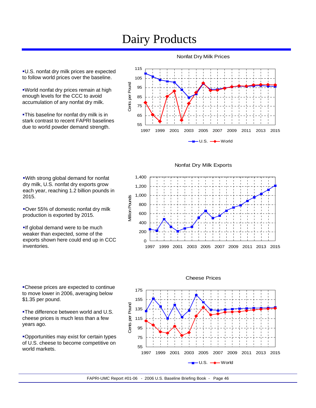## Dairy Products

U.S. nonfat dry milk prices are expected to follow world prices over the baseline.

World nonfat dry prices remain at high enough levels for the CCC to avoid accumulation of any nonfat dry milk.

**-This baseline for nonfat dry milk is in** stark contrast to recent FAPRI baselines due to world powder demand strength.



Nonfat Dry Milk Exports

With strong global demand for nonfat dry milk, U.S. nonfat dry exports grow each year, reaching 1.2 billion pounds in 2015.

Over 55% of domestic nonfat dry milk production is exported by 2015.

**If global demand were to be much** weaker than expected, some of the exports shown here could end up in CCC inventories.

Cheese prices are expected to continue to move lower in 2006, averaging below \$1.35 per pound.

**-The difference between world and U.S.** cheese prices is much less than a few years ago.

Opportunities may exist for certain types of U.S. cheese to become competitive on world markets.





#### Cheese Prices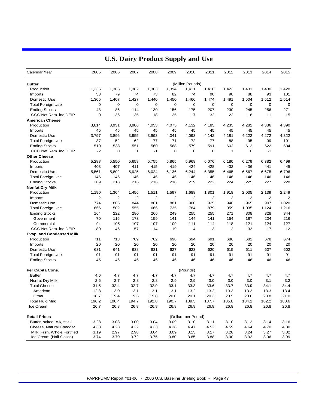| Calendar Year                                    | 2005        | 2006                    | 2007                    | 2008  | 2009     | 2010                    | 2011  | 2012           | 2013           | 2014  | 2015           |
|--------------------------------------------------|-------------|-------------------------|-------------------------|-------|----------|-------------------------|-------|----------------|----------------|-------|----------------|
| <b>Butter</b>                                    |             |                         |                         |       |          | (Million Pounds)        |       |                |                |       |                |
| Production                                       | 1,335       | 1,365                   | 1,382                   | 1,383 | 1,394    | 1,411                   | 1,416 | 1,423          | 1,431          | 1,430 | 1,428          |
| Imports                                          | 33          | 79                      | 74                      | 73    | 82       | 74                      | 90    | 90             | 88             | 93    | 101            |
| Domestic Use                                     | 1,365       | 1,407                   | 1,427                   | 1,440 | 1,450    | 1,466                   | 1,474 | 1,491          | 1,504          | 1,512 | 1,514          |
| <b>Total Foreign Use</b>                         | $\mathbf 0$ | 0                       | 0                       | 0     | 0        | $\mathbf 0$             | 0     | 0              | $\mathbf 0$    | 0     | $\mathbf 0$    |
| <b>Ending Stocks</b>                             | 48          | 86                      | 114                     | 130   | 156      | 175                     | 207   | 230            | 245            | 256   | 271            |
| CCC Net Rem. inc DEIP                            | $\mathbf 0$ | 36                      | 35                      | 18    | 25       | 17                      | 32    | 22             | 16             | 11    | 15             |
| <b>American Cheese</b>                           |             |                         |                         |       |          |                         |       |                |                |       |                |
| Production                                       | 3,814       | 3,931                   | 3,986                   | 4,033 | 4.075    | 4,132                   | 4,185 | 4,235          | 4,282          | 4,336 | 4,390          |
| Imports                                          | 45          | 45                      | 45                      | 45    | 45       | 45                      | 45    | 45             | 45             | 45    | 45             |
| Domestic Use                                     | 3,797       | 3,896                   | 3,955                   | 3,993 | 4,041    | 4,093                   | 4,142 | 4,181          | 4,222          | 4,272 | 4,322          |
| <b>Total Foreign Use</b>                         | 37          | 52                      | 62                      | 77    | 71       | 72                      | 77    | 88             | 95             | 99    | 101            |
| <b>Ending Stocks</b>                             | 510         | 538                     | 551                     | 560   | 568      | 579                     | 591   | 602            | 612            | 622   | 634            |
| CCC Net Rem. inc DEIP                            | $-2$        | 0                       | 1                       | $-1$  | 0        | $\mathbf 0$             | 0     | $\mathbf{1}$   | 0              | $-1$  | $\mathbf{1}$   |
| <b>Other Cheese</b>                              |             |                         |                         |       |          |                         |       |                |                |       |                |
| Production                                       | 5,288       | 5,550                   | 5,658                   | 5,755 | 5,865    | 5,968                   | 6,076 | 6,180          | 6,279          | 6,382 | 6,499          |
| Imports                                          | 403         | 407                     | 411                     | 415   | 419      | 424                     | 428   | 432            | 436            | 441   | 445            |
| Domestic Use                                     | 5,561       | 5,802                   | 5,925                   | 6,024 | 6,136    | 6,244                   | 6,355 | 6,465          | 6,567          | 6,675 | 6,796          |
|                                                  | 146         | 146                     | 146                     | 146   | 146      | 146                     | 146   | 146            | 146            | 146   | 146            |
| <b>Total Foreign Use</b><br><b>Ending Stocks</b> | 209         | 218                     | 216                     | 216   | 218      | 219                     | 222   | 224            | 225            | 227   | 228            |
|                                                  |             |                         |                         |       |          |                         |       |                |                |       |                |
| <b>Nonfat Dry Milk</b>                           | 1,190       |                         |                         | 1,511 | 1,597    |                         | 1,801 | 1,918          | 2,035          | 2,139 | 2,249          |
| Production                                       |             | 1,364<br>$\overline{2}$ | 1,456<br>$\overline{2}$ | 2     |          | 1,688<br>$\overline{2}$ | 2     | $\overline{2}$ | $\overline{2}$ | 2     | $\overline{2}$ |
| Imports<br>Domestic Use                          | 2<br>774    | 806                     | 844                     | 861   | 2<br>881 | 900                     | 925   | 946            | 965            | 997   | 1,020          |
|                                                  |             |                         |                         |       |          |                         |       |                |                |       |                |
| <b>Total Foreign Use</b>                         | 666         | 502                     | 555                     | 666   | 735      | 784                     | 879   | 959            | 1,035          | 1,124 | 1,216          |
| <b>Ending Stocks</b>                             | 164         | 222                     | 280                     | 266   | 249      | 255                     | 255   | 271            | 308            | 328   | 344            |
| Government                                       | 70          | 116                     | 173                     | 159   | 141      | 144                     | 141   | 154            | 187            | 204   | 216            |
| Commercial                                       | 94          | 105                     | 107                     | 107   | 109      | 111                     | 114   | 118            | 121            | 124   | 127            |
| CCC Net Rem. inc DEIP                            | $-80$       | 46                      | 57                      | $-14$ | $-19$    | 4                       | -3    | 12             | 33             | 17    | 12             |
| <b>Evap. and Condensed Milk</b>                  |             |                         |                         |       |          |                         |       |                |                |       |                |
| Production                                       | 711         | 713                     | 709                     | 702   | 698      | 694                     | 691   | 686            | 682            | 678   | 674            |
| Imports                                          | 20          | 20                      | 20                      | 20    | 20       | 20                      | 20    | 20             | 20             | 20    | 20             |
| Domestic Use                                     | 631         | 641                     | 638                     | 631   | 627      | 623                     | 620   | 615            | 611            | 607   | 602            |
| <b>Total Foreign Use</b>                         | 91          | 91                      | 91                      | 91    | 91       | 91                      | 91    | 91             | 91             | 91    | 91             |
| <b>Ending Stocks</b>                             | 45          | 46                      | 46                      | 46    | 46       | 46                      | 46    | 46             | 46             | 46    | 46             |
| Per Capita Cons.                                 |             |                         |                         |       |          | (Pounds)                |       |                |                |       |                |
| <b>Butter</b>                                    | 4.6         | 4.7                     | 4.7                     | 4.7   | 4.7      | 4.7                     | 4.7   | 4.7            | 4.7            | 4.7   | 4.7            |
| Nonfat Dry Milk                                  | 2.6         | 2.7                     | 2.8                     | 2.8   | 2.9      | 2.9                     | 3.0   | 3.0            | 3.0            | 3.1   | 3.2            |
| <b>Total Cheese</b>                              | 31.5        | 32.4                    | 32.7                    | 32.9  | 33.1     | 33.3                    | 33.6  | 33.7           | 33.9           | 34.1  | 34.4           |
| American                                         | 12.8        | 13.0                    | 13.1                    | 13.1  | 13.1     | 13.2                    | 13.2  | 13.3           | 13.3           | 13.3  | 13.4           |
| Other                                            | 18.7        | 19.4                    | 19.6                    | 19.8  | 20.0     | 20.1                    | 20.3  | 20.5           | 20.6           | 20.8  | 21.0           |
| <b>Total Fluid Milk</b>                          | 196.2       | 196.4                   | 194.7                   | 192.8 | 190.7    | 189.5                   | 187.7 | 185.8          | 184.1          | 182.2 | 180.6          |
| Ice Cream                                        | 26.7        | 26.8                    | 26.8                    | 26.8  | 26.8     | 26.9                    | 26.8  | 26.8           | 26.8           | 26.8  | 26.8           |
| <b>Retail Prices</b>                             |             |                         |                         |       |          | (Dollars per Pound)     |       |                |                |       |                |
| Butter, salted, AA, stick                        | 3.28        | 3.03                    | 3.00                    | 3.04  | 3.09     | 3.10                    | 3.11  | 3.10           | 3.12           | 3.14  | 3.16           |
| Cheese, Natural Cheddar                          | 4.38        | 4.23                    | 4.22                    | 4.33  | 4.38     | 4.47                    | 4.52  | 4.59           | 4.64           | 4.70  | 4.80           |
| Milk, Frsh, Whole Fortified                      | 3.19        | 2.97                    | 2.98                    | 3.04  | 3.09     | 3.13                    | 3.17  | 3.20           | 3.24           | 3.27  | 3.32           |
| Ice Cream (Half Gallon)                          | 3.74        | 3.70                    | 3.72                    | 3.75  | 3.80     | 3.85                    | 3.88  | 3.90           | 3.92           | 3.96  | 3.99           |

### **U.S. Dairy Product Supply and Use**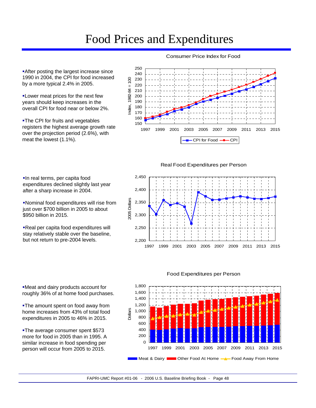## Food Prices and Expenditures

**After posting the largest increase since** 1990 in 2004, the CPI for food increased by a more typical 2.4% in 2005.

Lower meat prices for the next few years should keep increases in the overall CPI for food near or below 2%.

**-The CPI for fruits and vegetables** registers the highest average growth rate over the projection period (2.6%), with meat the lowest (1.1%).

In real terms, per capita food

after a sharp increase in 2004.

\$950 billion in 2015.

expenditures declined slightly last year

Nominal food expenditures will rise from just over \$700 billion in 2005 to about

Real per capita food expenditures will stay relatively stable over the baseline, but not return to pre-2004 levels.

#### Consumer Price Index for Food



Real Food Expenditures per Person

2,450 2,400 2005 Dollars 2005 Dollars 2,350 2,300 2,250 2,200



Meat and dairy products account for roughly 36% of at home food purchases.

**-The amount spent on food away from** home increases from 43% of total food expenditures in 2005 to 46% in 2015.

**-The average consumer spent \$573** more for food in 2005 than in 1995. A similar increase in food spending per person will occur from 2005 to 2015.



#### Food Expenditures per Person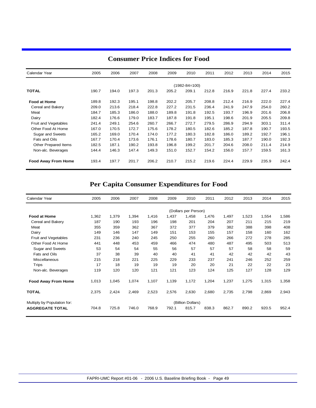| Calendar Year              | 2005  | 2006  | 2007  | 2008  | 2009  | 2010          | 2011  | 2012  | 2013  | 2014  | 2015  |
|----------------------------|-------|-------|-------|-------|-------|---------------|-------|-------|-------|-------|-------|
|                            |       |       |       |       |       | (1982-84=100) |       |       |       |       |       |
| <b>TOTAL</b>               | 190.7 | 194.0 | 197.3 | 201.3 | 205.2 | 209.1         | 212.8 | 216.9 | 221.8 | 227.4 | 233.2 |
| <b>Food at Home</b>        | 189.8 | 192.3 | 195.1 | 198.8 | 202.2 | 205.7         | 208.8 | 212.4 | 216.9 | 222.0 | 227.4 |
| Cereal and Bakery          | 209.0 | 213.6 | 218.4 | 222.8 | 227.2 | 231.5         | 236.4 | 241.9 | 247.9 | 254.0 | 260.2 |
| Meat                       | 184.7 | 185.3 | 186.0 | 188.0 | 189.8 | 191.8         | 192.5 | 193.7 | 196.9 | 201.6 | 206.8 |
| Dairy                      | 182.4 | 176.6 | 179.0 | 183.7 | 187.8 | 191.8         | 195.1 | 198.6 | 201.9 | 205.5 | 209.8 |
| Fruit and Vegetables       | 241.4 | 249.1 | 254.6 | 260.7 | 266.7 | 272.7         | 279.5 | 286.9 | 294.9 | 303.1 | 311.4 |
| Other Food At Home         | 167.0 | 170.5 | 172.7 | 175.6 | 178.2 | 180.5         | 182.6 | 185.2 | 187.8 | 190.7 | 193.5 |
| Sugar and Sweets           | 165.2 | 169.0 | 170.4 | 174.0 | 177.2 | 180.3         | 182.8 | 186.0 | 189.2 | 192.7 | 196.1 |
| Fats and Oils              | 167.7 | 170.4 | 173.6 | 176.1 | 178.6 | 180.7         | 183.0 | 185.3 | 187.7 | 190.0 | 192.3 |
| Other Prepared Items       | 182.5 | 187.1 | 190.2 | 193.8 | 196.8 | 199.2         | 201.7 | 204.6 | 208.0 | 211.4 | 214.9 |
| Non-alc. Beverages         | 144.4 | 146.3 | 147.4 | 149.3 | 151.0 | 152.7         | 154.2 | 156.0 | 157.7 | 159.5 | 161.3 |
| <b>Food Away From Home</b> | 193.4 | 197.7 | 201.7 | 206.2 | 210.7 | 215.2         | 219.6 | 224.4 | 229.9 | 235.9 | 242.4 |

### **Consumer Price Indices for Food**

### **Per Capita Consumer Expenditures for Food**

| Calendar Year               | 2005              | 2006  | 2007  | 2008  | 2009  | 2010                 | 2011  | 2012  | 2013  | 2014  | 2015  |  |
|-----------------------------|-------------------|-------|-------|-------|-------|----------------------|-------|-------|-------|-------|-------|--|
|                             |                   |       |       |       |       | (Dollars per Person) |       |       |       |       |       |  |
| <b>Food at Home</b>         | 1,362             | 1,379 | 1,394 | 1,416 | 1,437 | 1,458                | 1,476 | 1,497 | 1,523 | 1,554 | 1,586 |  |
| Cereal and Bakery           | 187               | 190   | 193   | 196   | 198   | 201                  | 204   | 207   | 211   | 215   | 219   |  |
| Meat                        | 355               | 359   | 362   | 367   | 372   | 377                  | 379   | 382   | 388   | 398   | 408   |  |
| Dairy                       | 149               | 146   | 147   | 149   | 151   | 153                  | 155   | 157   | 158   | 160   | 162   |  |
| Fruit and Vegetables        | 231               | 236   | 240   | 245   | 250   | 255                  | 260   | 266   | 272   | 278   | 285   |  |
| Other Food At Home          | 441               | 448   | 453   | 459   | 466   | 474                  | 480   | 487   | 495   | 503   | 513   |  |
| Sugar and Sweets            | 53                | 54    | 54    | 55    | 56    | 57                   | 57    | 57    | 58    | 58    | 59    |  |
| Fats and Oils               | 37                | 38    | 39    | 40    | 40    | 41                   | 41    | 42    | 42    | 42    | 43    |  |
| <b>Miscellaneous</b>        | 215               | 218   | 221   | 225   | 229   | 233                  | 237   | 241   | 246   | 252   | 259   |  |
| Trips                       | 17                | 18    | 19    | 19    | 19    | 20                   | 20    | 21    | 22    | 22    | 23    |  |
| Non-alc. Beverages          | 119               | 120   | 120   | 121   | 121   | 123                  | 124   | 125   | 127   | 128   | 129   |  |
| <b>Food Away From Home</b>  | 1,013             | 1,045 | 1,074 | 1,107 | 1,139 | 1,172                | 1,204 | 1,237 | 1,275 | 1,315 | 1,358 |  |
| <b>TOTAL</b>                | 2,375             | 2,424 | 2,469 | 2,523 | 2,576 | 2,630                | 2,680 | 2,735 | 2,798 | 2,869 | 2,943 |  |
| Multiply by Population for: | (Billion Dollars) |       |       |       |       |                      |       |       |       |       |       |  |
| <b>AGGREGATE TOTAL</b>      | 704.8             | 725.8 | 746.0 | 768.9 | 792.1 | 815.7                | 838.3 | 862.7 | 890.2 | 920.5 | 952.4 |  |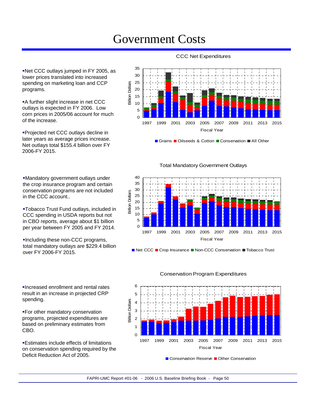## Government Costs

Net CCC outlays jumped in FY 2005, as lower prices translated into increased spending on marketing loan and CCP programs.

**A** further slight increase in net CCC outlays is expected in FY 2006. Low corn prices in 2005/06 account for much of the increase.

Projected net CCC outlays decline in later years as average prices increase. Net outlays total \$155.4 billion over FY 2006-FY 2015.

Mandatory government outlays under the crop insurance program and certain conservation programs are not included in the CCC account..

Tobacco Trust Fund outlays, included in CCC spending in USDA reports but not in CBO reports, average about \$1 billion per year between FY 2005 and FY 2014.

Including these non-CCC programs, total mandatory outlays are \$229.4 billion over FY 2006-FY 2015.

Increased enrollment and rental rates result in an increase in projected CRP spending.

For other mandatory conservation programs, projected expenditures are based on preliminary estimates from CBO.

Estimates include effects of limitations on conservation spending required by the Deficit Reduction Act of 2005.

#### CCC Net Expenditures



Grains Oilseeds & Cotton Conservation All Other

#### Total Mandatory Government Outlays



■ Net CCC ■ Crop Insurance ■ Non-CCC Conservation ■ Tobacco Trust



#### Conservation Program Expenditures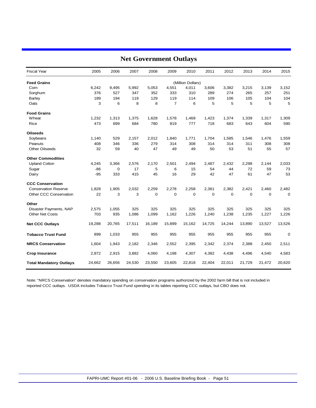| <b>Fiscal Year</b>             | 2005   | 2006   | 2007   | 2008        | 2009           | 2010              | 2011   | 2012        | 2013        | 2014        | 2015        |
|--------------------------------|--------|--------|--------|-------------|----------------|-------------------|--------|-------------|-------------|-------------|-------------|
| <b>Feed Grains</b>             |        |        |        |             |                | (Million Dollars) |        |             |             |             |             |
| Corn                           | 6,242  | 9,495  | 5,992  | 5,053       | 4,551          | 4,011             | 3,606  | 3,382       | 3,215       | 3,139       | 3,152       |
| Sorghum                        | 376    | 527    | 347    | 352         | 333            | 310               | 289    | 274         | 265         | 257         | 251         |
| <b>Barley</b>                  | 189    | 194    | 119    | 129         | 119            | 114               | 109    | 106         | 105         | 104         | 104         |
| Oats                           | 3      | 6      | 8      | 8           | $\overline{7}$ | 6                 | 5      | 5           | 5           | 5           | 5           |
| <b>Food Grains</b>             |        |        |        |             |                |                   |        |             |             |             |             |
| Wheat                          | 1,232  | 1,313  | 1,375  | 1,628       | 1,578          | 1,469             | 1,423  | 1,374       | 1,339       | 1,317       | 1,309       |
| Rice                           | 473    | 699    | 684    | 780         | 819            | 777               | 718    | 683         | 643         | 604         | 590         |
| <b>Oilseeds</b>                |        |        |        |             |                |                   |        |             |             |             |             |
| Soybeans                       | 1,140  | 529    | 2,157  | 2,012       | 1,840          | 1,771             | 1,704  | 1,585       | 1,546       | 1,476       | 1,559       |
| Peanuts                        | 408    | 346    | 336    | 279         | 314            | 308               | 314    | 314         | 311         | 308         | 308         |
| <b>Other Oilseeds</b>          | 32     | 59     | 40     | 47          | 49             | 49                | 50     | 53          | 51          | 55          | 57          |
| <b>Other Commodities</b>       |        |        |        |             |                |                   |        |             |             |             |             |
| <b>Upland Cotton</b>           | 4,245  | 3,366  | 2,576  | 2,170       | 2,501          | 2,494             | 2,487  | 2,432       | 2,298       | 2,144       | 2,033       |
| Sugar                          | $-86$  | 0      | 17     | 5           | 6              | 15                | 54     | 44          | 72          | 59          | 73          |
| Dairy                          | $-95$  | 333    | 415    | 45          | 16             | 29                | 42     | 47          | 61          | 47          | 53          |
| <b>CCC Conservation</b>        |        |        |        |             |                |                   |        |             |             |             |             |
| <b>Conservation Reserve</b>    | 1,828  | 1,905  | 2,032  | 2,259       | 2,278          | 2,258             | 2,361  | 2,382       | 2,421       | 2,460       | 2,482       |
| Other CCC Conservation         | 22     | 3      | 3      | $\mathbf 0$ | $\mathbf 0$    | $\mathbf 0$       | 0      | $\mathbf 0$ | $\mathbf 0$ | $\mathbf 0$ | $\mathbf 0$ |
| Other                          |        |        |        |             |                |                   |        |             |             |             |             |
| Disaster Payments, NAP         | 2,575  | 1,055  | 325    | 325         | 325            | 325               | 325    | 325         | 325         | 325         | 325         |
| <b>Other Net Costs</b>         | 703    | 935    | 1,086  | 1,099       | 1,162          | 1,226             | 1,240  | 1,238       | 1,235       | 1,227       | 1,226       |
| <b>Net CCC Outlays</b>         | 19,288 | 20,765 | 17,511 | 16,189      | 15,899         | 15,162            | 14,725 | 14,244      | 13,890      | 13,527      | 13,526      |
| <b>Tobacco Trust Fund</b>      | 899    | 1,033  | 955    | 955         | 955            | 955               | 955    | 955         | 955         | 955         | $\mathbf 0$ |
| <b>NRCS Conservation</b>       | 1,604  | 1,943  | 2,182  | 2,346       | 2,552          | 2,395             | 2,342  | 2,374       | 2,388       | 2,450       | 2,511       |
| <b>Crop Insurance</b>          | 2,872  | 2,915  | 3,882  | 4,060       | 4,198          | 4,307             | 4,382  | 4,438       | 4,496       | 4,540       | 4,583       |
| <b>Total Mandatory Outlays</b> | 24,662 | 26,656 | 24,530 | 23,550      | 23,605         | 22,818            | 22,404 | 22,011      | 21,729      | 21,472      | 20,620      |

### **Net Government Outlays**

Note: "NRCS Conservation" denotes mandatory spending on conservation programs authorized by the 2002 farm bill that is not included in reported CCC outlays. USDA includes Tobacco Trust Fund spending in its tables reporting CCC outlays, but CBO does not.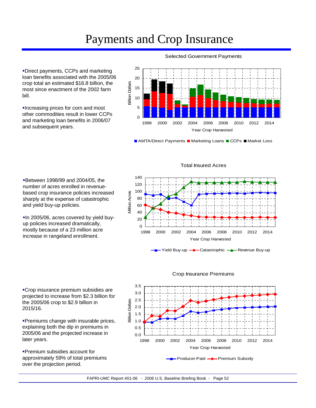## Payments and Crop Insurance

Direct payments, CCPs and marketing loan benefits associated with the 2005/06 crop total an estimated \$16.8 billion, the most since enactment of the 2002 farm bill.

Increasing prices for corn and most other commodities result in lower CCPs and marketing loan benefits in 2006/07 and subsequent years.

#### Selected Government Payments



■ AMTA/Direct Payments ■ Marketing Loans ■ CCPs ■ Market Loss

Between 1998/99 and 2004/05, the number of acres enrolled in revenuebased crop insurance policies increased sharply at the expense of catastrophic and yield buy-up policies.

In 2005/06, acres covered by yield buyup policies increased dramatically, mostly because of a 23 million acre increase in rangeland enrollment.

Crop insurance premium subsidies are projected to increase from \$2.3 billion for the 2005/06 crop to \$2.9 billion in 2015/16.

**Premiums change with insurable prices,** explaining both the dip in premiums in 2005/06 and the projected increase in later years.

Premium subsidies account for approximately 59% of total premiums over the projection period.









#### Crop Insurance Premiums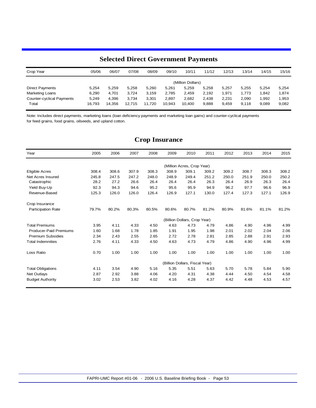### **Selected Direct Government Payments**

| Crop Year                        | 05/06  | 06/07  | 07/08  | 08/09  | 09/10  | 10/11             | 11/12 | 12/13 | 13/14 | 14/15 | 15/16 |
|----------------------------------|--------|--------|--------|--------|--------|-------------------|-------|-------|-------|-------|-------|
|                                  |        |        |        |        |        | (Million Dollars) |       |       |       |       |       |
| <b>Direct Payments</b>           | 5.254  | 5.259  | 5.258  | 5.260  | 5.261  | 5.259             | 5.258 | 5.257 | 5.255 | 5.254 | 5.254 |
| <b>Marketing Loans</b>           | 6.290  | 4.701  | 3.724  | 3.159  | 2.785  | 2.459             | 2.192 | 1,971 | 1.773 | 1.842 | 1,874 |
| <b>Counter-cyclical Payments</b> | 5.249  | 4.396  | 3.734  | 3,301  | 2,897  | 2,682             | 2,438 | 2,231 | 2.090 | .992  | 1,953 |
| Total                            | 16.793 | 14.356 | 12.715 | 11.720 | 10,943 | 10.400            | 9.888 | 9.459 | 9.118 | 9.089 | 9,082 |

Note: Includes direct payments, marketing loans (loan deficiency payments and marketing loan gains) and counter-cyclical payments for feed grains, food grains, oilseeds, and upland cotton.

### **Crop Insurance**

| Year                          | 2005  | 2006  | 2007  | 2008  | 2009  | 2010                           | 2011  | 2012  | 2013  | 2014  | 2015  |
|-------------------------------|-------|-------|-------|-------|-------|--------------------------------|-------|-------|-------|-------|-------|
|                               |       |       |       |       |       | (Million Acres, Crop Year)     |       |       |       |       |       |
| <b>Eligible Acres</b>         | 308.4 | 308.6 | 307.9 | 308.3 | 308.9 | 309.1                          | 309.2 | 309.2 | 308.7 | 308.3 | 308.2 |
| Net Acres Insured             | 245.8 | 247.5 | 247.2 | 248.0 | 248.9 | 249.4                          | 251.2 | 250.0 | 251.9 | 250.0 | 250.2 |
| Catastrophic                  | 28.2  | 27.2  | 26.6  | 26.4  | 26.4  | 26.4                           | 26.3  | 26.4  | 26.9  | 26.3  | 26.4  |
| Yield Buy-Up                  | 92.3  | 94.3  | 94.6  | 95.2  | 95.6  | 95.9                           | 94.9  | 96.2  | 97.7  | 96.6  | 96.9  |
| Revenue-Based                 | 125.3 | 126.0 | 126.0 | 126.4 | 126.9 | 127.1                          | 130.0 | 127.4 | 127.3 | 127.1 | 126.9 |
| Crop Insurance                |       |       |       |       |       |                                |       |       |       |       |       |
| <b>Participation Rate</b>     | 79.7% | 80.2% | 80.3% | 80.5% | 80.6% | 80.7%                          | 81.2% | 80.9% | 81.6% | 81.1% | 81.2% |
|                               |       |       |       |       |       | (Billion Dollars, Crop Year)   |       |       |       |       |       |
| <b>Total Premiums</b>         | 3.95  | 4.11  | 4.33  | 4.50  | 4.63  | 4.73                           | 4.79  | 4.86  | 4.90  | 4.96  | 4.99  |
| <b>Producer-Paid Premiums</b> | 1.60  | 1.68  | 1.78  | 1.85  | 1.91  | 1.95                           | 1.98  | 2.01  | 2.02  | 2.04  | 2.06  |
| <b>Premium Subsidies</b>      | 2.34  | 2.43  | 2.55  | 2.65  | 2.72  | 2.78                           | 2.81  | 2.85  | 2.88  | 2.91  | 2.93  |
| <b>Total Indemnities</b>      | 2.76  | 4.11  | 4.33  | 4.50  | 4.63  | 4.73                           | 4.79  | 4.86  | 4.90  | 4.96  | 4.99  |
| Loss Ratio                    | 0.70  | 1.00  | 1.00  | 1.00  | 1.00  | 1.00                           | 1.00  | 1.00  | 1.00  | 1.00  | 1.00  |
|                               |       |       |       |       |       | (Billion Dollars, Fiscal Year) |       |       |       |       |       |
| <b>Total Obligations</b>      | 4.11  | 3.54  | 4.90  | 5.16  | 5.35  | 5.51                           | 5.63  | 5.70  | 5.78  | 5.84  | 5.90  |
| <b>Net Outlays</b>            | 2.87  | 2.92  | 3.88  | 4.06  | 4.20  | 4.31                           | 4.38  | 4.44  | 4.50  | 4.54  | 4.58  |
| <b>Budget Authority</b>       | 3.02  | 2.53  | 3.82  | 4.02  | 4.16  | 4.28                           | 4.37  | 4.42  | 4.48  | 4.53  | 4.57  |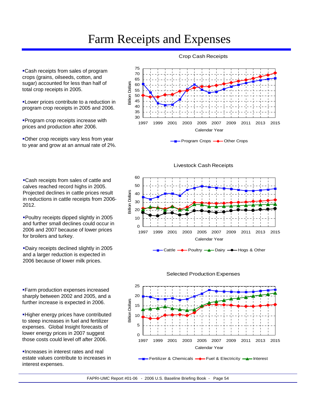## Farm Receipts and Expenses

Cash receipts from sales of program crops (grains, oilseeds, cotton, and sugar) accounted for less than half of total crop receipts in 2005.

**-Lower prices contribute to a reduction in** program crop receipts in 2005 and 2006.

**Program crop receipts increase with** prices and production after 2006.

Other crop receipts vary less from year to year and grow at an annual rate of 2%.

Cash receipts from sales of cattle and calves reached record highs in 2005. Projected declines in cattle prices result in reductions in cattle receipts from 2006- 2012.

Poultry receipts dipped slightly in 2005 and further small declines could occur in 2006 and 2007 because of lower prices for broilers and turkey.

Dairy receipts declined slightly in 2005 and a larger reduction is expected in 2006 because of lower milk prices.

Farm production expenses increased sharply between 2002 and 2005, and a further increase is expected in 2006.

Higher energy prices have contributed to steep increases in fuel and fertilizer expenses. Global Insight forecasts of lower energy prices in 2007 suggest those costs could level off after 2006.

Increases in interest rates and real estate values contribute to increases in interest expenses.



Program Crops **-** Other Crops

Livestock Cash Receipts







#### Crop Cash Receipts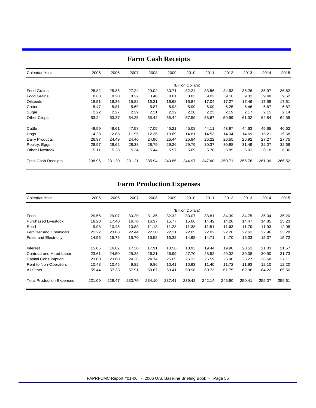| Calendar Year              | 2005   | 2006   | 2007   | 2008   | 2009   | 2010              | 2011   | 2012   | 2013   | 2014   | 2015   |
|----------------------------|--------|--------|--------|--------|--------|-------------------|--------|--------|--------|--------|--------|
|                            |        |        |        |        |        | (Billion Dollars) |        |        |        |        |        |
| <b>Feed Grains</b>         | 25.82  | 25.36  | 27.24  | 29.02  | 30.71  | 32.24             | 33.56  | 34.53  | 35.26  | 35.97  | 36.62  |
| <b>Food Grains</b>         | 8.83   | 8.20   | 8.22   | 8.40   | 8.61   | 8.83              | 9.02   | 9.18   | 9.33   | 9.48   | 9.62   |
| Oilseeds                   | 18.51  | 16.36  | 15.82  | 16.31  | 16.68  | 16.84             | 17.04  | 17.27  | 17.46  | 17.58  | 17.61  |
| Cotton                     | 5.47   | 5.81   | 5.69   | 5.87   | 5.93   | 5.99              | 6.09   | 6.25   | 6.46   | 6.67   | 6.87   |
| Sugar                      | 2.22   | 2.27   | 2.29   | 2.31   | 2.32   | 2.28              | 2.23   | 2.19   | 2.17   | 2.15   | 2.14   |
| <b>Other Crops</b>         | 53.24  | 53.37  | 54.25  | 55.42  | 56.44  | 57.59             | 58.67  | 59.99  | 61.32  | 62.84  | 64.59  |
| Cattle                     | 49.59  | 48.61  | 47.58  | 47.05  | 46.21  | 45.08             | 44.11  | 43.97  | 44.63  | 45.65  | 46.62  |
| Hogs                       | 14.23  | 12.83  | 11.95  | 12.36  | 13.69  | 14.81             | 14.53  | 14.04  | 14.69  | 15.21  | 15.68  |
| Dairy Products             | 26.97  | 24.49  | 24.46  | 24.96  | 25.44  | 25.84             | 26.22  | 26.55  | 26.92  | 27.27  | 27.75  |
| Poultry, Eggs              | 28.97  | 28.62  | 28.38  | 28.79  | 29.26  | 29.79             | 30.37  | 30.88  | 31.49  | 32.07  | 32.66  |
| <b>Other Livestock</b>     | 5.11   | 5.28   | 5.34   | 5.44   | 5.57   | 5.69              | 5.76   | 5.85   | 6.02   | 6.18   | 6.36   |
| <b>Total Cash Receipts</b> | 238.96 | 231.20 | 231.21 | 235.94 | 240.85 | 244.97            | 247.60 | 250.71 | 255.76 | 261.09 | 266.52 |

### **Farm Cash Receipts**

### **Farm Production Expenses**

| Calendar Year                    | 2005   | 2006   | 2007   | 2008   | 2009   | 2010              | 2011   | 2012   | 2013   | 2014   | 2015   |
|----------------------------------|--------|--------|--------|--------|--------|-------------------|--------|--------|--------|--------|--------|
|                                  |        |        |        |        |        | (Billion Dollars) |        |        |        |        |        |
|                                  |        |        |        |        |        |                   |        |        |        |        |        |
| Feed                             | 29.55  | 29.07  | 30.20  | 31.35  | 32.32  | 33.07             | 33.81  | 34.39  | 34.75  | 35.04  | 35.20  |
| <b>Purchased Livestock</b>       | 18.20  | 17.40  | 16.70  | 16.37  | 15.77  | 15.06             | 14.42  | 14.26  | 14.47  | 14.85  | 15.23  |
| Seed                             | 9.98   | 10.45  | 10.89  | 11.13  | 11.28  | 11.38             | 11.51  | 11.63  | 11.79  | 11.93  | 12.08  |
| <b>Fertilizer and Chemicals</b>  | 21.22  | 23.08  | 22.44  | 22.30  | 22.21  | 22.05             | 22.02  | 22.26  | 22.62  | 22.96  | 23.28  |
| <b>Fuels and Electricity</b>     | 14.55  | 15.76  | 15.70  | 15.58  | 15.38  | 14.98             | 14.71  | 14.70  | 15.03  | 15.37  | 15.72  |
| Interest                         | 15.05  | 16.62  | 17.30  | 17.91  | 18.58  | 18.93             | 19.44  | 19.96  | 20.51  | 21.03  | 21.57  |
| Contract and Hired Labor         | 23.61  | 24.50  | 25.38  | 26.21  | 26.99  | 27.70             | 28.52  | 29.32  | 30.08  | 30.90  | 31.73  |
| <b>Capital Consumption</b>       | 23.00  | 23.80  | 24.36  | 24.74  | 25.05  | 25.32             | 25.59  | 25.90  | 26.27  | 26.68  | 27.11  |
| Rent to Non-Operators            | 10.48  | 10.45  | 9.82   | 9.86   | 10.41  | 10.93             | 11.40  | 11.72  | 11.93  | 12.10  | 12.20  |
| All Other                        | 55.44  | 57.33  | 57.91  | 58.67  | 59.41  | 59.98             | 60.73  | 61.75  | 62.96  | 64.22  | 65.50  |
| <b>Total Production Expenses</b> | 221.09 | 228.47 | 230.70 | 234.10 | 237.41 | 239.42            | 242.14 | 245.90 | 250.41 | 255.07 | 259.61 |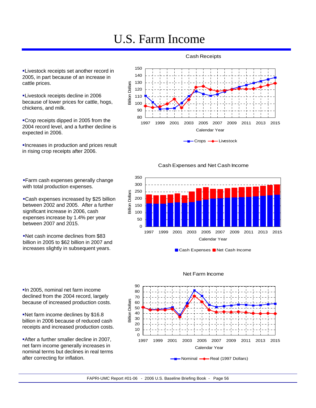## U.S. Farm Income

150

**-Livestock receipts set another record in** 2005, in part because of an increase in cattle prices.

**-Livestock receipts decline in 2006** because of lower prices for cattle, hogs, chickens, and milk.

Crop receipts dipped in 2005 from the 2004 record level, and a further decline is expected in 2006.

Increases in production and prices result in rising crop receipts after 2006.

Farm cash expenses generally change

Cash expenses increased by \$25 billion between 2002 and 2005. After a further significant increase in 2006, cash expenses increase by 1.4% per year

Net cash income declines from \$83 billion in 2005 to \$62 billion in 2007 and increases slightly in subsequent years.

with total production expenses.

between 2007 and 2015.

Cash Receipts





Cash Expenses and Net Cash Income



■ Cash Expenses ■ Net Cash Income





In 2005, nominal net farm income declined from the 2004 record, largely because of increased production costs.

Net farm income declines by \$16.8 billion in 2006 because of reduced cash receipts and increased production costs.

After a further smaller decline in 2007, net farm income generally increases in nominal terms but declines in real terms after correcting for inflation.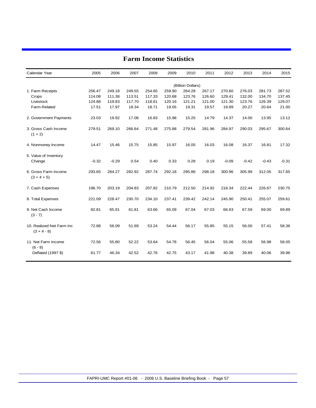| Calendar Year                              | 2005    | 2006    | 2007   | 2008   | 2009   | 2010              | 2011   | 2012    | 2013    | 2014    | 2015    |
|--------------------------------------------|---------|---------|--------|--------|--------|-------------------|--------|---------|---------|---------|---------|
|                                            |         |         |        |        |        | (Billion Dollars) |        |         |         |         |         |
| 1. Farm Receipts                           | 256.47  | 249.18  | 249.55 | 254.65 | 259.90 | 264.28            | 267.17 | 270.60  | 276.03  | 281.73  | 287.52  |
| Crops                                      | 114.08  | 111.38  | 113.51 | 117.33 | 120.68 | 123.76            | 126.60 | 129.41  | 132.00  | 134.70  | 137.45  |
| Livestock                                  | 124.88  | 119.83  | 117.70 | 118.61 | 120.16 | 121.21            | 121.00 | 121.30  | 123.76  | 126.39  | 129.07  |
| Farm-Related                               | 17.51   | 17.97   | 18.34  | 18.71  | 19.05  | 19.31             | 19.57  | 19.89   | 20.27   | 20.64   | 21.00   |
| 2. Government Payments                     | 23.03   | 19.92   | 17.08  | 16.83  | 15.98  | 15.25             | 14.79  | 14.37   | 14.00   | 13.95   | 13.12   |
| 3. Gross Cash Income<br>$(1 + 2)$          | 279.51  | 269.10  | 266.64 | 271.48 | 275.88 | 279.54            | 281.96 | 284.97  | 290.03  | 295.67  | 300.64  |
| 4. Nonmoney Income                         | 14.47   | 15.46   | 15.75  | 15.85  | 15.97  | 16.05             | 16.03  | 16.08   | 16.37   | 16.81   | 17.32   |
| 5. Value of Inventory<br>Change            | $-0.32$ | $-0.29$ | 0.54   | 0.40   | 0.33   | 0.28              | 0.19   | $-0.09$ | $-0.42$ | $-0.43$ | $-0.31$ |
| 6. Gross Farm Income<br>$(3 + 4 + 5)$      | 293.65  | 284.27  | 282.92 | 287.74 | 292.18 | 295.86            | 298.18 | 300.96  | 305.99  | 312.05  | 317.65  |
| 7. Cash Expenses                           | 196.70  | 203.19  | 204.83 | 207.82 | 210.79 | 212.50            | 214.92 | 218.34  | 222.44  | 226.67  | 230.75  |
| 8. Total Expenses                          | 221.09  | 228.47  | 230.70 | 234.10 | 237.41 | 239.42            | 242.14 | 245.90  | 250.41  | 255.07  | 259.61  |
| 9. Net Cash Income<br>$(3 - 7)$            | 82.81   | 65.91   | 61.81  | 63.66  | 65.09  | 67.04             | 67.03  | 66.63   | 67.59   | 69.00   | 69.89   |
| 10. Realized Net Farm Inc<br>$(3 + 4 - 8)$ | 72.88   | 56.09   | 51.69  | 53.24  | 54.44  | 56.17             | 55.85  | 55.15   | 56.00   | 57.41   | 58.36   |
| 11. Net Farm Income<br>$(6 - 8)$           | 72.56   | 55.80   | 52.22  | 53.64  | 54.78  | 56.45             | 56.04  | 55.06   | 55.58   | 56.98   | 58.05   |
| Deflated (1997 \$)                         | 61.77   | 46.34   | 42.52  | 42.76  | 42.75  | 43.17             | 41.98  | 40.38   | 39.89   | 40.06   | 39.96   |

### **Farm Income Statistics**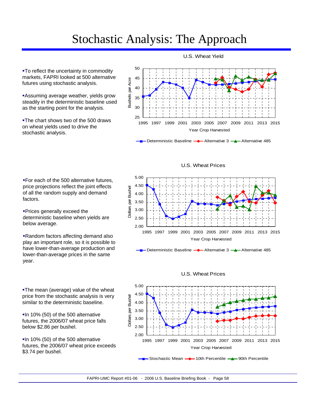## Stochastic Analysis: The Approach

**-To reflect the uncertainty in commodity** markets, FAPRI looked at 500 alternative futures using stochastic analysis.

**Assuming average weather, yields grow** steadily in the deterministic baseline used as the starting point for the analysis.

**The chart shows two of the 500 draws** on wheat yields used to drive the stochastic analysis.



Deterministic Baseline **-**Alternative 3 -Alternative 485

For each of the 500 alternative futures, price projections reflect the joint effects of all the random supply and demand factors.

**Prices generally exceed the** deterministic baseline when yields are below average.

Random factors affecting demand also play an important role, so it is possible to have lower-than-average production and lower-than-average prices in the same year.

**-The mean (average) value of the wheat** price from the stochastic analysis is very similar to the deterministic baseline.

**In 10% (50) of the 500 alternative** futures, the 2006/07 wheat price falls below \$2.86 per bushel.

**In 10% (50) of the 500 alternative** futures, the 2006/07 wheat price exceeds \$3.74 per bushel.





Deterministic Baseline  $\rightarrow$  Alternative 3  $\rightarrow$  Alternative 485

#### U.S. Wheat Prices



FAPRI-UMC Report #01-06 - 2006 U.S. Baseline Briefing Book - Page 58

### U.S. Wheat Yield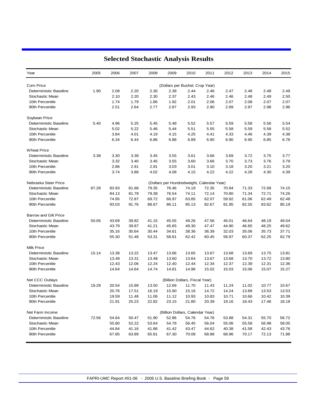| Year                   | 2005                                       | 2006                           | 2007  | 2008  | 2009  | 2010                             | 2011  | 2012  | 2013  | 2014  | 2015  |  |
|------------------------|--------------------------------------------|--------------------------------|-------|-------|-------|----------------------------------|-------|-------|-------|-------|-------|--|
| Corn Price             | (Dollars per Bushel, Crop Year)            |                                |       |       |       |                                  |       |       |       |       |       |  |
| Deterministic Baseline | 1.90                                       | 2.08                           | 2.20  | 2.30  | 2.38  | 2.44                             | 2.46  | 2.47  | 2.48  | 2.48  | 2.49  |  |
| Stochastic Mean        |                                            | 2.10                           | 2.20  | 2.30  | 2.37  | 2.43                             | 2.46  | 2.46  | 2.48  | 2.49  | 2.50  |  |
| 10th Percentile        |                                            | 1.74                           | 1.79  | 1.86  | 1.92  | 2.01                             | 2.06  | 2.07  | 2.08  | 2.07  | 2.07  |  |
| 90th Percentile        |                                            | 2.51                           | 2.64  | 2.77  | 2.87  | 2.93                             | 2.90  | 2.89  | 2.97  | 2.98  | 2.96  |  |
| Soybean Price          |                                            |                                |       |       |       |                                  |       |       |       |       |       |  |
| Deterministic Baseline | 5.40                                       | 4.96                           | 5.25  | 5.45  | 5.48  | 5.52                             | 5.57  | 5.59  | 5.58  | 5.56  | 5.54  |  |
| Stochastic Mean        |                                            | 5.02                           | 5.22  | 5.46  | 5.44  | 5.51                             | 5.55  | 5.58  | 5.59  | 5.58  | 5.52  |  |
| 10th Percentile        |                                            | 3.84                           | 4.01  | 4.19  | 4.15  | 4.25                             | 4.41  | 4.33  | 4.46  | 4.39  | 4.38  |  |
| 90th Percentile        |                                            | 6.34                           | 6.44  | 6.86  | 6.88  | 6.89                             | 6.90  | 6.90  | 6.95  | 6.85  | 6.76  |  |
| <b>Wheat Price</b>     |                                            |                                |       |       |       |                                  |       |       |       |       |       |  |
| Deterministic Baseline | 3.38                                       | 3.30                           | 3.39  | 3.45  | 3.55  | 3.61                             | 3.66  | 3.69  | 3.72  | 3.75  | 3.77  |  |
| Stochastic Mean        |                                            | 3.32                           | 3.40  | 3.45  | 3.55  | 3.60                             | 3.66  | 3.70  | 3.73  | 3.76  | 3.79  |  |
| 10th Percentile        |                                            | 2.86                           | 2.91  | 2.91  | 3.03  | 3.01                             | 3.10  | 3.18  | 3.20  | 3.21  | 3.20  |  |
| 90th Percentile        |                                            | 3.74                           | 3.88  | 4.02  | 4.08  | 4.15                             | 4.22  | 4.22  | 4.28  | 4.30  | 4.39  |  |
| Nebraska Steer Price   | (Dollars per Hundredweight, Calendar Year) |                                |       |       |       |                                  |       |       |       |       |       |  |
| Deterministic Baseline | 87.28                                      | 83.93                          | 81.68 | 79.35 | 76.46 | 74.19                            | 72.35 | 70.94 | 71.33 | 72.68 | 74.15 |  |
| Stochastic Mean        |                                            | 84.13                          | 81.78 | 79.38 | 76.54 | 74.11                            | 72.14 | 70.80 | 71.34 | 72.71 | 74.26 |  |
| 10th Percentile        |                                            | 74.95                          | 72.87 | 69.72 | 66.97 | 63.85                            | 62.07 | 59.92 | 61.06 | 62.49 | 62.48 |  |
| 90th Percentile        |                                            | 93.03                          | 91.76 | 88.67 | 86.11 | 85.13                            | 82.67 | 81.95 | 82.55 | 83.62 | 85.19 |  |
| Barrow and Gilt Price  |                                            |                                |       |       |       |                                  |       |       |       |       |       |  |
| Deterministic Baseline | 50.05                                      | 43.69                          | 39.82 | 41.15 | 45.55 | 49.26                            | 47.56 | 45.01 | 46.64 | 48.19 | 49.54 |  |
| Stochastic Mean        |                                            | 43.79                          | 39.87 | 41.21 | 45.65 | 49.30                            | 47.47 | 44.90 | 46.65 | 48.25 | 49.62 |  |
| 10th Percentile        |                                            | 35.16                          | 30.64 | 30.44 | 34.61 | 38.36                            | 36.39 | 32.03 | 35.06 | 35.73 | 37.71 |  |
| 90th Percentile        |                                            | 55.30                          | 51.48 | 53.31 | 58.81 | 62.42                            | 60.45 | 58.97 | 60.37 | 62.25 | 62.79 |  |
| Milk Price             |                                            |                                |       |       |       |                                  |       |       |       |       |       |  |
| Deterministic Baseline | 15.14                                      | 13.38                          | 13.22 | 13.47 | 13.66 | 13.65                            | 13.67 | 13.68 | 13.69 | 13.75 | 13.81 |  |
| Stochastic Mean        |                                            | 13.49                          | 13.31 | 13.48 | 13.60 | 13.64                            | 13.67 | 13.68 | 13.70 | 13.72 | 13.80 |  |
| 10th Percentile        |                                            | 12.43                          | 12.06 | 12.24 | 12.40 | 12.44                            | 12.34 | 12.37 | 12.39 | 12.31 | 12.36 |  |
| 90th Percentile        |                                            | 14.64                          | 14.64 | 14.74 | 14.81 | 14.96                            | 15.02 | 15.03 | 15.06 | 15.07 | 15.27 |  |
| Net CCC Outlays        |                                            | (Billion Dollars, Fiscal Year) |       |       |       |                                  |       |       |       |       |       |  |
| Deterministic Baseline | 19.29                                      | 20.54                          | 15.89 | 13.50 | 12.69 | 11.70                            | 11.43 | 11.24 | 11.02 | 10.77 | 10.67 |  |
| Stochastic Mean        |                                            | 20.76                          | 17.51 | 16.19 | 15.90 | 15.16                            | 14.72 | 14.24 | 13.89 | 13.53 | 13.53 |  |
| 10th Percentile        |                                            | 19.59                          | 11.48 | 11.06 | 11.12 | 10.93                            | 10.83 | 10.71 | 10.66 | 10.42 | 10.39 |  |
| 90th Percentile        |                                            | 21.91                          | 25.23 | 22.82 | 23.15 | 21.80                            | 20.39 | 19.16 | 18.43 | 17.46 | 18.18 |  |
| Net Farm Income        |                                            |                                |       |       |       | (Billion Dollars, Calendar Year) |       |       |       |       |       |  |
| Deterministic Baseline | 72.56                                      | 54.64                          | 50.47 | 51.90 | 52.86 | 54.76                            | 54.76 | 53.88 | 54.31 | 55.70 | 56.72 |  |
| Stochastic Mean        |                                            | 55.80                          | 52.22 | 53.64 | 54.78 | 56.45                            | 56.04 | 55.06 | 55.58 | 56.98 | 58.05 |  |
| 10th Percentile        |                                            | 44.84                          | 41.16 | 41.86 | 41.42 | 43.47                            | 44.62 | 40.38 | 41.58 | 42.43 | 43.76 |  |
| 90th Percentile        |                                            | 67.85                          | 63.89 | 65.81 | 67.30 | 70.08                            | 68.88 | 68.96 | 70.17 | 72.13 | 71.88 |  |

### **Selected Stochastic Analysis Results**